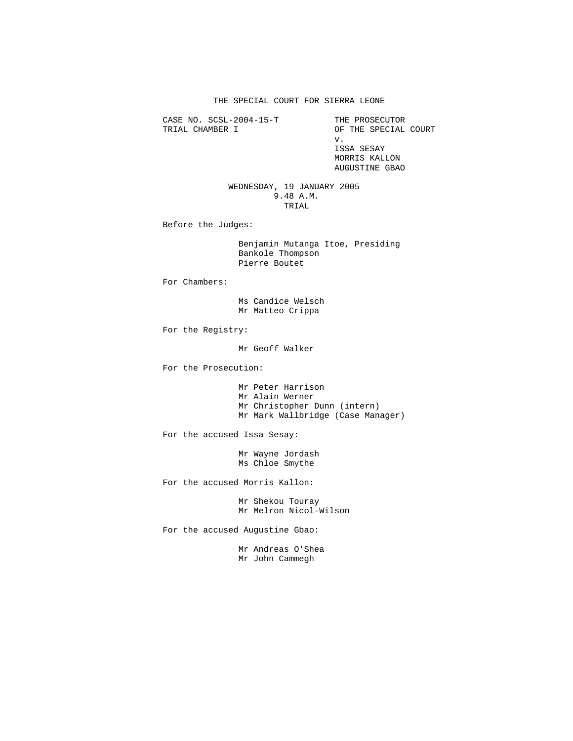THE SPECIAL COURT FOR SIERRA LEONE

CASE NO. SCSL-2004-15-T THE PROSECUTOR<br>TRIAL CHAMBER I OF THE SPECIAL

OF THE SPECIAL COURT v. ISSA SESAY MORRIS KALLON AUGUSTINE GBAO

 WEDNESDAY, 19 JANUARY 2005 9.48 A.M. TRIAL

Before the Judges:

 Benjamin Mutanga Itoe, Presiding Bankole Thompson Pierre Boutet

For Chambers:

 Ms Candice Welsch Mr Matteo Crippa

For the Registry:

Mr Geoff Walker

For the Prosecution:

 Mr Peter Harrison Mr Alain Werner Mr Christopher Dunn (intern) Mr Mark Wallbridge (Case Manager)

For the accused Issa Sesay:

 Mr Wayne Jordash Ms Chloe Smythe

For the accused Morris Kallon:

 Mr Shekou Touray Mr Melron Nicol-Wilson

For the accused Augustine Gbao:

 Mr Andreas O'Shea Mr John Cammegh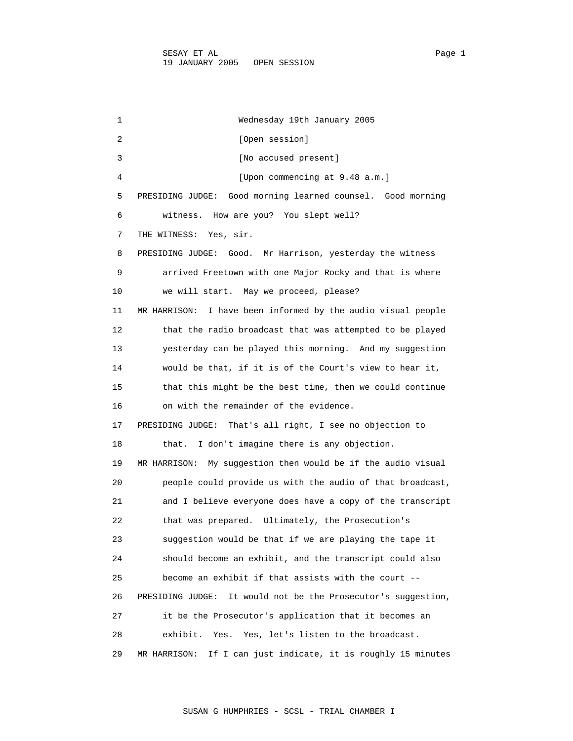1 Wednesday 19th January 2005 2 [Open session] 3 [No accused present] 4 [Upon commencing at 9.48 a.m.] 5 PRESIDING JUDGE: Good morning learned counsel. Good morning 6 witness. How are you? You slept well? 7 THE WITNESS: Yes, sir. 8 PRESIDING JUDGE: Good. Mr Harrison, yesterday the witness 9 arrived Freetown with one Major Rocky and that is where 10 we will start. May we proceed, please? 11 MR HARRISON: I have been informed by the audio visual people 12 that the radio broadcast that was attempted to be played 13 yesterday can be played this morning. And my suggestion 14 would be that, if it is of the Court's view to hear it, 15 that this might be the best time, then we could continue 16 on with the remainder of the evidence. 17 PRESIDING JUDGE: That's all right, I see no objection to 18 that. I don't imagine there is any objection. 19 MR HARRISON: My suggestion then would be if the audio visual 20 people could provide us with the audio of that broadcast, 21 and I believe everyone does have a copy of the transcript 22 that was prepared. Ultimately, the Prosecution's 23 suggestion would be that if we are playing the tape it 24 should become an exhibit, and the transcript could also 25 become an exhibit if that assists with the court -- 26 PRESIDING JUDGE: It would not be the Prosecutor's suggestion, 27 it be the Prosecutor's application that it becomes an 28 exhibit. Yes. Yes, let's listen to the broadcast. 29 MR HARRISON: If I can just indicate, it is roughly 15 minutes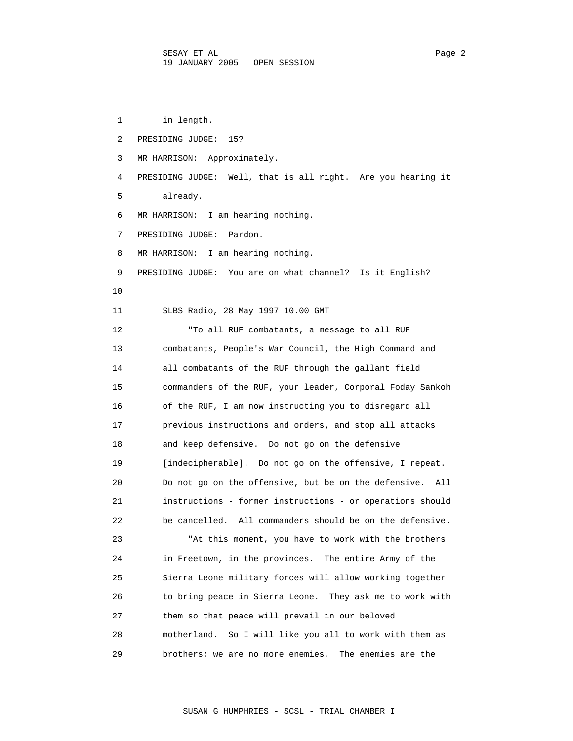1 in length. 2 PRESIDING JUDGE: 15? 3 MR HARRISON: Approximately. 4 PRESIDING JUDGE: Well, that is all right. Are you hearing it 5 already. 6 MR HARRISON: I am hearing nothing. 7 PRESIDING JUDGE: Pardon. 8 MR HARRISON: I am hearing nothing. 9 PRESIDING JUDGE: You are on what channel? Is it English? 10 11 SLBS Radio, 28 May 1997 10.00 GMT 12 "To all RUF combatants, a message to all RUF 13 combatants, People's War Council, the High Command and 14 all combatants of the RUF through the gallant field 15 commanders of the RUF, your leader, Corporal Foday Sankoh 16 of the RUF, I am now instructing you to disregard all 17 previous instructions and orders, and stop all attacks 18 and keep defensive. Do not go on the defensive 19 [indecipherable]. Do not go on the offensive, I repeat. 20 Do not go on the offensive, but be on the defensive. All 21 instructions - former instructions - or operations should 22 be cancelled. All commanders should be on the defensive. 23 "At this moment, you have to work with the brothers 24 in Freetown, in the provinces. The entire Army of the 25 Sierra Leone military forces will allow working together 26 to bring peace in Sierra Leone. They ask me to work with 27 them so that peace will prevail in our beloved 28 motherland. So I will like you all to work with them as 29 brothers; we are no more enemies. The enemies are the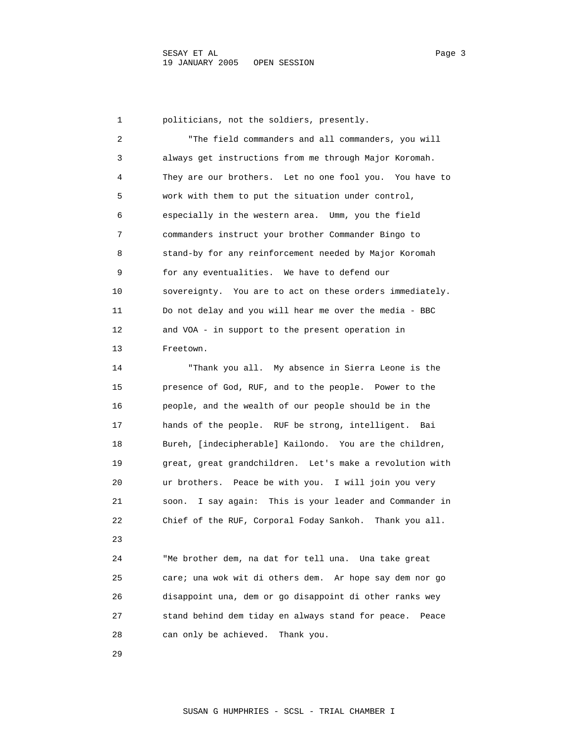1 politicians, not the soldiers, presently. 2 "The field commanders and all commanders, you will 3 always get instructions from me through Major Koromah. 4 They are our brothers. Let no one fool you. You have to 5 work with them to put the situation under control, 6 especially in the western area. Umm, you the field 7 commanders instruct your brother Commander Bingo to 8 stand-by for any reinforcement needed by Major Koromah 9 for any eventualities. We have to defend our 10 sovereignty. You are to act on these orders immediately. 11 Do not delay and you will hear me over the media - BBC 12 and VOA - in support to the present operation in 13 Freetown. 14 "Thank you all. My absence in Sierra Leone is the 15 presence of God, RUF, and to the people. Power to the 16 people, and the wealth of our people should be in the 17 hands of the people. RUF be strong, intelligent. Bai 18 Bureh, [indecipherable] Kailondo. You are the children, 19 great, great grandchildren. Let's make a revolution with 20 ur brothers. Peace be with you. I will join you very 21 soon. I say again: This is your leader and Commander in 22 Chief of the RUF, Corporal Foday Sankoh. Thank you all. つこ 24 "Me brother dem, na dat for tell una. Una take great 25 care; una wok wit di others dem. Ar hope say dem nor go 26 disappoint una, dem or go disappoint di other ranks wey 27 stand behind dem tiday en always stand for peace. Peace 28 can only be achieved. Thank you.

29

SUSAN G HUMPHRIES - SCSL - TRIAL CHAMBER I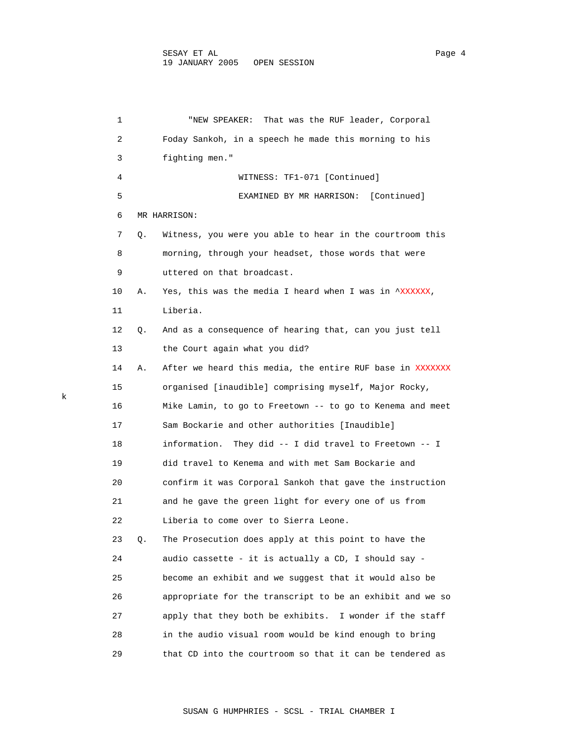1 "NEW SPEAKER: That was the RUF leader, Corporal 2 Foday Sankoh, in a speech he made this morning to his 3 fighting men." 4 WITNESS: TF1-071 [Continued] 5 EXAMINED BY MR HARRISON: [Continued] 6 MR HARRISON: 7 Q. Witness, you were you able to hear in the courtroom this 8 morning, through your headset, those words that were 9 uttered on that broadcast. 10 A. Yes, this was the media I heard when I was in ^XXXXXX, 11 Liberia. 12 Q. And as a consequence of hearing that, can you just tell 13 the Court again what you did? 14 A. After we heard this media, the entire RUF base in XXXXXXX 15 organised [inaudible] comprising myself, Major Rocky, 16 Mike Lamin, to go to Freetown -- to go to Kenema and meet 17 Sam Bockarie and other authorities [Inaudible] 18 information. They did -- I did travel to Freetown -- I 19 did travel to Kenema and with met Sam Bockarie and 20 confirm it was Corporal Sankoh that gave the instruction 21 and he gave the green light for every one of us from 22 Liberia to come over to Sierra Leone. 23 Q. The Prosecution does apply at this point to have the 24 audio cassette - it is actually a CD, I should say - 25 become an exhibit and we suggest that it would also be 26 appropriate for the transcript to be an exhibit and we so 27 apply that they both be exhibits. I wonder if the staff 28 in the audio visual room would be kind enough to bring 29 that CD into the courtroom so that it can be tendered as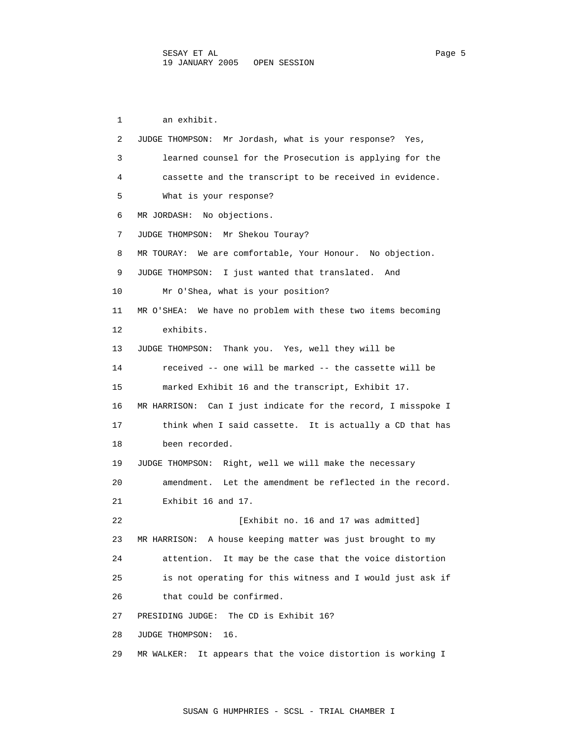1 an exhibit. 2 JUDGE THOMPSON: Mr Jordash, what is your response? Yes, 3 learned counsel for the Prosecution is applying for the 4 cassette and the transcript to be received in evidence. 5 What is your response? 6 MR JORDASH: No objections. 7 JUDGE THOMPSON: Mr Shekou Touray? 8 MR TOURAY: We are comfortable, Your Honour. No objection. 9 JUDGE THOMPSON: I just wanted that translated. And 10 Mr O'Shea, what is your position? 11 MR O'SHEA: We have no problem with these two items becoming 12 exhibits. 13 JUDGE THOMPSON: Thank you. Yes, well they will be 14 received -- one will be marked -- the cassette will be 15 marked Exhibit 16 and the transcript, Exhibit 17. 16 MR HARRISON: Can I just indicate for the record, I misspoke I 17 think when I said cassette. It is actually a CD that has 18 been recorded. 19 JUDGE THOMPSON: Right, well we will make the necessary 20 amendment. Let the amendment be reflected in the record. 21 Exhibit 16 and 17. 22 **Exhibit no. 16 and 17 was admitted**] 23 MR HARRISON: A house keeping matter was just brought to my 24 attention. It may be the case that the voice distortion 25 is not operating for this witness and I would just ask if 26 that could be confirmed. 27 PRESIDING JUDGE: The CD is Exhibit 16? 28 JUDGE THOMPSON: 16. 29 MR WALKER: It appears that the voice distortion is working I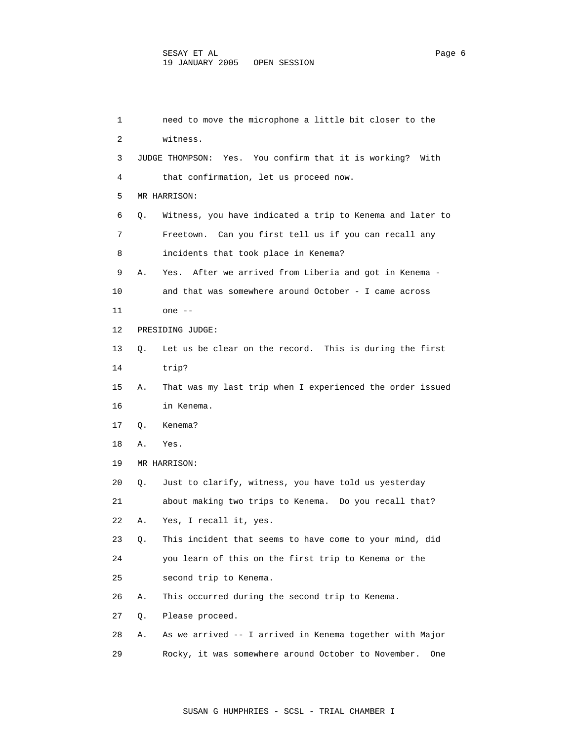| 1  |    | need to move the microphone a little bit closer to the            |
|----|----|-------------------------------------------------------------------|
| 2  |    | witness.                                                          |
| 3  |    | JUDGE THOMPSON: Yes. You confirm that it is working? With         |
| 4  |    | that confirmation, let us proceed now.                            |
| 5  |    | MR HARRISON:                                                      |
| 6  | Q. | Witness, you have indicated a trip to Kenema and later to         |
| 7  |    | Freetown. Can you first tell us if you can recall any             |
| 8  |    | incidents that took place in Kenema?                              |
| 9  | Α. | After we arrived from Liberia and got in Kenema -<br>Yes.         |
| 10 |    | and that was somewhere around October - I came across             |
| 11 |    | one --                                                            |
| 12 |    | PRESIDING JUDGE:                                                  |
| 13 | О. | Let us be clear on the record. This is during the first           |
| 14 |    | trip?                                                             |
| 15 | Α. | That was my last trip when I experienced the order issued         |
| 16 |    | in Kenema.                                                        |
| 17 | Q. | Kenema?                                                           |
| 18 | Α. | Yes.                                                              |
| 19 |    | MR HARRISON:                                                      |
| 20 | Q. | Just to clarify, witness, you have told us yesterday              |
| 21 |    | about making two trips to Kenema. Do you recall that?             |
| 22 | А. | Yes, I recall it, yes.                                            |
| 23 | Q. | This incident that seems to have come to your mind, did           |
| 24 |    | you learn of this on the first trip to Kenema or the              |
| 25 |    | second trip to Kenema.                                            |
| 26 | Α. | This occurred during the second trip to Kenema.                   |
| 27 | Q. | Please proceed.                                                   |
| 28 | Α. | As we arrived -- I arrived in Kenema together with Major          |
| 29 |    | Rocky, it was somewhere around October to November.<br><b>One</b> |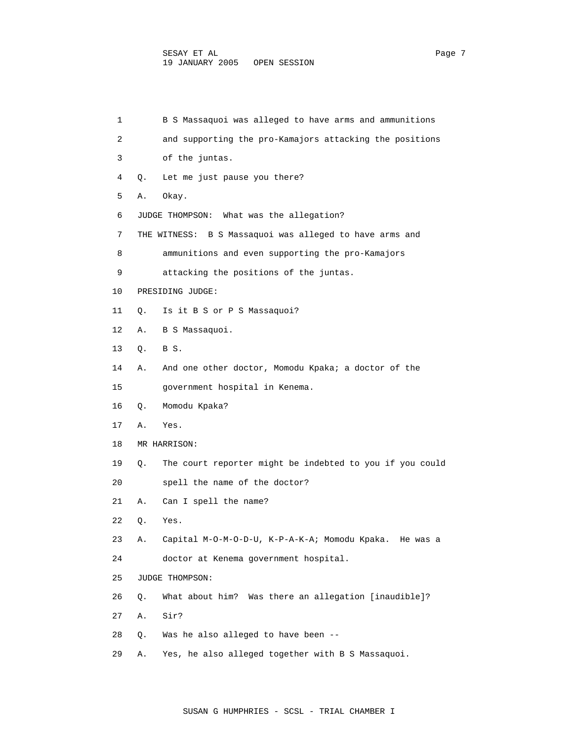| 1  |    | B S Massaquoi was alleged to have arms and ammunitions     |
|----|----|------------------------------------------------------------|
| 2  |    | and supporting the pro-Kamajors attacking the positions    |
| 3  |    | of the juntas.                                             |
| 4  | Q. | Let me just pause you there?                               |
| 5  | Α. | Okay.                                                      |
| 6  |    | JUDGE THOMPSON: What was the allegation?                   |
| 7  |    | B S Massaquoi was alleged to have arms and<br>THE WITNESS: |
| 8  |    | ammunitions and even supporting the pro-Kamajors           |
| 9  |    | attacking the positions of the juntas.                     |
| 10 |    | PRESIDING JUDGE:                                           |
| 11 | О. | Is it B S or P S Massaquoi?                                |
| 12 | Α. | B S Massaquoi.                                             |
| 13 | Q. | BS.                                                        |
| 14 | Α. | And one other doctor, Momodu Kpaka; a doctor of the        |
| 15 |    | government hospital in Kenema.                             |
| 16 | Q. | Momodu Kpaka?                                              |
| 17 | Α. | Yes.                                                       |
| 18 |    | MR HARRISON:                                               |
| 19 | Q. | The court reporter might be indebted to you if you could   |
| 20 |    | spell the name of the doctor?                              |
| 21 | Α. | Can I spell the name?                                      |
| 22 | Q. | Yes.                                                       |
| 23 | Α. | Capital M-O-M-O-D-U, K-P-A-K-A; Momodu Kpaka. He was a     |
| 24 |    | doctor at Kenema government hospital.                      |
| 25 |    | JUDGE THOMPSON:                                            |
| 26 | Q. | What about him? Was there an allegation [inaudible]?       |
| 27 | Α. | Sir?                                                       |
| 28 | Q. | Was he also alleged to have been --                        |
| 29 | Α. | Yes, he also alleged together with B S Massaquoi.          |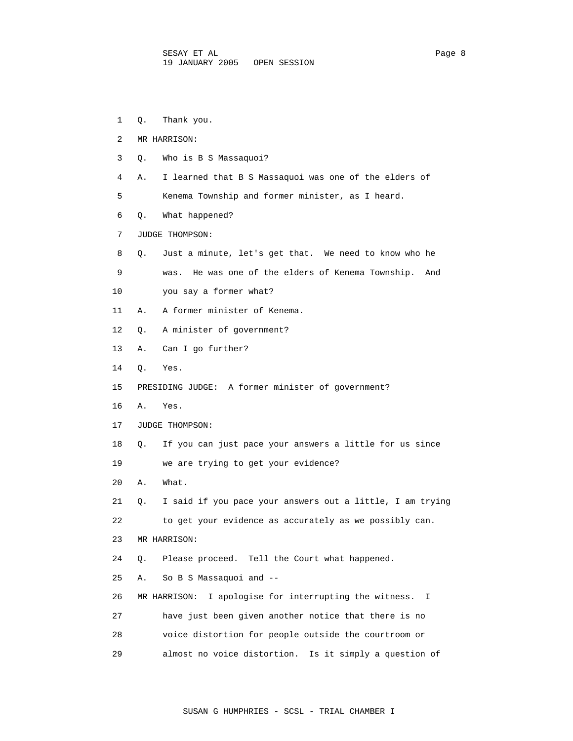1 Q. Thank you. 2 MR HARRISON: 3 Q. Who is B S Massaquoi? 4 A. I learned that B S Massaquoi was one of the elders of 5 Kenema Township and former minister, as I heard. 6 Q. What happened? 7 JUDGE THOMPSON: 8 Q. Just a minute, let's get that. We need to know who he 9 was. He was one of the elders of Kenema Township. And 10 you say a former what? 11 A. A former minister of Kenema. 12 Q. A minister of government? 13 A. Can I go further? 14 Q. Yes. 15 PRESIDING JUDGE: A former minister of government? 16 A. Yes. 17 JUDGE THOMPSON: 18 Q. If you can just pace your answers a little for us since 19 we are trying to get your evidence? 20 A. What. 21 Q. I said if you pace your answers out a little, I am trying 22 to get your evidence as accurately as we possibly can. 23 MR HARRISON: 24 Q. Please proceed. Tell the Court what happened. 25 A. So B S Massaquoi and -- 26 MR HARRISON: I apologise for interrupting the witness. I 27 have just been given another notice that there is no 28 voice distortion for people outside the courtroom or 29 almost no voice distortion. Is it simply a question of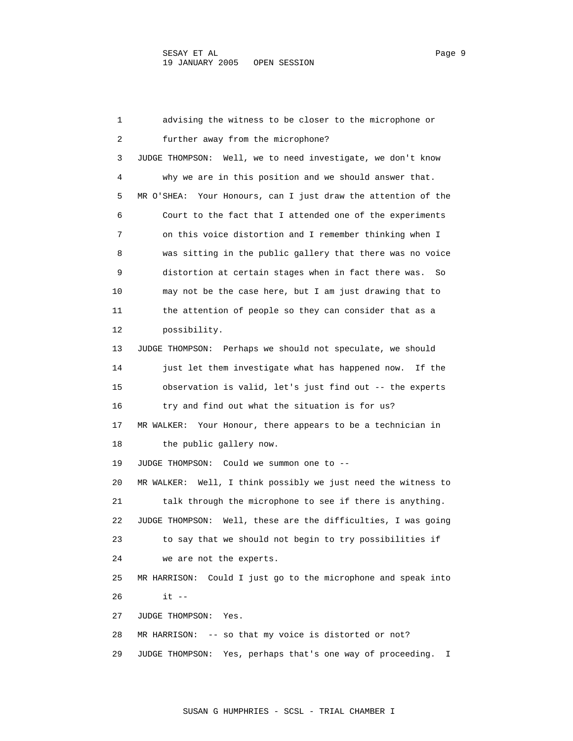1 advising the witness to be closer to the microphone or 2 further away from the microphone? 3 JUDGE THOMPSON: Well, we to need investigate, we don't know 4 why we are in this position and we should answer that. 5 MR O'SHEA: Your Honours, can I just draw the attention of the 6 Court to the fact that I attended one of the experiments 7 on this voice distortion and I remember thinking when I 8 was sitting in the public gallery that there was no voice 9 distortion at certain stages when in fact there was. So 10 may not be the case here, but I am just drawing that to 11 the attention of people so they can consider that as a 12 possibility. 13 JUDGE THOMPSON: Perhaps we should not speculate, we should 14 just let them investigate what has happened now. If the 15 observation is valid, let's just find out -- the experts 16 try and find out what the situation is for us? 17 MR WALKER: Your Honour, there appears to be a technician in 18 the public gallery now. 19 JUDGE THOMPSON: Could we summon one to -- 20 MR WALKER: Well, I think possibly we just need the witness to 21 talk through the microphone to see if there is anything. 22 JUDGE THOMPSON: Well, these are the difficulties, I was going 23 to say that we should not begin to try possibilities if 24 we are not the experts. 25 MR HARRISON: Could I just go to the microphone and speak into 26 it -- 27 JUDGE THOMPSON: Yes. 28 MR HARRISON: -- so that my voice is distorted or not? 29 JUDGE THOMPSON: Yes, perhaps that's one way of proceeding. I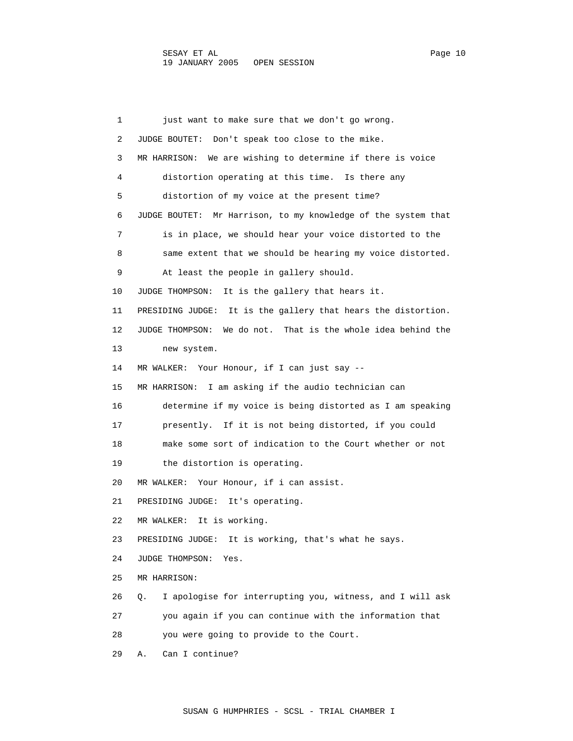1 just want to make sure that we don't go wrong. 2 JUDGE BOUTET: Don't speak too close to the mike. 3 MR HARRISON: We are wishing to determine if there is voice 4 distortion operating at this time. Is there any 5 distortion of my voice at the present time? 6 JUDGE BOUTET: Mr Harrison, to my knowledge of the system that 7 is in place, we should hear your voice distorted to the 8 same extent that we should be hearing my voice distorted. 9 At least the people in gallery should. 10 JUDGE THOMPSON: It is the gallery that hears it. 11 PRESIDING JUDGE: It is the gallery that hears the distortion. 12 JUDGE THOMPSON: We do not. That is the whole idea behind the 13 new system. 14 MR WALKER: Your Honour, if I can just say -- 15 MR HARRISON: I am asking if the audio technician can 16 determine if my voice is being distorted as I am speaking 17 presently. If it is not being distorted, if you could 18 make some sort of indication to the Court whether or not 19 the distortion is operating. 20 MR WALKER: Your Honour, if i can assist. 21 PRESIDING JUDGE: It's operating. 22 MR WALKER: It is working. 23 PRESIDING JUDGE: It is working, that's what he says. 24 JUDGE THOMPSON: Yes. 25 MR HARRISON: 26 Q. I apologise for interrupting you, witness, and I will ask 27 you again if you can continue with the information that 28 you were going to provide to the Court. 29 A. Can I continue?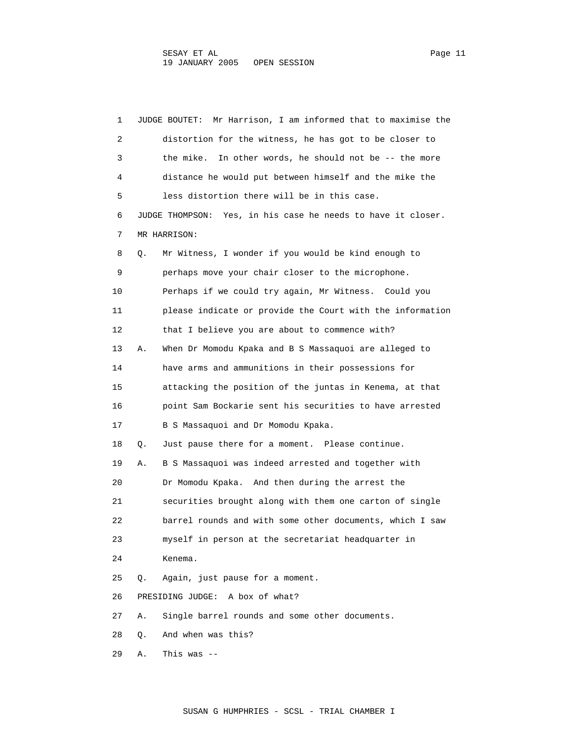| 1  |    | Mr Harrison, I am informed that to maximise the<br>JUDGE BOUTET: |
|----|----|------------------------------------------------------------------|
| 2  |    | distortion for the witness, he has got to be closer to           |
| 3  |    | the mike. In other words, he should not be -- the more           |
| 4  |    | distance he would put between himself and the mike the           |
| 5  |    | less distortion there will be in this case.                      |
| 6  |    | JUDGE THOMPSON: Yes, in his case he needs to have it closer.     |
| 7  |    | MR HARRISON:                                                     |
| 8  | Q. | Mr Witness, I wonder if you would be kind enough to              |
| 9  |    | perhaps move your chair closer to the microphone.                |
| 10 |    | Perhaps if we could try again, Mr Witness. Could you             |
| 11 |    | please indicate or provide the Court with the information        |
| 12 |    | that I believe you are about to commence with?                   |
| 13 | Α. | When Dr Momodu Kpaka and B S Massaquoi are alleged to            |
| 14 |    | have arms and ammunitions in their possessions for               |
| 15 |    | attacking the position of the juntas in Kenema, at that          |
| 16 |    | point Sam Bockarie sent his securities to have arrested          |
| 17 |    | B S Massaquoi and Dr Momodu Kpaka.                               |
| 18 | Q. | Just pause there for a moment. Please continue.                  |
| 19 | Α. | B S Massaquoi was indeed arrested and together with              |
| 20 |    | Dr Momodu Kpaka. And then during the arrest the                  |
| 21 |    | securities brought along with them one carton of single          |
| 22 |    | barrel rounds and with some other documents, which I saw         |
| 23 |    | myself in person at the secretariat headquarter in               |
| 24 |    | Kenema.                                                          |
| 25 | Q. | Again, just pause for a moment.                                  |
| 26 |    | PRESIDING JUDGE: A box of what?                                  |
| 27 | Α. | Single barrel rounds and some other documents.                   |
| 28 | Q. | And when was this?                                               |
| 29 | Α. | This was $--$                                                    |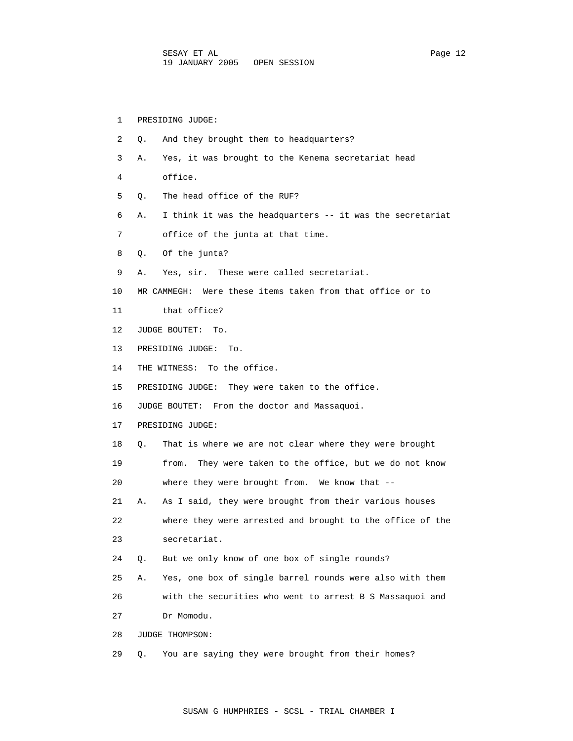| 1  | PRESIDING JUDGE:                                                |
|----|-----------------------------------------------------------------|
| 2  | And they brought them to headquarters?<br>О.                    |
| 3  | Yes, it was brought to the Kenema secretariat head<br>Α.        |
| 4  | office.                                                         |
| 5  | The head office of the RUF?<br>О.                               |
| 6  | I think it was the headquarters -- it was the secretariat<br>Α. |
| 7  | office of the junta at that time.                               |
| 8  | Of the junta?<br>Q.                                             |
| 9  | Yes, sir. These were called secretariat.<br>Α.                  |
| 10 | MR CAMMEGH: Were these items taken from that office or to       |
| 11 | that office?                                                    |
| 12 | JUDGE BOUTET: To.                                               |
| 13 | PRESIDING JUDGE:<br>To.                                         |
| 14 | THE WITNESS: To the office.                                     |
| 15 | PRESIDING JUDGE: They were taken to the office.                 |
| 16 | JUDGE BOUTET: From the doctor and Massaquoi.                    |
| 17 | PRESIDING JUDGE:                                                |
| 18 | That is where we are not clear where they were brought<br>Q.    |
| 19 | They were taken to the office, but we do not know<br>from.      |
| 20 | where they were brought from. We know that --                   |
| 21 | As I said, they were brought from their various houses<br>Α.    |
| 22 | where they were arrested and brought to the office of the       |
| 23 | secretariat.                                                    |
| 24 | But we only know of one box of single rounds?<br>Q.             |
| 25 | Yes, one box of single barrel rounds were also with them<br>Α.  |
| 26 | with the securities who went to arrest B S Massaquoi and        |
| 27 | Dr Momodu.                                                      |
| 28 | JUDGE THOMPSON:                                                 |
| 29 | You are saying they were brought from their homes?<br>Q.        |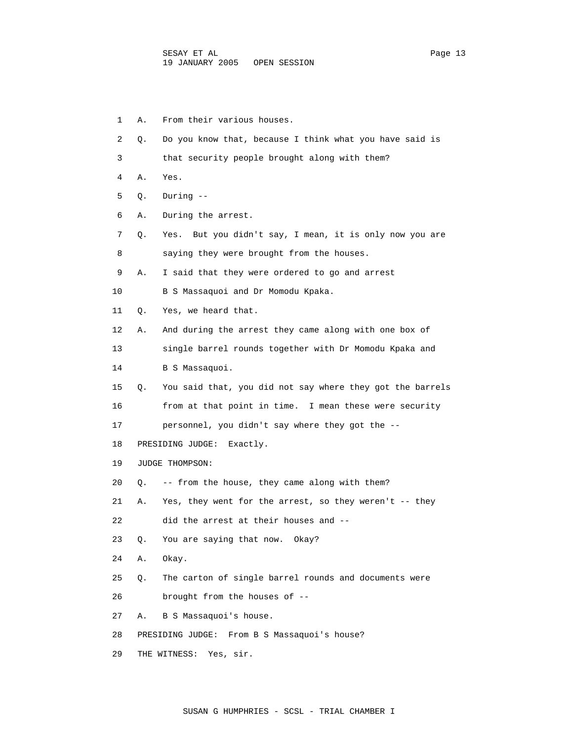- 1 A. From their various houses. 2 Q. Do you know that, because I think what you have said is 3 that security people brought along with them? 4 A. Yes. 5 Q. During -- 6 A. During the arrest. 7 Q. Yes. But you didn't say, I mean, it is only now you are 8 saying they were brought from the houses. 9 A. I said that they were ordered to go and arrest 10 B S Massaquoi and Dr Momodu Kpaka. 11 Q. Yes, we heard that. 12 A. And during the arrest they came along with one box of 13 single barrel rounds together with Dr Momodu Kpaka and 14 B S Massaquoi. 15 Q. You said that, you did not say where they got the barrels 16 from at that point in time. I mean these were security 17 personnel, you didn't say where they got the -- 18 PRESIDING JUDGE: Exactly. 19 JUDGE THOMPSON: 20 Q. -- from the house, they came along with them? 21 A. Yes, they went for the arrest, so they weren't -- they 22 did the arrest at their houses and -- 23 Q. You are saying that now. Okay? 24 A. Okay. 25 Q. The carton of single barrel rounds and documents were 26 brought from the houses of -- 27 A. B S Massaquoi's house. 28 PRESIDING JUDGE: From B S Massaquoi's house?
- 29 THE WITNESS: Yes, sir.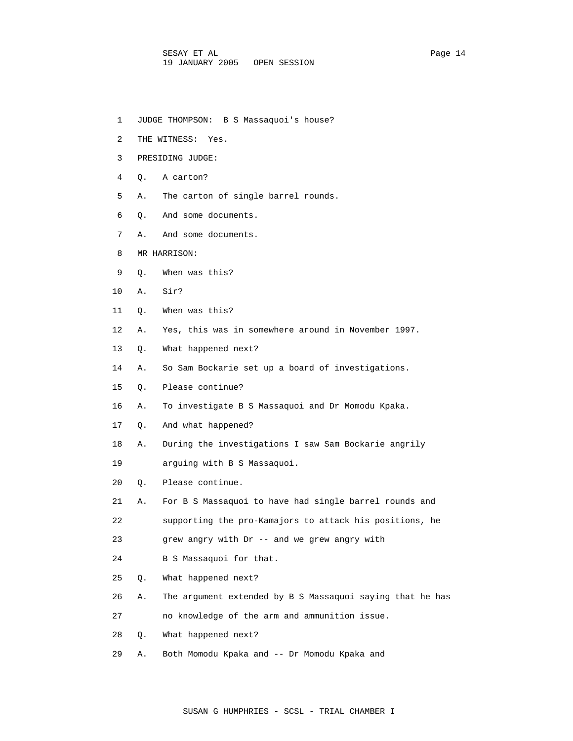- 1 JUDGE THOMPSON: B S Massaquoi's house?
- 2 THE WITNESS: Yes.
- 3 PRESIDING JUDGE:
- 4 Q. A carton?
- 5 A. The carton of single barrel rounds.
- 6 Q. And some documents.
- 7 A. And some documents.
- 8 MR HARRISON:
- 9 Q. When was this?
- 10 A. Sir?
- 11 Q. When was this?
- 12 A. Yes, this was in somewhere around in November 1997.
- 13 Q. What happened next?
- 14 A. So Sam Bockarie set up a board of investigations.
- 15 Q. Please continue?
- 16 A. To investigate B S Massaquoi and Dr Momodu Kpaka.
- 17 Q. And what happened?
- 18 A. During the investigations I saw Sam Bockarie angrily
- 19 arguing with B S Massaquoi.
- 20 Q. Please continue.
- 21 A. For B S Massaquoi to have had single barrel rounds and
- 22 supporting the pro-Kamajors to attack his positions, he
- 23 grew angry with Dr -- and we grew angry with
- 24 B S Massaquoi for that.
- 25 Q. What happened next?
- 26 A. The argument extended by B S Massaquoi saying that he has
- 27 no knowledge of the arm and ammunition issue.
- 28 Q. What happened next?
- 29 A. Both Momodu Kpaka and -- Dr Momodu Kpaka and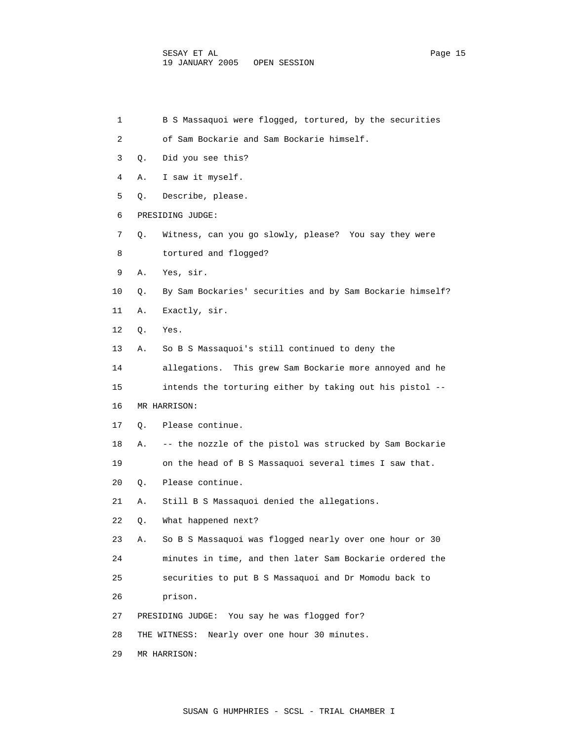1 B S Massaquoi were flogged, tortured, by the securities 2 of Sam Bockarie and Sam Bockarie himself. 3 Q. Did you see this? 4 A. I saw it myself. 5 Q. Describe, please. 6 PRESIDING JUDGE: 7 Q. Witness, can you go slowly, please? You say they were 8 tortured and flogged? 9 A. Yes, sir. 10 Q. By Sam Bockaries' securities and by Sam Bockarie himself? 11 A. Exactly, sir. 12 Q. Yes. 13 A. So B S Massaquoi's still continued to deny the 14 allegations. This grew Sam Bockarie more annoyed and he 15 intends the torturing either by taking out his pistol -- 16 MR HARRISON: 17 Q. Please continue. 18 A. -- the nozzle of the pistol was strucked by Sam Bockarie 19 on the head of B S Massaquoi several times I saw that. 20 Q. Please continue. 21 A. Still B S Massaquoi denied the allegations. 22 Q. What happened next? 23 A. So B S Massaquoi was flogged nearly over one hour or 30 24 minutes in time, and then later Sam Bockarie ordered the 25 securities to put B S Massaquoi and Dr Momodu back to 26 prison. 27 PRESIDING JUDGE: You say he was flogged for? 28 THE WITNESS: Nearly over one hour 30 minutes. 29 MR HARRISON: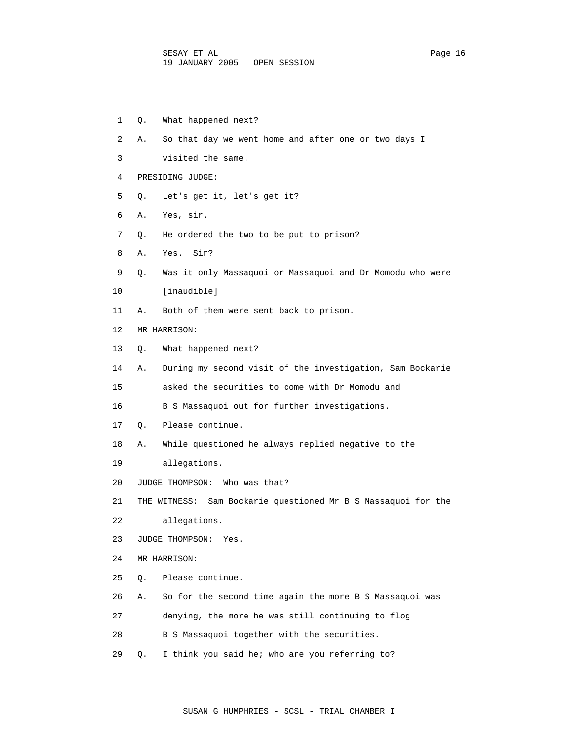1 Q. What happened next? 2 A. So that day we went home and after one or two days I 3 visited the same. 4 PRESIDING JUDGE: 5 Q. Let's get it, let's get it? 6 A. Yes, sir. 7 Q. He ordered the two to be put to prison? 8 A. Yes. Sir? 9 Q. Was it only Massaquoi or Massaquoi and Dr Momodu who were 10 [inaudible] 11 A. Both of them were sent back to prison. 12 MR HARRISON: 13 Q. What happened next? 14 A. During my second visit of the investigation, Sam Bockarie 15 asked the securities to come with Dr Momodu and 16 B S Massaquoi out for further investigations. 17 Q. Please continue. 18 A. While questioned he always replied negative to the 19 allegations. 20 JUDGE THOMPSON: Who was that? 21 THE WITNESS: Sam Bockarie questioned Mr B S Massaquoi for the 22 allegations. 23 JUDGE THOMPSON: Yes. 24 MR HARRISON: 25 Q. Please continue. 26 A. So for the second time again the more B S Massaquoi was 27 denying, the more he was still continuing to flog 28 B S Massaquoi together with the securities. 29 Q. I think you said he; who are you referring to?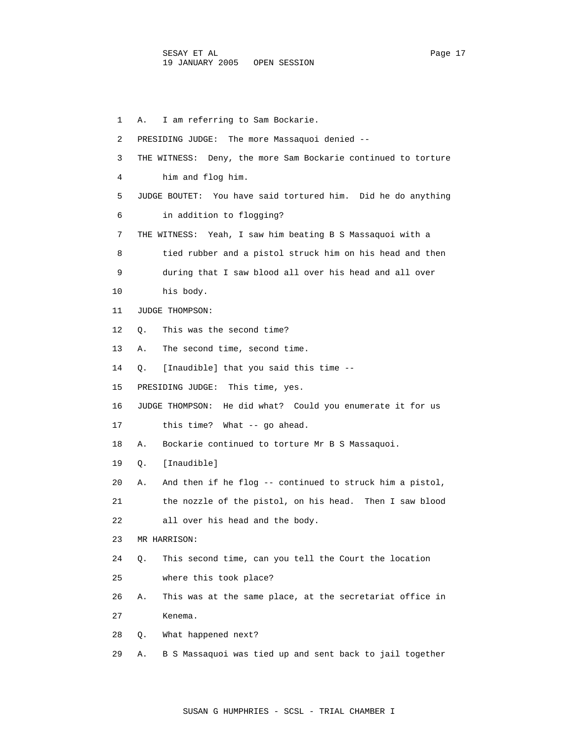1 A. I am referring to Sam Bockarie. 2 PRESIDING JUDGE: The more Massaquoi denied -- 3 THE WITNESS: Deny, the more Sam Bockarie continued to torture 4 him and flog him. 5 JUDGE BOUTET: You have said tortured him. Did he do anything 6 in addition to flogging? 7 THE WITNESS: Yeah, I saw him beating B S Massaquoi with a 8 tied rubber and a pistol struck him on his head and then 9 during that I saw blood all over his head and all over 10 his body. 11 JUDGE THOMPSON: 12 Q. This was the second time? 13 A. The second time, second time. 14 Q. [Inaudible] that you said this time -- 15 PRESIDING JUDGE: This time, yes. 16 JUDGE THOMPSON: He did what? Could you enumerate it for us 17 this time? What -- go ahead. 18 A. Bockarie continued to torture Mr B S Massaquoi. 19 Q. [Inaudible] 20 A. And then if he flog -- continued to struck him a pistol, 21 the nozzle of the pistol, on his head. Then I saw blood 22 all over his head and the body. 23 MR HARRISON: 24 Q. This second time, can you tell the Court the location 25 where this took place? 26 A. This was at the same place, at the secretariat office in 27 Kenema. 28 Q. What happened next? 29 A. B S Massaquoi was tied up and sent back to jail together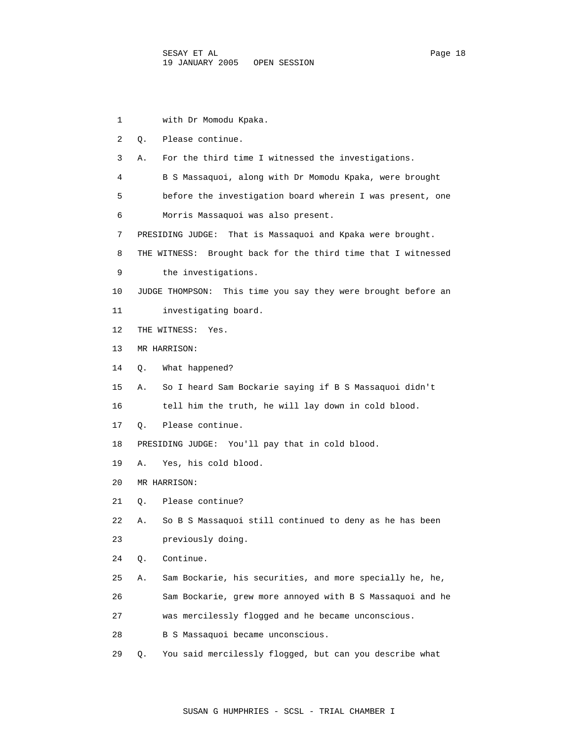1 with Dr Momodu Kpaka. 2 Q. Please continue. 3 A. For the third time I witnessed the investigations. 4 B S Massaquoi, along with Dr Momodu Kpaka, were brought 5 before the investigation board wherein I was present, one 6 Morris Massaquoi was also present. 7 PRESIDING JUDGE: That is Massaquoi and Kpaka were brought. 8 THE WITNESS: Brought back for the third time that I witnessed 9 the investigations. 10 JUDGE THOMPSON: This time you say they were brought before an 11 investigating board. 12 THE WITNESS: Yes. 13 MR HARRISON: 14 Q. What happened? 15 A. So I heard Sam Bockarie saying if B S Massaquoi didn't 16 tell him the truth, he will lay down in cold blood. 17 Q. Please continue. 18 PRESIDING JUDGE: You'll pay that in cold blood. 19 A. Yes, his cold blood. 20 MR HARRISON: 21 Q. Please continue? 22 A. So B S Massaquoi still continued to deny as he has been 23 previously doing. 24 Q. Continue. 25 A. Sam Bockarie, his securities, and more specially he, he, 26 Sam Bockarie, grew more annoyed with B S Massaquoi and he 27 was mercilessly flogged and he became unconscious. 28 B S Massaquoi became unconscious. 29 Q. You said mercilessly flogged, but can you describe what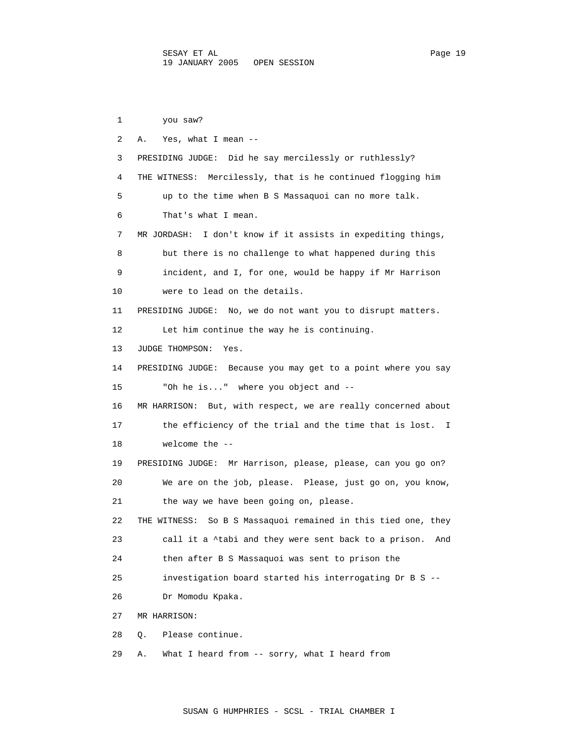1 you saw? 2 A. Yes, what I mean -- 3 PRESIDING JUDGE: Did he say mercilessly or ruthlessly? 4 THE WITNESS: Mercilessly, that is he continued flogging him 5 up to the time when B S Massaquoi can no more talk. 6 That's what I mean. 7 MR JORDASH: I don't know if it assists in expediting things, 8 but there is no challenge to what happened during this 9 incident, and I, for one, would be happy if Mr Harrison 10 were to lead on the details. 11 PRESIDING JUDGE: No, we do not want you to disrupt matters. 12 Let him continue the way he is continuing. 13 JUDGE THOMPSON: Yes. 14 PRESIDING JUDGE: Because you may get to a point where you say 15 "Oh he is..." where you object and -- 16 MR HARRISON: But, with respect, we are really concerned about 17 the efficiency of the trial and the time that is lost. I 18 welcome the -- 19 PRESIDING JUDGE: Mr Harrison, please, please, can you go on? 20 We are on the job, please. Please, just go on, you know, 21 the way we have been going on, please. 22 THE WITNESS: So B S Massaquoi remained in this tied one, they 23 call it a ^tabi and they were sent back to a prison. And 24 then after B S Massaquoi was sent to prison the 25 investigation board started his interrogating Dr B S -- 26 Dr Momodu Kpaka. 27 MR HARRISON: 28 Q. Please continue. 29 A. What I heard from -- sorry, what I heard from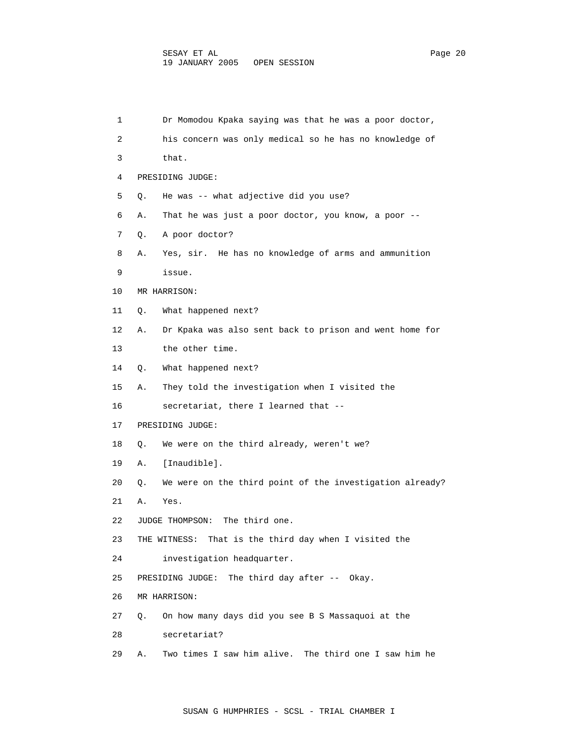| 1  | Dr Momodou Kpaka saying was that he was a poor doctor,         |
|----|----------------------------------------------------------------|
| 2  | his concern was only medical so he has no knowledge of         |
| 3  | that.                                                          |
| 4  | PRESIDING JUDGE:                                               |
| 5  | He was -- what adjective did you use?<br>Q.                    |
| 6  | Α.<br>That he was just a poor doctor, you know, a poor --      |
| 7  | A poor doctor?<br>Q.                                           |
| 8  | Yes, sir. He has no knowledge of arms and ammunition<br>А.     |
| 9  | issue.                                                         |
| 10 | MR HARRISON:                                                   |
| 11 | What happened next?<br>Q.                                      |
| 12 | Α.<br>Dr Kpaka was also sent back to prison and went home for  |
| 13 | the other time.                                                |
| 14 | What happened next?<br>Q.                                      |
| 15 | They told the investigation when I visited the<br>Α.           |
| 16 | secretariat, there I learned that --                           |
| 17 | PRESIDING JUDGE:                                               |
| 18 | We were on the third already, weren't we?<br>Q.                |
| 19 | [Inaudible].<br>Α.                                             |
| 20 | We were on the third point of the investigation already?<br>Q. |
| 21 | Α.<br>Yes.                                                     |
| 22 | The third one.<br>JUDGE THOMPSON:                              |
| 23 | That is the third day when I visited the<br>THE WITNESS:       |
| 24 | investigation headquarter.                                     |
| 25 | The third day after $--$ Okay.<br>PRESIDING JUDGE:             |
| 26 | MR HARRISON:                                                   |
| 27 | On how many days did you see B S Massaquoi at the<br>Q.        |
| 28 | secretariat?                                                   |
| 29 | Two times I saw him alive. The third one I saw him he<br>Α.    |
|    |                                                                |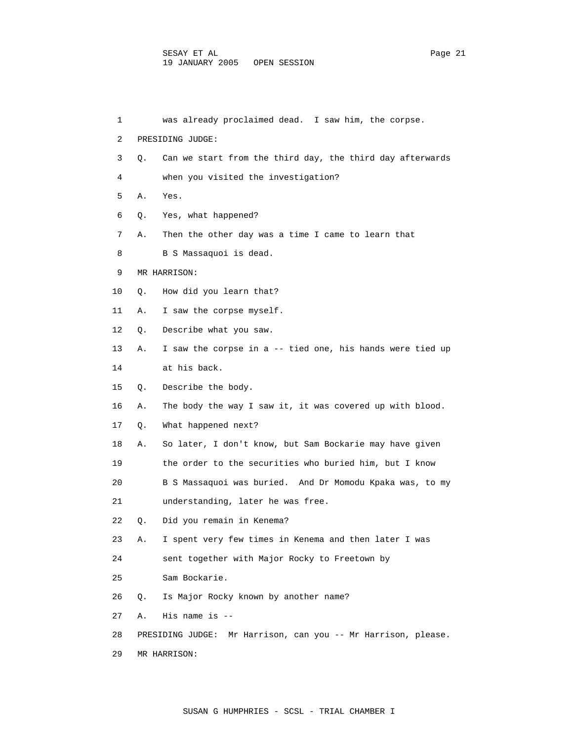| 1  |    | was already proclaimed dead. I saw him, the corpse.           |
|----|----|---------------------------------------------------------------|
| 2  |    | PRESIDING JUDGE:                                              |
| 3  | Q. | Can we start from the third day, the third day afterwards     |
| 4  |    | when you visited the investigation?                           |
| 5  | Α. | Yes.                                                          |
| 6  | Q. | Yes, what happened?                                           |
| 7  | Α. | Then the other day was a time I came to learn that            |
| 8  |    | B S Massaquoi is dead.                                        |
| 9  |    | MR HARRISON:                                                  |
| 10 | Q. | How did you learn that?                                       |
| 11 | Α. | I saw the corpse myself.                                      |
| 12 | Q. | Describe what you saw.                                        |
| 13 | Α. | I saw the corpse in a -- tied one, his hands were tied up     |
| 14 |    | at his back.                                                  |
| 15 | О. | Describe the body.                                            |
| 16 | Α. | The body the way I saw it, it was covered up with blood.      |
| 17 | Q. | What happened next?                                           |
| 18 | Α. | So later, I don't know, but Sam Bockarie may have given       |
| 19 |    | the order to the securities who buried him, but I know        |
| 20 |    | B S Massaquoi was buried. And Dr Momodu Kpaka was, to my      |
| 21 |    | understanding, later he was free.                             |
| 22 | Q. | Did you remain in Kenema?                                     |
| 23 | Α. | I spent very few times in Kenema and then later I was         |
| 24 |    | sent together with Major Rocky to Freetown by                 |
| 25 |    | Sam Bockarie.                                                 |
| 26 | Q. | Is Major Rocky known by another name?                         |
| 27 | Α. | His name is $-$                                               |
| 28 |    | PRESIDING JUDGE: Mr Harrison, can you -- Mr Harrison, please. |
| 29 |    | MR HARRISON:                                                  |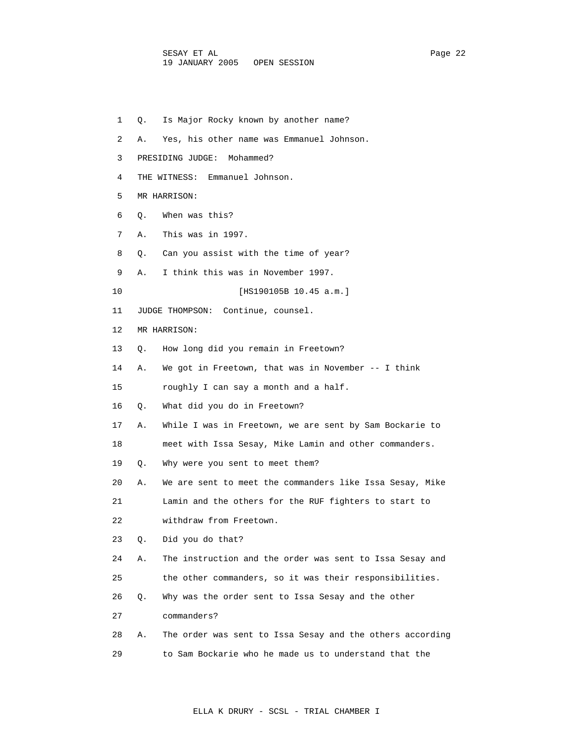| 1  | Is Major Rocky known by another name?<br>О.                     |  |
|----|-----------------------------------------------------------------|--|
| 2  | Yes, his other name was Emmanuel Johnson.<br>Α.                 |  |
| 3  | PRESIDING JUDGE: Mohammed?                                      |  |
| 4  | Emmanuel Johnson.<br>THE WITNESS:                               |  |
| 5  | MR HARRISON:                                                    |  |
| 6  | When was this?<br>Q.                                            |  |
| 7  | This was in 1997.<br>Α.                                         |  |
| 8  | Can you assist with the time of year?<br>О.                     |  |
| 9  | I think this was in November 1997.<br>Α.                        |  |
| 10 | [HS190105B 10.45 a.m.]                                          |  |
| 11 | Continue, counsel.<br>JUDGE THOMPSON:                           |  |
| 12 | MR HARRISON:                                                    |  |
| 13 | How long did you remain in Freetown?<br>О.                      |  |
| 14 | We got in Freetown, that was in November $-$ - I think<br>Α.    |  |
| 15 | roughly I can say a month and a half.                           |  |
| 16 | What did you do in Freetown?<br>Q.                              |  |
| 17 | While I was in Freetown, we are sent by Sam Bockarie to<br>Α.   |  |
| 18 | meet with Issa Sesay, Mike Lamin and other commanders.          |  |
| 19 | Why were you sent to meet them?<br>Q.                           |  |
| 20 | We are sent to meet the commanders like Issa Sesay, Mike<br>Α.  |  |
| 21 | Lamin and the others for the RUF fighters to start to           |  |
| 22 | withdraw from Freetown.                                         |  |
| 23 | Did you do that?<br>Q.                                          |  |
| 24 | The instruction and the order was sent to Issa Sesay and<br>Α.  |  |
| 25 | the other commanders, so it was their responsibilities.         |  |
| 26 | Why was the order sent to Issa Sesay and the other<br>Q.        |  |
| 27 | commanders?                                                     |  |
| 28 | The order was sent to Issa Sesay and the others according<br>Α. |  |
| 29 | to Sam Bockarie who he made us to understand that the           |  |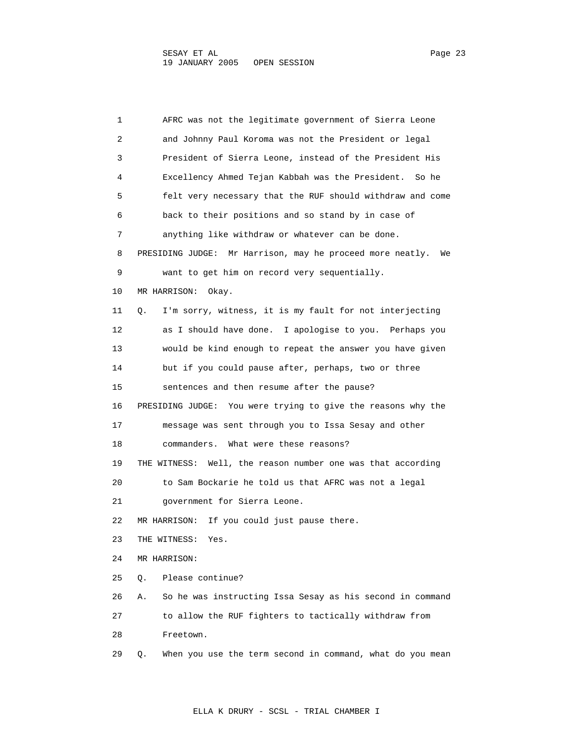1 AFRC was not the legitimate government of Sierra Leone 2 and Johnny Paul Koroma was not the President or legal 3 President of Sierra Leone, instead of the President His 4 Excellency Ahmed Tejan Kabbah was the President. So he 5 felt very necessary that the RUF should withdraw and come 6 back to their positions and so stand by in case of 7 anything like withdraw or whatever can be done. 8 PRESIDING JUDGE: Mr Harrison, may he proceed more neatly. We 9 want to get him on record very sequentially. 10 MR HARRISON: Okay. 11 Q. I'm sorry, witness, it is my fault for not interjecting 12 as I should have done. I apologise to you. Perhaps you 13 would be kind enough to repeat the answer you have given 14 but if you could pause after, perhaps, two or three 15 sentences and then resume after the pause? 16 PRESIDING JUDGE: You were trying to give the reasons why the 17 message was sent through you to Issa Sesay and other 18 commanders. What were these reasons? 19 THE WITNESS: Well, the reason number one was that according 20 to Sam Bockarie he told us that AFRC was not a legal 21 government for Sierra Leone. 22 MR HARRISON: If you could just pause there. 23 THE WITNESS: Yes. 24 MR HARRISON: 25 Q. Please continue? 26 A. So he was instructing Issa Sesay as his second in command 27 to allow the RUF fighters to tactically withdraw from 28 Freetown. 29 Q. When you use the term second in command, what do you mean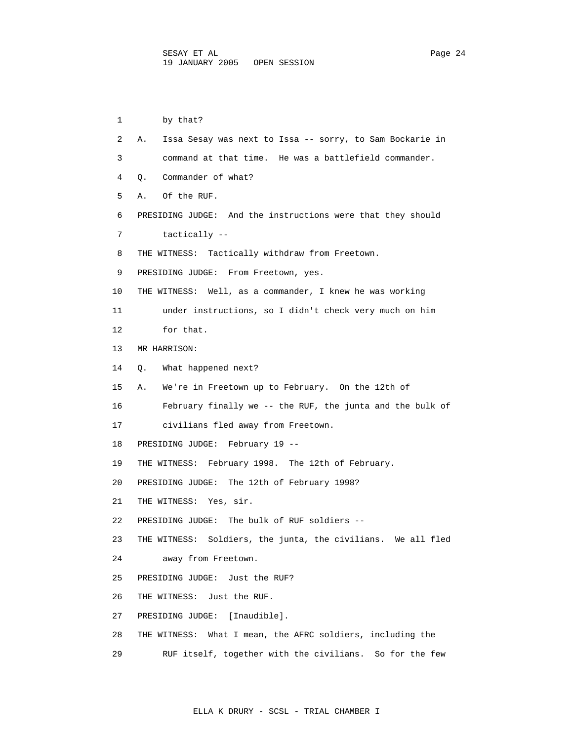1 by that? 2 A. Issa Sesay was next to Issa -- sorry, to Sam Bockarie in 3 command at that time. He was a battlefield commander. 4 Q. Commander of what? 5 A. Of the RUF. 6 PRESIDING JUDGE: And the instructions were that they should 7 tactically -- 8 THE WITNESS: Tactically withdraw from Freetown. 9 PRESIDING JUDGE: From Freetown, yes. 10 THE WITNESS: Well, as a commander, I knew he was working 11 under instructions, so I didn't check very much on him 12 for that. 13 MR HARRISON: 14 Q. What happened next? 15 A. We're in Freetown up to February. On the 12th of 16 February finally we -- the RUF, the junta and the bulk of 17 civilians fled away from Freetown. 18 PRESIDING JUDGE: February 19 -- 19 THE WITNESS: February 1998. The 12th of February. 20 PRESIDING JUDGE: The 12th of February 1998? 21 THE WITNESS: Yes, sir. 22 PRESIDING JUDGE: The bulk of RUF soldiers -- 23 THE WITNESS: Soldiers, the junta, the civilians. We all fled 24 away from Freetown. 25 PRESIDING JUDGE: Just the RUF? 26 THE WITNESS: Just the RUF. 27 PRESIDING JUDGE: [Inaudible]. 28 THE WITNESS: What I mean, the AFRC soldiers, including the 29 RUF itself, together with the civilians. So for the few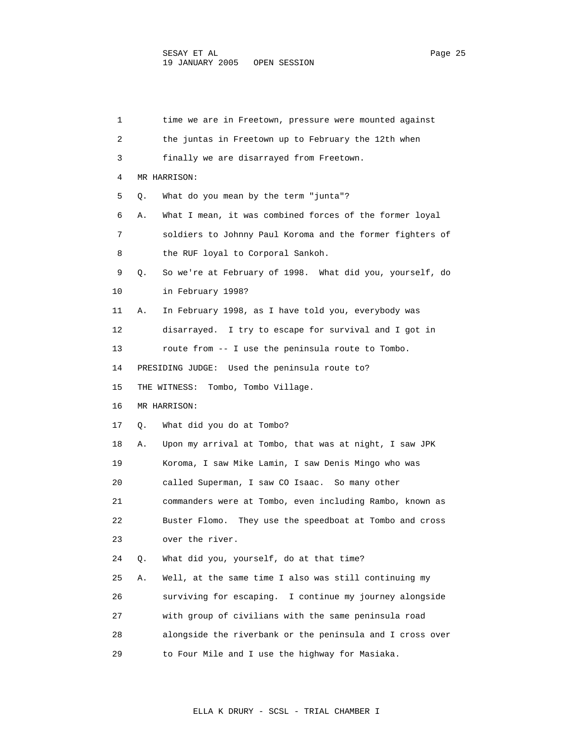| 1  |    | time we are in Freetown, pressure were mounted against     |
|----|----|------------------------------------------------------------|
| 2  |    | the juntas in Freetown up to February the 12th when        |
| 3  |    | finally we are disarrayed from Freetown.                   |
| 4  |    | MR HARRISON:                                               |
| 5  | Q. | What do you mean by the term "junta"?                      |
| 6  | Α. | What I mean, it was combined forces of the former loyal    |
| 7  |    | soldiers to Johnny Paul Koroma and the former fighters of  |
| 8  |    | the RUF loyal to Corporal Sankoh.                          |
| 9  | Q. | So we're at February of 1998. What did you, yourself, do   |
| 10 |    | in February 1998?                                          |
| 11 | Α. | In February 1998, as I have told you, everybody was        |
| 12 |    | disarrayed. I try to escape for survival and I got in      |
| 13 |    | route from -- I use the peninsula route to Tombo.          |
| 14 |    | PRESIDING JUDGE: Used the peninsula route to?              |
| 15 |    | Tombo, Tombo Village.<br>THE WITNESS:                      |
| 16 |    | MR HARRISON:                                               |
| 17 | Q. | What did you do at Tombo?                                  |
| 18 | Α. | Upon my arrival at Tombo, that was at night, I saw JPK     |
| 19 |    | Koroma, I saw Mike Lamin, I saw Denis Mingo who was        |
| 20 |    | called Superman, I saw CO Isaac. So many other             |
| 21 |    | commanders were at Tombo, even including Rambo, known as   |
| 22 |    | They use the speedboat at Tombo and cross<br>Buster Flomo. |
| 23 |    | over the river.                                            |
| 24 | Q. | What did you, yourself, do at that time?                   |
| 25 | Α. | Well, at the same time I also was still continuing my      |
| 26 |    | surviving for escaping. I continue my journey alongside    |
| 27 |    | with group of civilians with the same peninsula road       |
| 28 |    | alongside the riverbank or the peninsula and I cross over  |
| 29 |    | to Four Mile and I use the highway for Masiaka.            |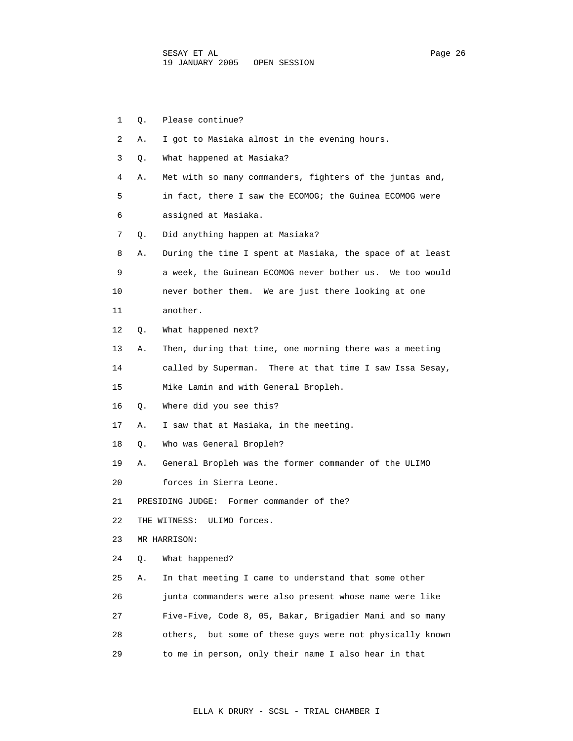| 1  | О. | Please continue?                                          |
|----|----|-----------------------------------------------------------|
| 2  | Α. | I got to Masiaka almost in the evening hours.             |
| 3  | Q. | What happened at Masiaka?                                 |
| 4  | Α. | Met with so many commanders, fighters of the juntas and,  |
| 5  |    | in fact, there I saw the ECOMOG; the Guinea ECOMOG were   |
| 6  |    | assigned at Masiaka.                                      |
| 7  | Q. | Did anything happen at Masiaka?                           |
| 8  | Α. | During the time I spent at Masiaka, the space of at least |
| 9  |    | a week, the Guinean ECOMOG never bother us. We too would  |
| 10 |    | never bother them. We are just there looking at one       |
| 11 |    | another.                                                  |
| 12 | Q. | What happened next?                                       |
| 13 | Α. | Then, during that time, one morning there was a meeting   |
| 14 |    | called by Superman. There at that time I saw Issa Sesay,  |
| 15 |    | Mike Lamin and with General Bropleh.                      |
| 16 | Q. | Where did you see this?                                   |
| 17 | Α. | I saw that at Masiaka, in the meeting.                    |
| 18 | О. | Who was General Bropleh?                                  |
| 19 | Α. | General Bropleh was the former commander of the ULIMO     |
| 20 |    | forces in Sierra Leone.                                   |
| 21 |    | PRESIDING JUDGE: Former commander of the?                 |
| 22 |    | THE WITNESS: ULIMO forces.                                |
| 23 |    | MR HARRISON:                                              |
| 24 | Q. | What happened?                                            |
| 25 | Α. | In that meeting I came to understand that some other      |
| 26 |    | junta commanders were also present whose name were like   |
| 27 |    | Five-Five, Code 8, 05, Bakar, Brigadier Mani and so many  |
| 28 |    | others, but some of these guys were not physically known  |
| 29 |    | to me in person, only their name I also hear in that      |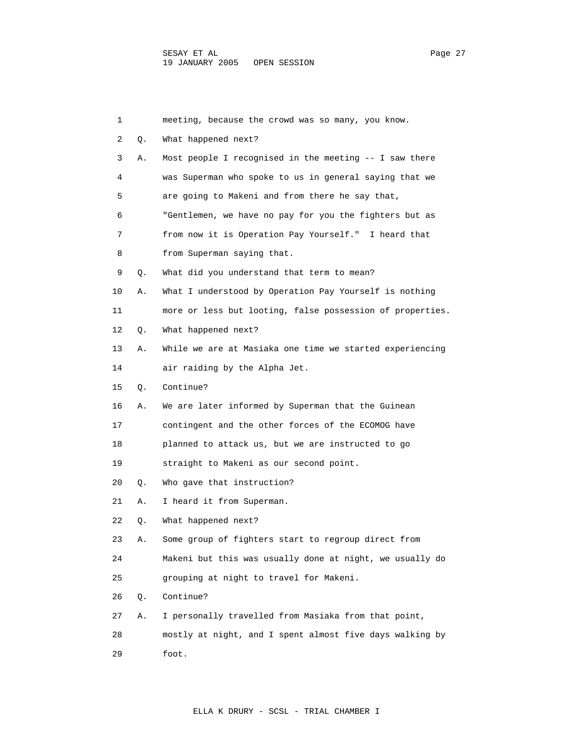| 1  |    | meeting, because the crowd was so many, you know.         |
|----|----|-----------------------------------------------------------|
| 2  | Q. | What happened next?                                       |
| 3  | Α. | Most people I recognised in the meeting -- I saw there    |
| 4  |    | was Superman who spoke to us in general saying that we    |
| 5  |    | are going to Makeni and from there he say that,           |
| 6  |    | "Gentlemen, we have no pay for you the fighters but as    |
| 7  |    | from now it is Operation Pay Yourself." I heard that      |
| 8  |    | from Superman saying that.                                |
| 9  | Q. | What did you understand that term to mean?                |
| 10 | Α. | What I understood by Operation Pay Yourself is nothing    |
| 11 |    | more or less but looting, false possession of properties. |
| 12 | Q. | What happened next?                                       |
| 13 | Α. | While we are at Masiaka one time we started experiencing  |
| 14 |    | air raiding by the Alpha Jet.                             |
| 15 | О. | Continue?                                                 |
| 16 | Α. | We are later informed by Superman that the Guinean        |
| 17 |    | contingent and the other forces of the ECOMOG have        |
| 18 |    | planned to attack us, but we are instructed to go         |
| 19 |    | straight to Makeni as our second point.                   |
| 20 | Q. | Who gave that instruction?                                |
| 21 | Α. | I heard it from Superman.                                 |
| 22 | Q. | What happened next?                                       |
| 23 | Α. | Some group of fighters start to regroup direct from       |
| 24 |    | Makeni but this was usually done at night, we usually do  |
| 25 |    | grouping at night to travel for Makeni.                   |
| 26 | Q. | Continue?                                                 |
| 27 | Α. | I personally travelled from Masiaka from that point,      |
| 28 |    | mostly at night, and I spent almost five days walking by  |
| 29 |    | foot.                                                     |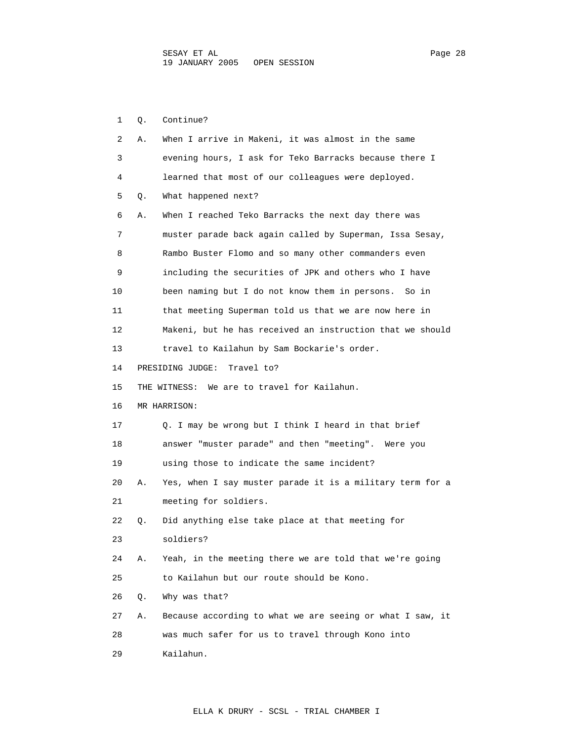1 Q. Continue? 2 A. When I arrive in Makeni, it was almost in the same 3 evening hours, I ask for Teko Barracks because there I 4 learned that most of our colleagues were deployed. 5 Q. What happened next? 6 A. When I reached Teko Barracks the next day there was 7 muster parade back again called by Superman, Issa Sesay, 8 Rambo Buster Flomo and so many other commanders even 9 including the securities of JPK and others who I have 10 been naming but I do not know them in persons. So in 11 that meeting Superman told us that we are now here in 12 Makeni, but he has received an instruction that we should 13 travel to Kailahun by Sam Bockarie's order. 14 PRESIDING JUDGE: Travel to? 15 THE WITNESS: We are to travel for Kailahun. 16 MR HARRISON: 17 Q. I may be wrong but I think I heard in that brief 18 answer "muster parade" and then "meeting". Were you 19 using those to indicate the same incident? 20 A. Yes, when I say muster parade it is a military term for a 21 meeting for soldiers. 22 Q. Did anything else take place at that meeting for 23 soldiers? 24 A. Yeah, in the meeting there we are told that we're going 25 to Kailahun but our route should be Kono. 26 Q. Why was that? 27 A. Because according to what we are seeing or what I saw, it 28 was much safer for us to travel through Kono into 29 Kailahun.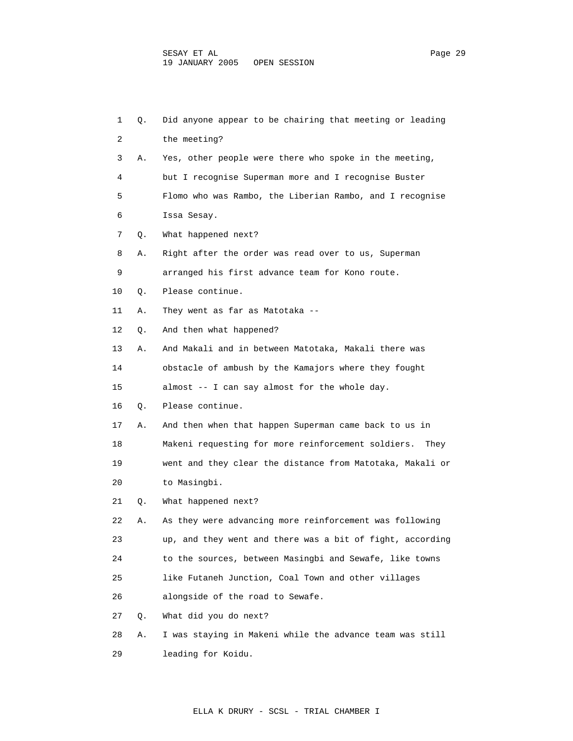| 1  | Q. | Did anyone appear to be chairing that meeting or leading   |
|----|----|------------------------------------------------------------|
| 2  |    | the meeting?                                               |
| 3  | Α. | Yes, other people were there who spoke in the meeting,     |
| 4  |    | but I recognise Superman more and I recognise Buster       |
| 5  |    | Flomo who was Rambo, the Liberian Rambo, and I recognise   |
| 6  |    | Issa Sesay.                                                |
| 7  | Q. | What happened next?                                        |
| 8  | Α. | Right after the order was read over to us, Superman        |
| 9  |    | arranged his first advance team for Kono route.            |
| 10 | Q. | Please continue.                                           |
| 11 | Α. | They went as far as Matotaka --                            |
| 12 | Q. | And then what happened?                                    |
| 13 | Α. | And Makali and in between Matotaka, Makali there was       |
| 14 |    | obstacle of ambush by the Kamajors where they fought       |
| 15 |    | almost -- I can say almost for the whole day.              |
| 16 | Q. | Please continue.                                           |
| 17 | Α. | And then when that happen Superman came back to us in      |
| 18 |    | Makeni requesting for more reinforcement soldiers.<br>They |
| 19 |    | went and they clear the distance from Matotaka, Makali or  |
| 20 |    | to Masingbi.                                               |
| 21 | Q. | What happened next?                                        |
| 22 | Α. | As they were advancing more reinforcement was following    |
| 23 |    | up, and they went and there was a bit of fight, according  |
| 24 |    | to the sources, between Masingbi and Sewafe, like towns    |
| 25 |    | like Futaneh Junction, Coal Town and other villages        |
| 26 |    | alongside of the road to Sewafe.                           |
| 27 | Q. | What did you do next?                                      |
| 28 | Α. | I was staying in Makeni while the advance team was still   |

29 leading for Koidu.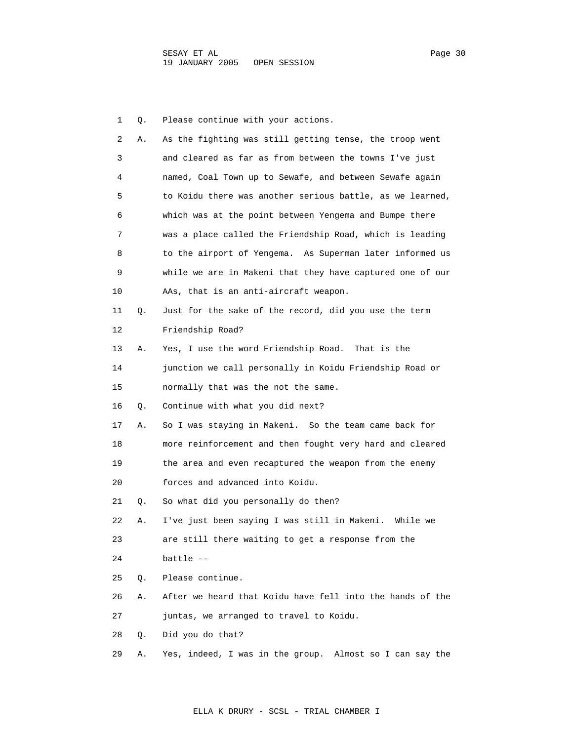1 Q. Please continue with your actions. 2 A. As the fighting was still getting tense, the troop went 3 and cleared as far as from between the towns I've just 4 named, Coal Town up to Sewafe, and between Sewafe again 5 to Koidu there was another serious battle, as we learned, 6 which was at the point between Yengema and Bumpe there 7 was a place called the Friendship Road, which is leading 8 to the airport of Yengema. As Superman later informed us 9 while we are in Makeni that they have captured one of our 10 AAs, that is an anti-aircraft weapon. 11 Q. Just for the sake of the record, did you use the term 12 Friendship Road? 13 A. Yes, I use the word Friendship Road. That is the 14 junction we call personally in Koidu Friendship Road or 15 normally that was the not the same. 16 Q. Continue with what you did next? 17 A. So I was staying in Makeni. So the team came back for 18 more reinforcement and then fought very hard and cleared 19 the area and even recaptured the weapon from the enemy 20 forces and advanced into Koidu. 21 Q. So what did you personally do then? 22 A. I've just been saying I was still in Makeni. While we 23 are still there waiting to get a response from the 24 battle -- 25 Q. Please continue. 26 A. After we heard that Koidu have fell into the hands of the 27 juntas, we arranged to travel to Koidu. 28 Q. Did you do that? 29 A. Yes, indeed, I was in the group. Almost so I can say the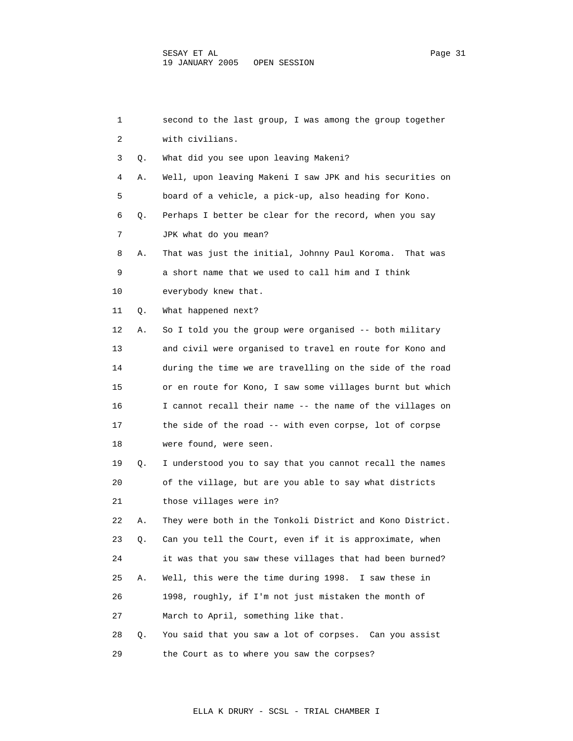| 1  |    | second to the last group, I was among the group together  |
|----|----|-----------------------------------------------------------|
| 2  |    | with civilians.                                           |
| 3  | Q. | What did you see upon leaving Makeni?                     |
| 4  | Α. | Well, upon leaving Makeni I saw JPK and his securities on |
| 5  |    | board of a vehicle, a pick-up, also heading for Kono.     |
| 6  | Q. | Perhaps I better be clear for the record, when you say    |
| 7  |    | JPK what do you mean?                                     |
| 8  | Α. | That was just the initial, Johnny Paul Koroma. That was   |
| 9  |    | a short name that we used to call him and I think         |
| 10 |    | everybody knew that.                                      |
| 11 | Q. | What happened next?                                       |
| 12 | Α. | So I told you the group were organised -- both military   |
| 13 |    | and civil were organised to travel en route for Kono and  |
| 14 |    | during the time we are travelling on the side of the road |
| 15 |    | or en route for Kono, I saw some villages burnt but which |
| 16 |    | I cannot recall their name -- the name of the villages on |
| 17 |    | the side of the road -- with even corpse, lot of corpse   |
| 18 |    | were found, were seen.                                    |
| 19 | Q. | I understood you to say that you cannot recall the names  |
| 20 |    | of the village, but are you able to say what districts    |
| 21 |    | those villages were in?                                   |
| 22 | Α. | They were both in the Tonkoli District and Kono District. |
| 23 | Q. | Can you tell the Court, even if it is approximate, when   |
| 24 |    | it was that you saw these villages that had been burned?  |
| 25 | Α. | Well, this were the time during 1998. I saw these in      |
| 26 |    | 1998, roughly, if I'm not just mistaken the month of      |
| 27 |    | March to April, something like that.                      |
| 28 | Q. | You said that you saw a lot of corpses. Can you assist    |
| 29 |    | the Court as to where you saw the corpses?                |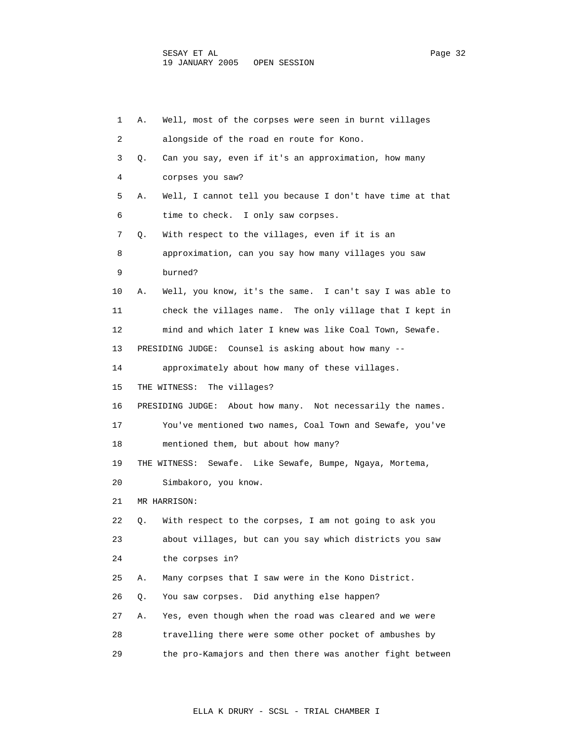| 1  | Α. | Well, most of the corpses were seen in burnt villages       |
|----|----|-------------------------------------------------------------|
| 2  |    | alongside of the road en route for Kono.                    |
| 3  | Q. | Can you say, even if it's an approximation, how many        |
| 4  |    | corpses you saw?                                            |
| 5  | Α. | Well, I cannot tell you because I don't have time at that   |
| 6  |    | time to check. I only saw corpses.                          |
| 7  | Q. | With respect to the villages, even if it is an              |
| 8  |    | approximation, can you say how many villages you saw        |
| 9  |    | burned?                                                     |
| 10 | Α. | Well, you know, it's the same. I can't say I was able to    |
| 11 |    | check the villages name. The only village that I kept in    |
| 12 |    | mind and which later I knew was like Coal Town, Sewafe.     |
| 13 |    | PRESIDING JUDGE: Counsel is asking about how many --        |
| 14 |    | approximately about how many of these villages.             |
| 15 |    | THE WITNESS:<br>The villages?                               |
| 16 |    | PRESIDING JUDGE: About how many. Not necessarily the names. |
| 17 |    | You've mentioned two names, Coal Town and Sewafe, you've    |
| 18 |    | mentioned them, but about how many?                         |
| 19 |    | THE WITNESS:<br>Sewafe. Like Sewafe, Bumpe, Ngaya, Mortema, |
| 20 |    | Simbakoro, you know.                                        |
| 21 |    | MR HARRISON:                                                |
| 22 | Q. | With respect to the corpses, I am not going to ask you      |
| 23 |    | about villages, but can you say which districts you saw     |
| 24 |    | the corpses in?                                             |
| 25 | Α. | Many corpses that I saw were in the Kono District.          |
| 26 | Q. | Did anything else happen?<br>You saw corpses.               |
| 27 | Α. | Yes, even though when the road was cleared and we were      |
| 28 |    | travelling there were some other pocket of ambushes by      |
| 29 |    | the pro-Kamajors and then there was another fight between   |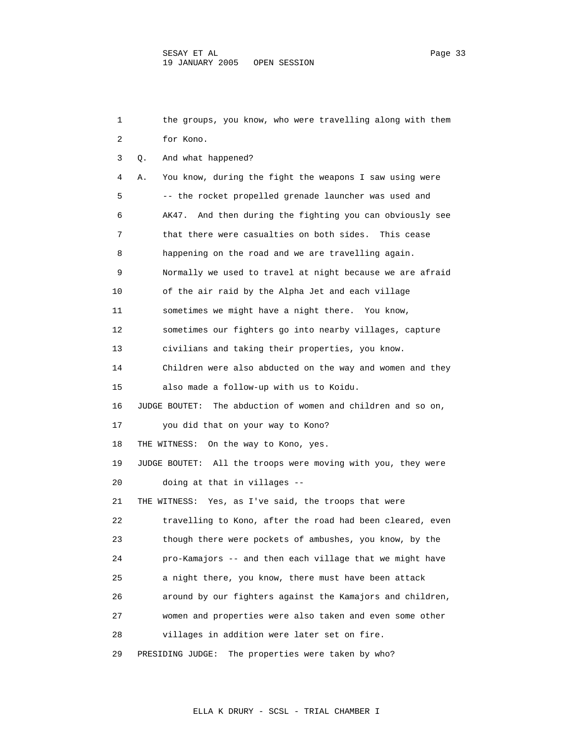1 the groups, you know, who were travelling along with them 2 for Kono. 3 Q. And what happened? 4 A. You know, during the fight the weapons I saw using were 5 -- the rocket propelled grenade launcher was used and 6 AK47. And then during the fighting you can obviously see 7 that there were casualties on both sides. This cease 8 happening on the road and we are travelling again. 9 Normally we used to travel at night because we are afraid 10 of the air raid by the Alpha Jet and each village 11 sometimes we might have a night there. You know, 12 sometimes our fighters go into nearby villages, capture 13 civilians and taking their properties, you know. 14 Children were also abducted on the way and women and they 15 also made a follow-up with us to Koidu. 16 JUDGE BOUTET: The abduction of women and children and so on, 17 you did that on your way to Kono? 18 THE WITNESS: On the way to Kono, yes. 19 JUDGE BOUTET: All the troops were moving with you, they were 20 doing at that in villages -- 21 THE WITNESS: Yes, as I've said, the troops that were 22 travelling to Kono, after the road had been cleared, even 23 though there were pockets of ambushes, you know, by the 24 pro-Kamajors -- and then each village that we might have 25 a night there, you know, there must have been attack 26 around by our fighters against the Kamajors and children, 27 women and properties were also taken and even some other 28 villages in addition were later set on fire. 29 PRESIDING JUDGE: The properties were taken by who?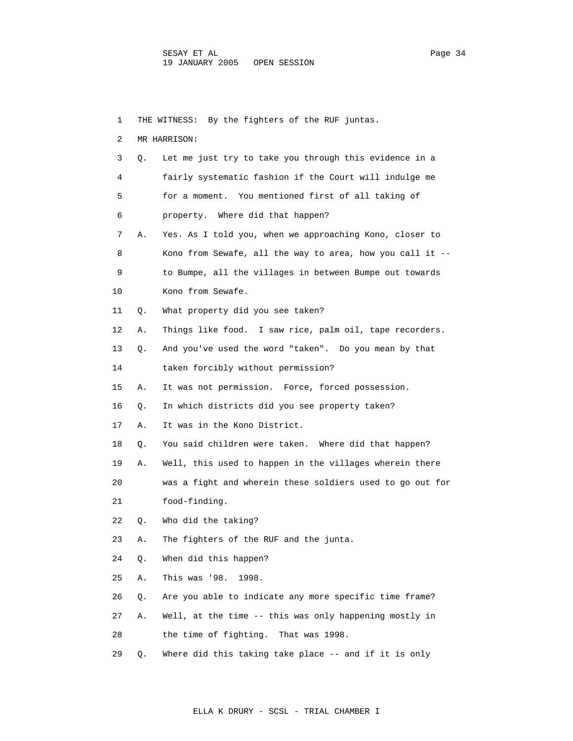1 THE WITNESS: By the fighters of the RUF juntas. 2 MR HARRISON: 3 Q. Let me just try to take you through this evidence in a 4 fairly systematic fashion if the Court will indulge me 5 for a moment. You mentioned first of all taking of 6 property. Where did that happen? 7 A. Yes. As I told you, when we approaching Kono, closer to 8 Kono from Sewafe, all the way to area, how you call it -- 9 to Bumpe, all the villages in between Bumpe out towards 10 Kono from Sewafe. 11 Q. What property did you see taken? 12 A. Things like food. I saw rice, palm oil, tape recorders. 13 Q. And you've used the word "taken". Do you mean by that 14 taken forcibly without permission? 15 A. It was not permission. Force, forced possession. 16 Q. In which districts did you see property taken? 17 A. It was in the Kono District. 18 Q. You said children were taken. Where did that happen? 19 A. Well, this used to happen in the villages wherein there 20 was a fight and wherein these soldiers used to go out for 21 food-finding. 22 Q. Who did the taking? 23 A. The fighters of the RUF and the junta. 24 Q. When did this happen? 25 A. This was '98. 1998. 26 Q. Are you able to indicate any more specific time frame? 27 A. Well, at the time -- this was only happening mostly in 28 the time of fighting. That was 1998. 29 Q. Where did this taking take place -- and if it is only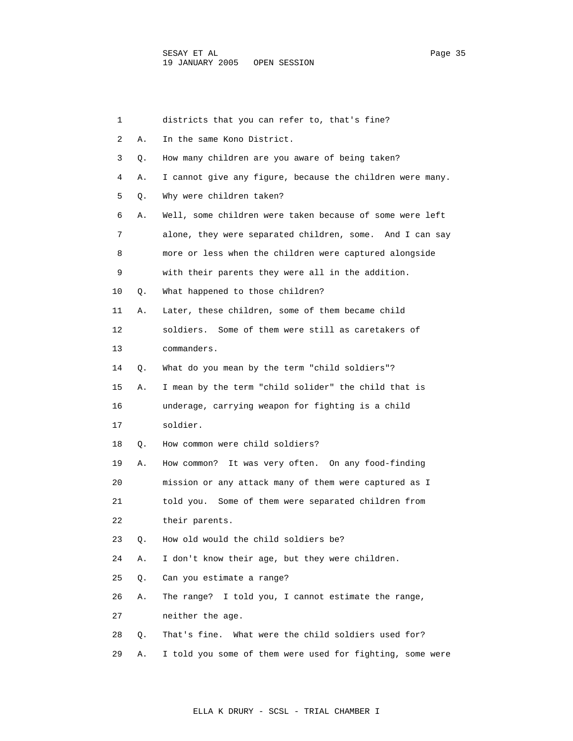| 1  |    | districts that you can refer to, that's fine?             |
|----|----|-----------------------------------------------------------|
| 2  | Α. | In the same Kono District.                                |
| 3  | Q. | How many children are you aware of being taken?           |
| 4  | Α. | I cannot give any figure, because the children were many. |
| 5  | О. | Why were children taken?                                  |
| 6  | Α. | Well, some children were taken because of some were left  |
| 7  |    | alone, they were separated children, some. And I can say  |
| 8  |    | more or less when the children were captured alongside    |
| 9  |    | with their parents they were all in the addition.         |
| 10 | Q. | What happened to those children?                          |
| 11 | Α. | Later, these children, some of them became child          |
| 12 |    | soldiers. Some of them were still as caretakers of        |
| 13 |    | commanders.                                               |
| 14 | Q. | What do you mean by the term "child soldiers"?            |
| 15 | Α. | I mean by the term "child solider" the child that is      |
| 16 |    | underage, carrying weapon for fighting is a child         |
| 17 |    | soldier.                                                  |
| 18 | Q. | How common were child soldiers?                           |
| 19 | Α. | It was very often. On any food-finding<br>How common?     |
| 20 |    | mission or any attack many of them were captured as I     |
| 21 |    | told you. Some of them were separated children from       |
| 22 |    | their parents.                                            |
| 23 | О. | How old would the child soldiers be?                      |
| 24 | Α. | I don't know their age, but they were children.           |
| 25 | Q. | Can you estimate a range?                                 |
| 26 | Α. | I told you, I cannot estimate the range,<br>The range?    |
| 27 |    | neither the age.                                          |
| 28 | Q. | That's fine. What were the child soldiers used for?       |
| 29 | Α. | I told you some of them were used for fighting, some were |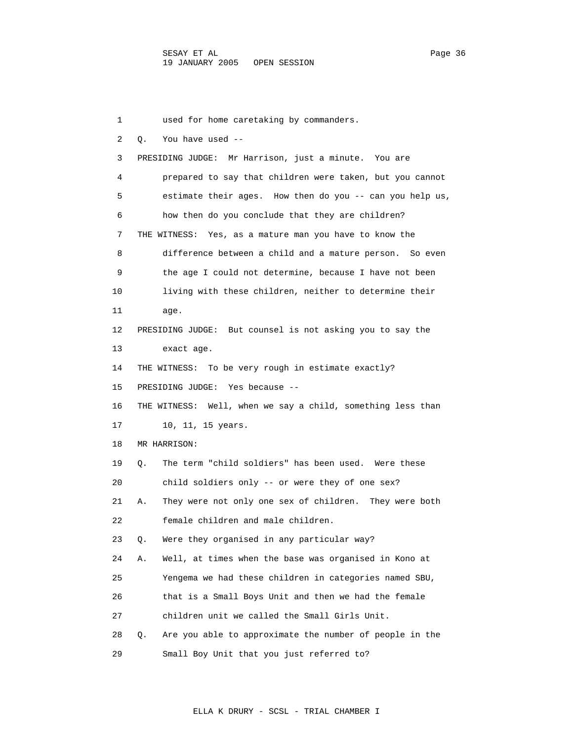1 used for home caretaking by commanders. 2 Q. You have used -- 3 PRESIDING JUDGE: Mr Harrison, just a minute. You are 4 prepared to say that children were taken, but you cannot 5 estimate their ages. How then do you -- can you help us, 6 how then do you conclude that they are children? 7 THE WITNESS: Yes, as a mature man you have to know the 8 difference between a child and a mature person. So even 9 the age I could not determine, because I have not been 10 living with these children, neither to determine their 11 age. 12 PRESIDING JUDGE: But counsel is not asking you to say the 13 exact age. 14 THE WITNESS: To be very rough in estimate exactly? 15 PRESIDING JUDGE: Yes because -- 16 THE WITNESS: Well, when we say a child, something less than 17 10, 11, 15 years. 18 MR HARRISON: 19 Q. The term "child soldiers" has been used. Were these 20 child soldiers only -- or were they of one sex? 21 A. They were not only one sex of children. They were both 22 female children and male children. 23 Q. Were they organised in any particular way? 24 A. Well, at times when the base was organised in Kono at 25 Yengema we had these children in categories named SBU, 26 that is a Small Boys Unit and then we had the female 27 children unit we called the Small Girls Unit. 28 Q. Are you able to approximate the number of people in the 29 Small Boy Unit that you just referred to?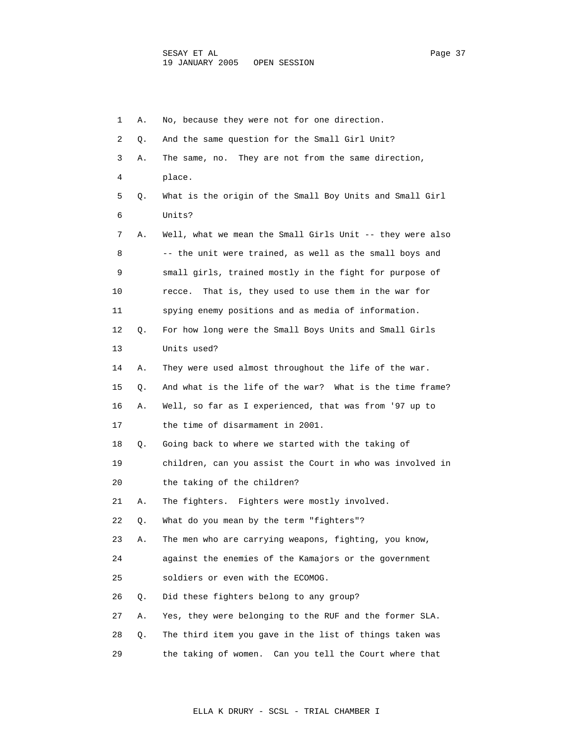1 A. No, because they were not for one direction. 2 Q. And the same question for the Small Girl Unit? 3 A. The same, no. They are not from the same direction, 4 place. 5 Q. What is the origin of the Small Boy Units and Small Girl 6 Units? 7 A. Well, what we mean the Small Girls Unit -- they were also 8 -- the unit were trained, as well as the small boys and 9 small girls, trained mostly in the fight for purpose of 10 recce. That is, they used to use them in the war for 11 spying enemy positions and as media of information. 12 Q. For how long were the Small Boys Units and Small Girls 13 Units used? 14 A. They were used almost throughout the life of the war. 15 Q. And what is the life of the war? What is the time frame? 16 A. Well, so far as I experienced, that was from '97 up to 17 the time of disarmament in 2001. 18 Q. Going back to where we started with the taking of 19 children, can you assist the Court in who was involved in 20 the taking of the children? 21 A. The fighters. Fighters were mostly involved. 22 Q. What do you mean by the term "fighters"? 23 A. The men who are carrying weapons, fighting, you know, 24 against the enemies of the Kamajors or the government 25 soldiers or even with the ECOMOG. 26 Q. Did these fighters belong to any group? 27 A. Yes, they were belonging to the RUF and the former SLA. 28 Q. The third item you gave in the list of things taken was 29 the taking of women. Can you tell the Court where that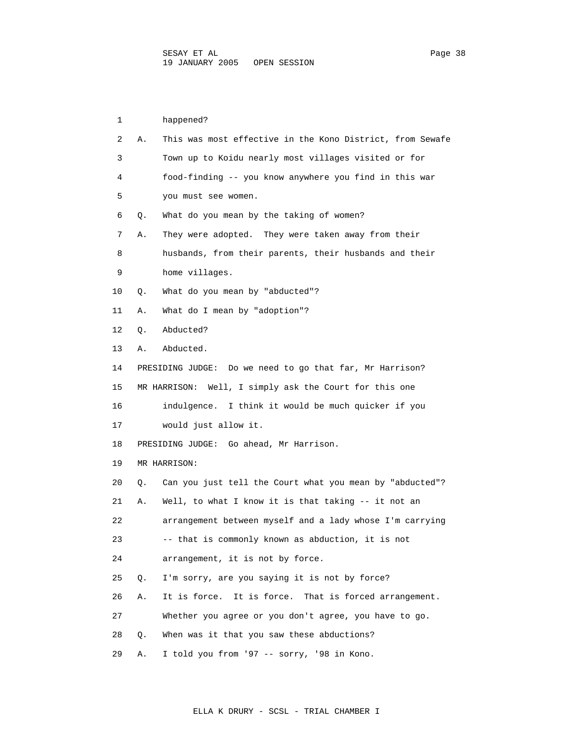1 happened? 2 A. This was most effective in the Kono District, from Sewafe 3 Town up to Koidu nearly most villages visited or for 4 food-finding -- you know anywhere you find in this war 5 you must see women. 6 Q. What do you mean by the taking of women? 7 A. They were adopted. They were taken away from their 8 husbands, from their parents, their husbands and their 9 home villages. 10 Q. What do you mean by "abducted"? 11 A. What do I mean by "adoption"? 12 Q. Abducted? 13 A. Abducted. 14 PRESIDING JUDGE: Do we need to go that far, Mr Harrison? 15 MR HARRISON: Well, I simply ask the Court for this one 16 indulgence. I think it would be much quicker if you 17 would just allow it. 18 PRESIDING JUDGE: Go ahead, Mr Harrison. 19 MR HARRISON: 20 Q. Can you just tell the Court what you mean by "abducted"? 21 A. Well, to what I know it is that taking -- it not an 22 arrangement between myself and a lady whose I'm carrying 23 -- that is commonly known as abduction, it is not 24 arrangement, it is not by force. 25 Q. I'm sorry, are you saying it is not by force? 26 A. It is force. It is force. That is forced arrangement. 27 Whether you agree or you don't agree, you have to go. 28 Q. When was it that you saw these abductions?

29 A. I told you from '97 -- sorry, '98 in Kono.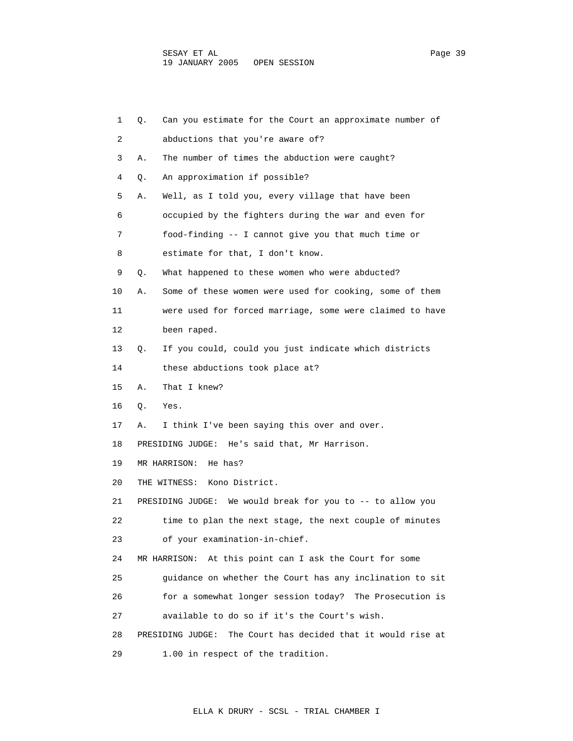| 1  | Q. | Can you estimate for the Court an approximate number of         |
|----|----|-----------------------------------------------------------------|
| 2  |    | abductions that you're aware of?                                |
| 3  | Α. | The number of times the abduction were caught?                  |
| 4  | Q. | An approximation if possible?                                   |
| 5  | Α. | Well, as I told you, every village that have been               |
| 6  |    | occupied by the fighters during the war and even for            |
| 7  |    | food-finding -- I cannot give you that much time or             |
| 8  |    | estimate for that, I don't know.                                |
| 9  | Q. | What happened to these women who were abducted?                 |
| 10 | Α. | Some of these women were used for cooking, some of them         |
| 11 |    | were used for forced marriage, some were claimed to have        |
| 12 |    | been raped.                                                     |
| 13 | Q. | If you could, could you just indicate which districts           |
| 14 |    | these abductions took place at?                                 |
| 15 | Α. | That I knew?                                                    |
| 16 | Q. | Yes.                                                            |
| 17 | Α. | I think I've been saying this over and over.                    |
| 18 |    | PRESIDING JUDGE:<br>He's said that, Mr Harrison.                |
| 19 |    | MR HARRISON:<br>He has?                                         |
| 20 |    | Kono District.<br>THE WITNESS:                                  |
| 21 |    | PRESIDING JUDGE: We would break for you to $-$ - to allow you   |
| 22 |    | time to plan the next stage, the next couple of minutes         |
| 23 |    | of your examination-in-chief.                                   |
| 24 |    | At this point can I ask the Court for some<br>MR HARRISON:      |
| 25 |    | quidance on whether the Court has any inclination to sit        |
| 26 |    | for a somewhat longer session today? The Prosecution is         |
| 27 |    | available to do so if it's the Court's wish.                    |
| 28 |    | The Court has decided that it would rise at<br>PRESIDING JUDGE: |
| 29 |    | 1.00 in respect of the tradition.                               |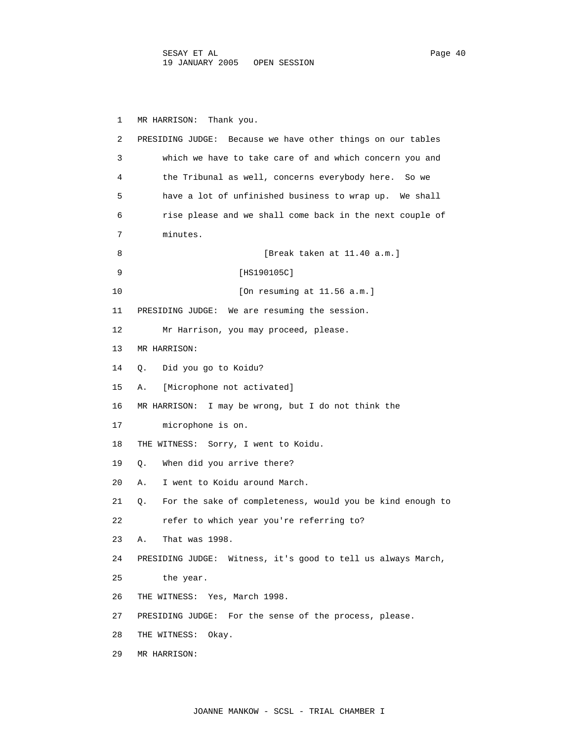1 MR HARRISON: Thank you. 2 PRESIDING JUDGE: Because we have other things on our tables 3 which we have to take care of and which concern you and 4 the Tribunal as well, concerns everybody here. So we 5 have a lot of unfinished business to wrap up. We shall 6 rise please and we shall come back in the next couple of 7 minutes. 8 [Break taken at 11.40 a.m.] 9 [HS190105C] 10 [On resuming at 11.56 a.m.] 11 PRESIDING JUDGE: We are resuming the session. 12 Mr Harrison, you may proceed, please. 13 MR HARRISON: 14 Q. Did you go to Koidu? 15 A. [Microphone not activated] 16 MR HARRISON: I may be wrong, but I do not think the 17 microphone is on. 18 THE WITNESS: Sorry, I went to Koidu. 19 Q. When did you arrive there? 20 A. I went to Koidu around March. 21 Q. For the sake of completeness, would you be kind enough to 22 refer to which year you're referring to? 23 A. That was 1998. 24 PRESIDING JUDGE: Witness, it's good to tell us always March, 25 the year. 26 THE WITNESS: Yes, March 1998. 27 PRESIDING JUDGE: For the sense of the process, please. 28 THE WITNESS: Okay. 29 MR HARRISON: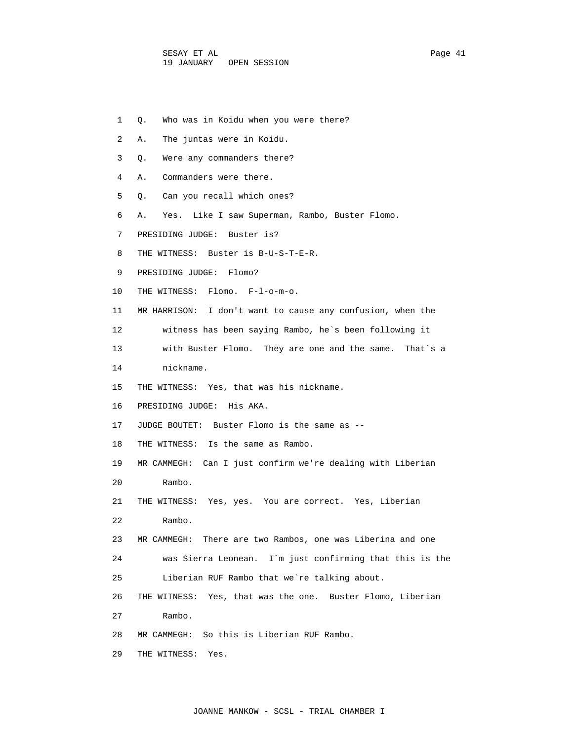- 1 Q. Who was in Koidu when you were there?
- 2 A. The juntas were in Koidu.
- 3 Q. Were any commanders there?
- 4 A. Commanders were there.
- 5 Q. Can you recall which ones?
- 6 A. Yes. Like I saw Superman, Rambo, Buster Flomo.
- 7 PRESIDING JUDGE: Buster is?
- 8 THE WITNESS: Buster is B-U-S-T-E-R.
- 9 PRESIDING JUDGE: Flomo?
- 10 THE WITNESS: Flomo. F-l-o-m-o.
- 11 MR HARRISON: I don't want to cause any confusion, when the
- 12 witness has been saying Rambo, he`s been following it
- 13 with Buster Flomo. They are one and the same. That`s a
- 14 nickname.
- 15 THE WITNESS: Yes, that was his nickname.
- 16 PRESIDING JUDGE: His AKA.
- 17 JUDGE BOUTET: Buster Flomo is the same as --
- 18 THE WITNESS: Is the same as Rambo.
- 19 MR CAMMEGH: Can I just confirm we're dealing with Liberian
- 20 Rambo.
- 21 THE WITNESS: Yes, yes. You are correct. Yes, Liberian
- 22 Rambo.
- 23 MR CAMMEGH: There are two Rambos, one was Liberina and one
- 24 was Sierra Leonean. I`m just confirming that this is the 25 Liberian RUF Rambo that we`re talking about.
- 26 THE WITNESS: Yes, that was the one. Buster Flomo, Liberian
- 27 Rambo.
- 28 MR CAMMEGH: So this is Liberian RUF Rambo.
- 29 THE WITNESS: Yes.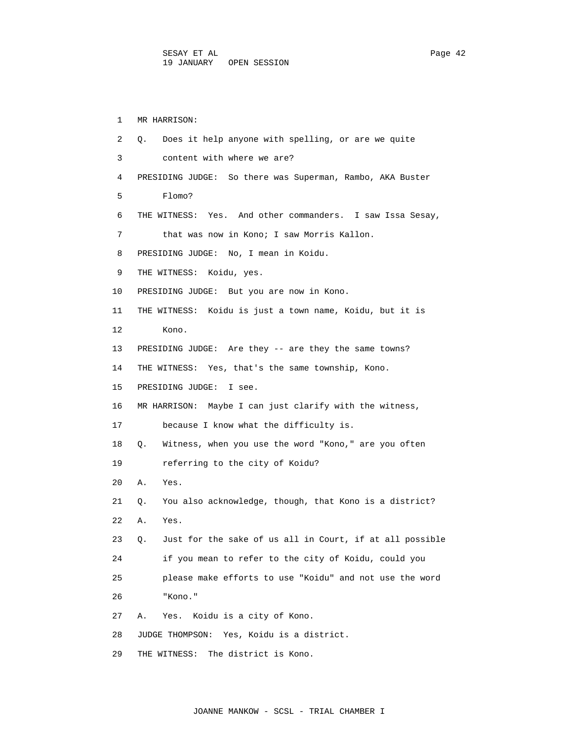1 MR HARRISON: 2 Q. Does it help anyone with spelling, or are we quite 3 content with where we are? 4 PRESIDING JUDGE: So there was Superman, Rambo, AKA Buster 5 Flomo? 6 THE WITNESS: Yes. And other commanders. I saw Issa Sesay, 7 that was now in Kono; I saw Morris Kallon. 8 PRESIDING JUDGE: No, I mean in Koidu. 9 THE WITNESS: Koidu, yes. 10 PRESIDING JUDGE: But you are now in Kono. 11 THE WITNESS: Koidu is just a town name, Koidu, but it is 12 Kono. 13 PRESIDING JUDGE: Are they -- are they the same towns? 14 THE WITNESS: Yes, that's the same township, Kono. 15 PRESIDING JUDGE: I see. 16 MR HARRISON: Maybe I can just clarify with the witness, 17 because I know what the difficulty is. 18 Q. Witness, when you use the word "Kono," are you often 19 referring to the city of Koidu? 20 A. Yes. 21 Q. You also acknowledge, though, that Kono is a district? 22 A. Yes. 23 Q. Just for the sake of us all in Court, if at all possible 24 if you mean to refer to the city of Koidu, could you 25 please make efforts to use "Koidu" and not use the word 26 "Kono." 27 A. Yes. Koidu is a city of Kono. 28 JUDGE THOMPSON: Yes, Koidu is a district. 29 THE WITNESS: The district is Kono.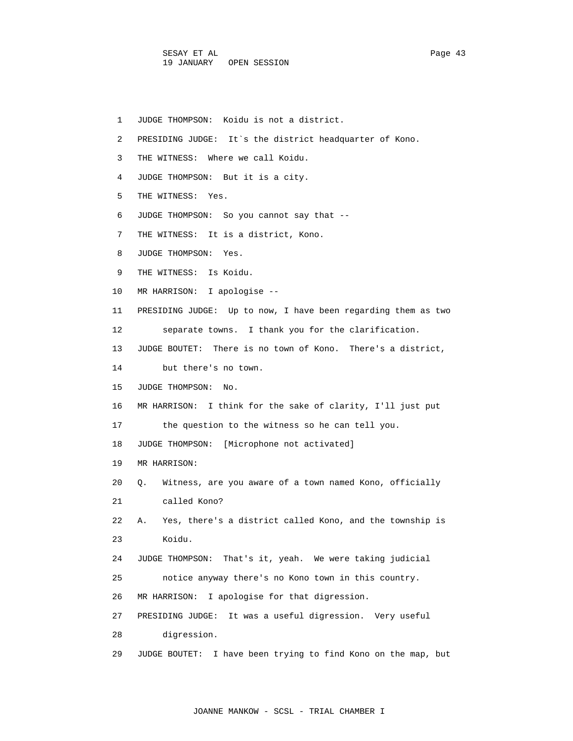|  | JUDGE THOMPSON: Koidu is not a district. |  |  |  |
|--|------------------------------------------|--|--|--|
|--|------------------------------------------|--|--|--|

- 2 PRESIDING JUDGE: It`s the district headquarter of Kono.
- 3 THE WITNESS: Where we call Koidu.
- 4 JUDGE THOMPSON: But it is a city.
- 5 THE WITNESS: Yes.
- 6 JUDGE THOMPSON: So you cannot say that --
- 7 THE WITNESS: It is a district, Kono.
- 8 JUDGE THOMPSON: Yes.
- 9 THE WITNESS: Is Koidu.
- 10 MR HARRISON: I apologise --
- 11 PRESIDING JUDGE: Up to now, I have been regarding them as two 12 separate towns. I thank you for the clarification.
- 13 JUDGE BOUTET: There is no town of Kono. There's a district,
- 14 but there's no town.
- 15 JUDGE THOMPSON: No.
- 16 MR HARRISON: I think for the sake of clarity, I'll just put
- 17 the question to the witness so he can tell you.
- 18 JUDGE THOMPSON: [Microphone not activated]
- 19 MR HARRISON:
- 20 Q. Witness, are you aware of a town named Kono, officially 21 called Kono?

 22 A. Yes, there's a district called Kono, and the township is 23 Koidu.

 24 JUDGE THOMPSON: That's it, yeah. We were taking judicial 25 notice anyway there's no Kono town in this country.

- 26 MR HARRISON: I apologise for that digression.
- 27 PRESIDING JUDGE: It was a useful digression. Very useful

28 digression.

29 JUDGE BOUTET: I have been trying to find Kono on the map, but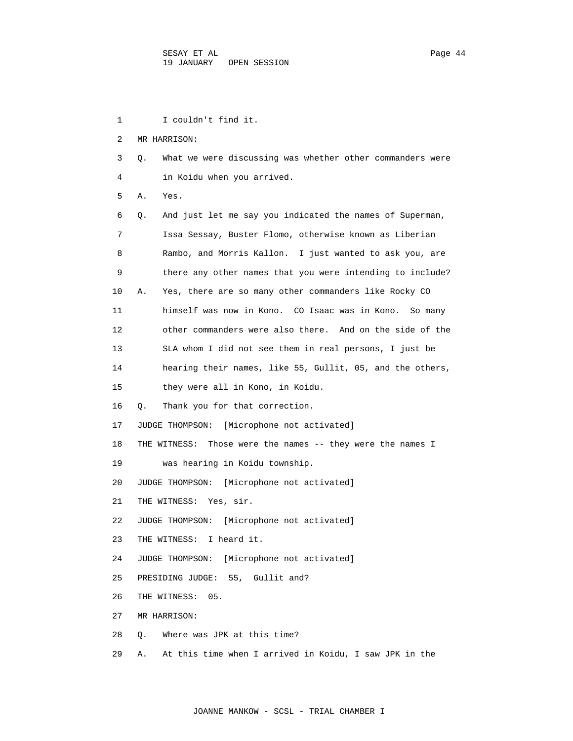1 I couldn't find it. 2 MR HARRISON: 3 Q. What we were discussing was whether other commanders were 4 in Koidu when you arrived. 5 A. Yes. 6 Q. And just let me say you indicated the names of Superman, 7 Issa Sessay, Buster Flomo, otherwise known as Liberian 8 Rambo, and Morris Kallon. I just wanted to ask you, are 9 there any other names that you were intending to include? 10 A. Yes, there are so many other commanders like Rocky CO 11 himself was now in Kono. CO Isaac was in Kono. So many 12 other commanders were also there. And on the side of the 13 SLA whom I did not see them in real persons, I just be 14 hearing their names, like 55, Gullit, 05, and the others, 15 they were all in Kono, in Koidu. 16 Q. Thank you for that correction. 17 JUDGE THOMPSON: [Microphone not activated] 18 THE WITNESS: Those were the names -- they were the names I 19 was hearing in Koidu township. 20 JUDGE THOMPSON: [Microphone not activated] 21 THE WITNESS: Yes, sir. 22 JUDGE THOMPSON: [Microphone not activated] 23 THE WITNESS: I heard it. 24 JUDGE THOMPSON: [Microphone not activated] 25 PRESIDING JUDGE: 55, Gullit and? 26 THE WITNESS: 05. 27 MR HARRISON: 28 Q. Where was JPK at this time? 29 A. At this time when I arrived in Koidu, I saw JPK in the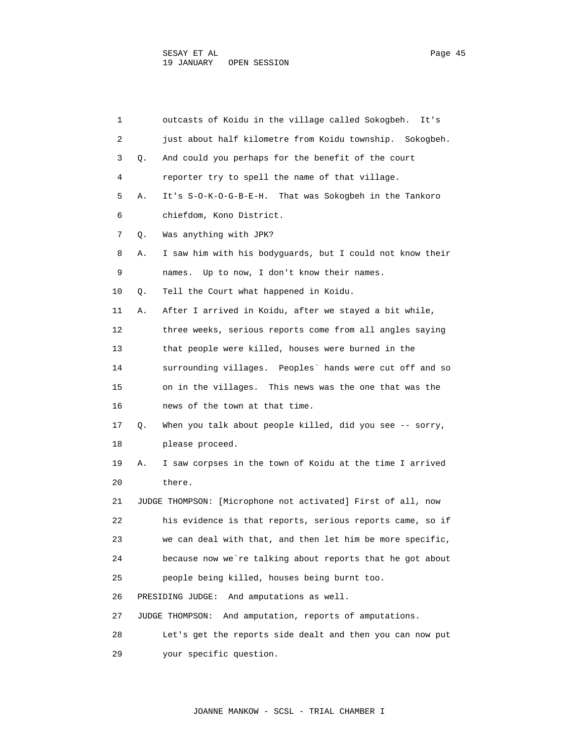| 1  |    | outcasts of Koidu in the village called Sokogbeh.<br>It's    |
|----|----|--------------------------------------------------------------|
| 2  |    | just about half kilometre from Koidu township. Sokogbeh.     |
| 3  | Q. | And could you perhaps for the benefit of the court           |
| 4  |    | reporter try to spell the name of that village.              |
| 5  | Α. | It's S-O-K-O-G-B-E-H. That was Sokogbeh in the Tankoro       |
| 6  |    | chiefdom, Kono District.                                     |
| 7  | Q. | Was anything with JPK?                                       |
| 8  | Α. | I saw him with his bodyguards, but I could not know their    |
| 9  |    | Up to now, I don't know their names.<br>names.               |
| 10 | Q. | Tell the Court what happened in Koidu.                       |
| 11 | Α. | After I arrived in Koidu, after we stayed a bit while,       |
| 12 |    | three weeks, serious reports come from all angles saying     |
| 13 |    | that people were killed, houses were burned in the           |
| 14 |    | surrounding villages. Peoples' hands were cut off and so     |
| 15 |    | on in the villages. This news was the one that was the       |
| 16 |    | news of the town at that time.                               |
| 17 | Q. | When you talk about people killed, did you see -- sorry,     |
| 18 |    | please proceed.                                              |
| 19 | Α. | I saw corpses in the town of Koidu at the time I arrived     |
| 20 |    | there.                                                       |
| 21 |    | JUDGE THOMPSON: [Microphone not activated] First of all, now |
| 22 |    | his evidence is that reports, serious reports came, so if    |
| 23 |    | we can deal with that, and then let him be more specific,    |
| 24 |    | because now we're talking about reports that he got about    |
| 25 |    | people being killed, houses being burnt too.                 |
| 26 |    | PRESIDING JUDGE:<br>And amputations as well.                 |
| 27 |    | And amputation, reports of amputations.<br>JUDGE THOMPSON:   |
| 28 |    | Let's get the reports side dealt and then you can now put    |
| 29 |    | your specific question.                                      |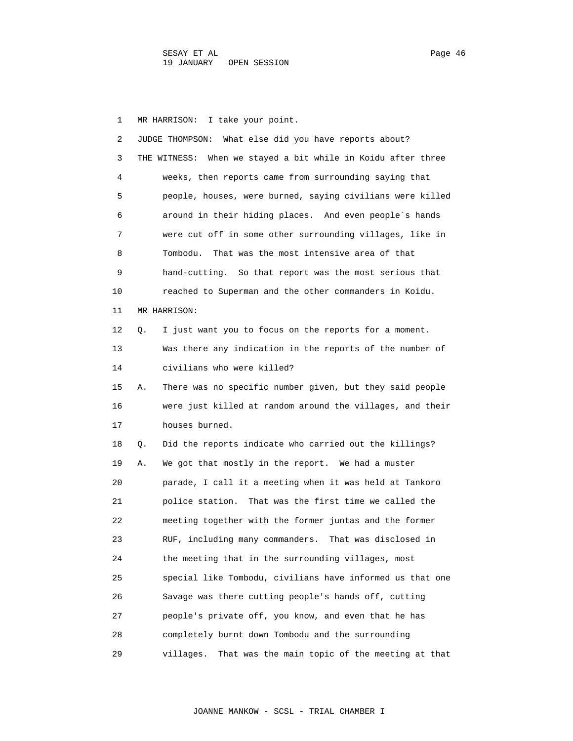1 MR HARRISON: I take your point.

| 2  |    | What else did you have reports about?<br>JUDGE THOMPSON:        |
|----|----|-----------------------------------------------------------------|
| 3  |    | When we stayed a bit while in Koidu after three<br>THE WITNESS: |
| 4  |    | weeks, then reports came from surrounding saying that           |
| 5  |    | people, houses, were burned, saying civilians were killed       |
| 6  |    | around in their hiding places. And even people's hands          |
| 7  |    | were cut off in some other surrounding villages, like in        |
| 8  |    | Tombodu.<br>That was the most intensive area of that            |
| 9  |    | hand-cutting. So that report was the most serious that          |
| 10 |    | reached to Superman and the other commanders in Koidu.          |
| 11 |    | MR HARRISON:                                                    |
| 12 | Q. | I just want you to focus on the reports for a moment.           |
| 13 |    | Was there any indication in the reports of the number of        |
| 14 |    | civilians who were killed?                                      |
| 15 | Α. | There was no specific number given, but they said people        |
| 16 |    | were just killed at random around the villages, and their       |
| 17 |    | houses burned.                                                  |
| 18 | Q. | Did the reports indicate who carried out the killings?          |
| 19 | Α. | We got that mostly in the report. We had a muster               |
| 20 |    | parade, I call it a meeting when it was held at Tankoro         |
| 21 |    | police station. That was the first time we called the           |
| 22 |    | meeting together with the former juntas and the former          |
| 23 |    | RUF, including many commanders. That was disclosed in           |
| 24 |    | the meeting that in the surrounding villages, most              |
| 25 |    | special like Tombodu, civilians have informed us that one       |
| 26 |    | Savage was there cutting people's hands off, cutting            |
| 27 |    | people's private off, you know, and even that he has            |
| 28 |    | completely burnt down Tombodu and the surrounding               |
| 29 |    | That was the main topic of the meeting at that<br>villages.     |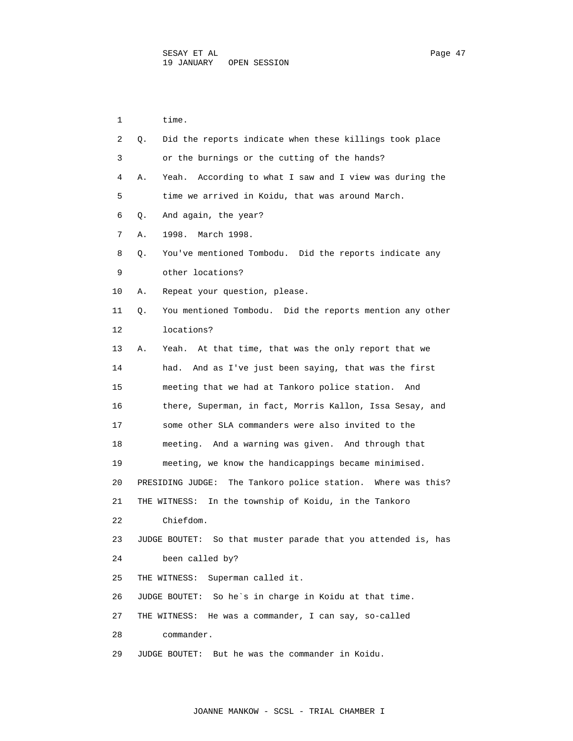| 1  | time.                                                            |
|----|------------------------------------------------------------------|
| 2  | Did the reports indicate when these killings took place<br>Q.    |
| 3  | or the burnings or the cutting of the hands?                     |
| 4  | According to what I saw and I view was during the<br>Α.<br>Yeah. |
| 5  | time we arrived in Koidu, that was around March.                 |
| 6  | And again, the year?<br>Q.                                       |
| 7  | 1998. March 1998.<br>Α.                                          |
| 8  | You've mentioned Tombodu. Did the reports indicate any<br>О.     |
| 9  | other locations?                                                 |
| 10 | Repeat your question, please.<br>Α.                              |
| 11 | You mentioned Tombodu. Did the reports mention any other<br>Q.   |
| 12 | locations?                                                       |
| 13 | Yeah. At that time, that was the only report that we<br>Α.       |
| 14 | And as I've just been saying, that was the first<br>had.         |
| 15 | meeting that we had at Tankoro police station. And               |
| 16 | there, Superman, in fact, Morris Kallon, Issa Sesay, and         |
| 17 | some other SLA commanders were also invited to the               |
| 18 | meeting. And a warning was given. And through that               |
| 19 | meeting, we know the handicappings became minimised.             |
| 20 | PRESIDING JUDGE:<br>The Tankoro police station. Where was this?  |
| 21 | In the township of Koidu, in the Tankoro<br>THE WITNESS:         |
| 22 | Chiefdom.                                                        |
| 23 | JUDGE BOUTET: So that muster parade that you attended is, has    |
| 24 | been called by?                                                  |
| 25 | Superman called it.<br>THE WITNESS:                              |
| 26 | JUDGE BOUTET: So he's in charge in Koidu at that time.           |
| 27 | He was a commander, I can say, so-called<br>THE WITNESS:         |
| 28 | commander.                                                       |
| 29 | But he was the commander in Koidu.<br>JUDGE BOUTET:              |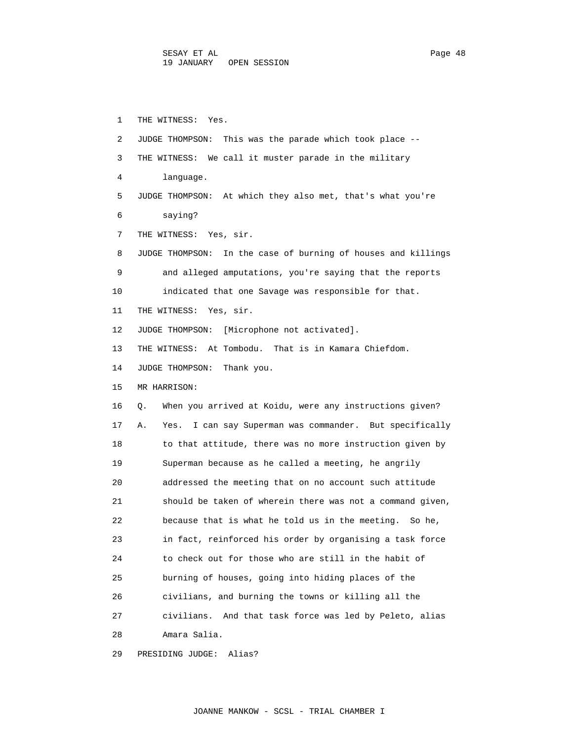1 THE WITNESS: Yes. 2 JUDGE THOMPSON: This was the parade which took place -- 3 THE WITNESS: We call it muster parade in the military 4 language. 5 JUDGE THOMPSON: At which they also met, that's what you're 6 saying? 7 THE WITNESS: Yes, sir. 8 JUDGE THOMPSON: In the case of burning of houses and killings 9 and alleged amputations, you're saying that the reports 10 indicated that one Savage was responsible for that. 11 THE WITNESS: Yes, sir. 12 JUDGE THOMPSON: [Microphone not activated]. 13 THE WITNESS: At Tombodu. That is in Kamara Chiefdom. 14 JUDGE THOMPSON: Thank you. 15 MR HARRISON: 16 Q. When you arrived at Koidu, were any instructions given? 17 A. Yes. I can say Superman was commander. But specifically 18 to that attitude, there was no more instruction given by 19 Superman because as he called a meeting, he angrily 20 addressed the meeting that on no account such attitude 21 should be taken of wherein there was not a command given, 22 because that is what he told us in the meeting. So he, 23 in fact, reinforced his order by organising a task force 24 to check out for those who are still in the habit of 25 burning of houses, going into hiding places of the 26 civilians, and burning the towns or killing all the 27 civilians. And that task force was led by Peleto, alias 28 Amara Salia.

29 PRESIDING JUDGE: Alias?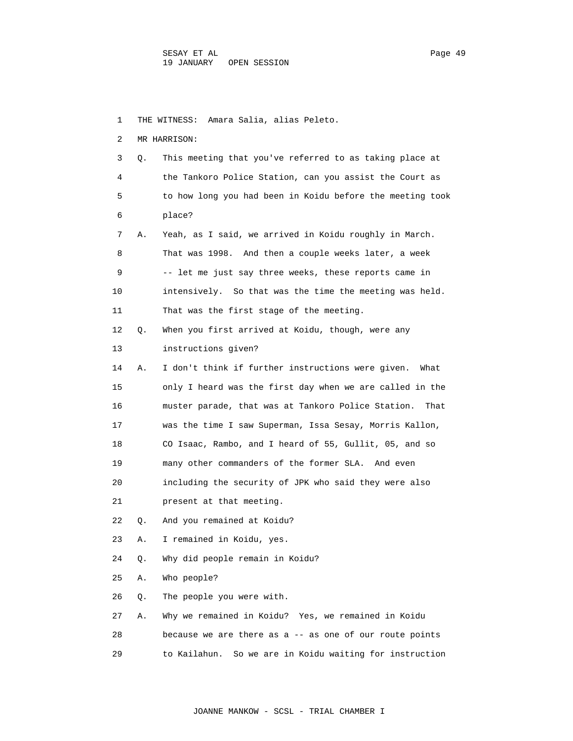1 THE WITNESS: Amara Salia, alias Peleto. 2 MR HARRISON: 3 Q. This meeting that you've referred to as taking place at 4 the Tankoro Police Station, can you assist the Court as 5 to how long you had been in Koidu before the meeting took 6 place? 7 A. Yeah, as I said, we arrived in Koidu roughly in March. 8 That was 1998. And then a couple weeks later, a week 9 -- let me just say three weeks, these reports came in 10 intensively. So that was the time the meeting was held. 11 That was the first stage of the meeting. 12 Q. When you first arrived at Koidu, though, were any 13 instructions given? 14 A. I don't think if further instructions were given. What 15 only I heard was the first day when we are called in the 16 muster parade, that was at Tankoro Police Station. That 17 was the time I saw Superman, Issa Sesay, Morris Kallon, 18 CO Isaac, Rambo, and I heard of 55, Gullit, 05, and so 19 many other commanders of the former SLA. And even 20 including the security of JPK who said they were also 21 present at that meeting. 22 Q. And you remained at Koidu? 23 A. I remained in Koidu, yes. 24 Q. Why did people remain in Koidu? 25 A. Who people? 26 Q. The people you were with. 27 A. Why we remained in Koidu? Yes, we remained in Koidu 28 because we are there as a -- as one of our route points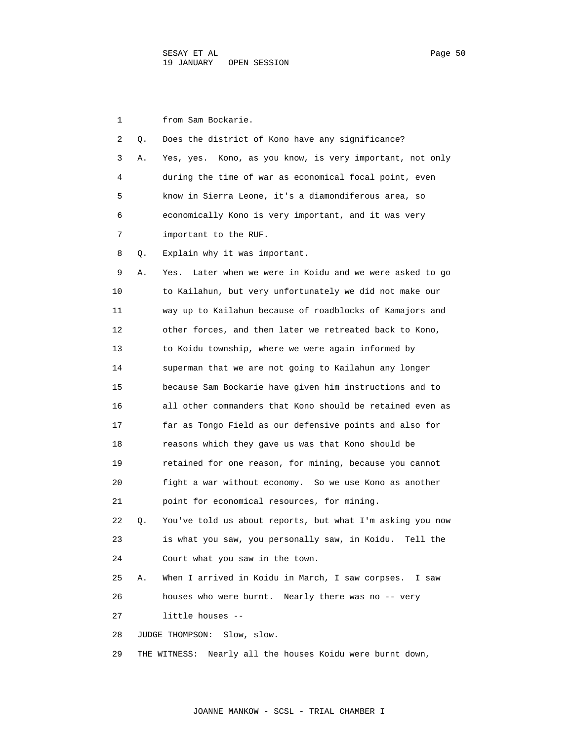1 from Sam Bockarie. 2 Q. Does the district of Kono have any significance? 3 A. Yes, yes. Kono, as you know, is very important, not only 4 during the time of war as economical focal point, even 5 know in Sierra Leone, it's a diamondiferous area, so 6 economically Kono is very important, and it was very 7 important to the RUF. 8 Q. Explain why it was important. 9 A. Yes. Later when we were in Koidu and we were asked to go 10 to Kailahun, but very unfortunately we did not make our 11 way up to Kailahun because of roadblocks of Kamajors and 12 other forces, and then later we retreated back to Kono, 13 to Koidu township, where we were again informed by 14 superman that we are not going to Kailahun any longer 15 because Sam Bockarie have given him instructions and to 16 all other commanders that Kono should be retained even as 17 far as Tongo Field as our defensive points and also for 18 reasons which they gave us was that Kono should be 19 retained for one reason, for mining, because you cannot 20 fight a war without economy. So we use Kono as another 21 point for economical resources, for mining. 22 Q. You've told us about reports, but what I'm asking you now 23 is what you saw, you personally saw, in Koidu. Tell the 24 Court what you saw in the town. 25 A. When I arrived in Koidu in March, I saw corpses. I saw 26 houses who were burnt. Nearly there was no -- very 27 little houses -- 28 JUDGE THOMPSON: Slow, slow. 29 THE WITNESS: Nearly all the houses Koidu were burnt down,

JOANNE MANKOW - SCSL - TRIAL CHAMBER I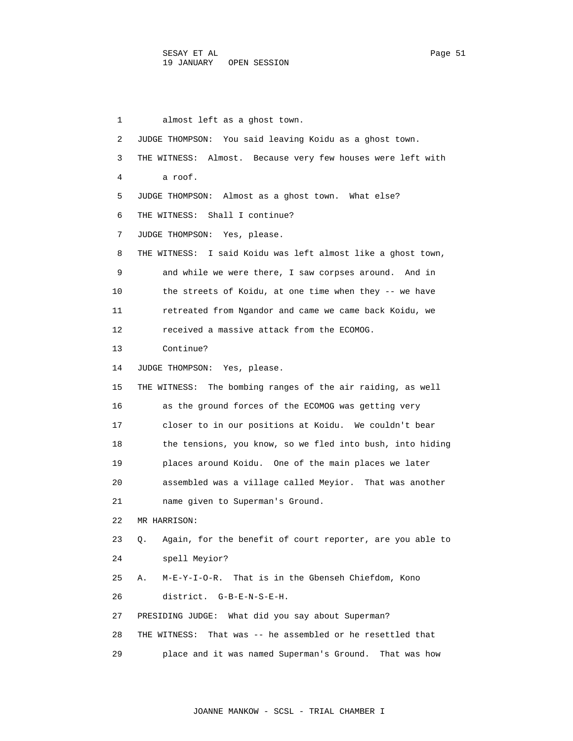1 almost left as a ghost town. 2 JUDGE THOMPSON: You said leaving Koidu as a ghost town. 3 THE WITNESS: Almost. Because very few houses were left with 4 a roof. 5 JUDGE THOMPSON: Almost as a ghost town. What else? 6 THE WITNESS: Shall I continue? 7 JUDGE THOMPSON: Yes, please. 8 THE WITNESS: I said Koidu was left almost like a ghost town, 9 and while we were there, I saw corpses around. And in 10 the streets of Koidu, at one time when they -- we have 11 retreated from Ngandor and came we came back Koidu, we 12 received a massive attack from the ECOMOG. 13 Continue? 14 JUDGE THOMPSON: Yes, please. 15 THE WITNESS: The bombing ranges of the air raiding, as well 16 as the ground forces of the ECOMOG was getting very 17 closer to in our positions at Koidu. We couldn't bear 18 the tensions, you know, so we fled into bush, into hiding 19 places around Koidu. One of the main places we later 20 assembled was a village called Meyior. That was another 21 name given to Superman's Ground. 22 MR HARRISON: 23 Q. Again, for the benefit of court reporter, are you able to 24 spell Meyior? 25 A. M-E-Y-I-O-R. That is in the Gbenseh Chiefdom, Kono 26 district. G-B-E-N-S-E-H. 27 PRESIDING JUDGE: What did you say about Superman? 28 THE WITNESS: That was -- he assembled or he resettled that 29 place and it was named Superman's Ground. That was how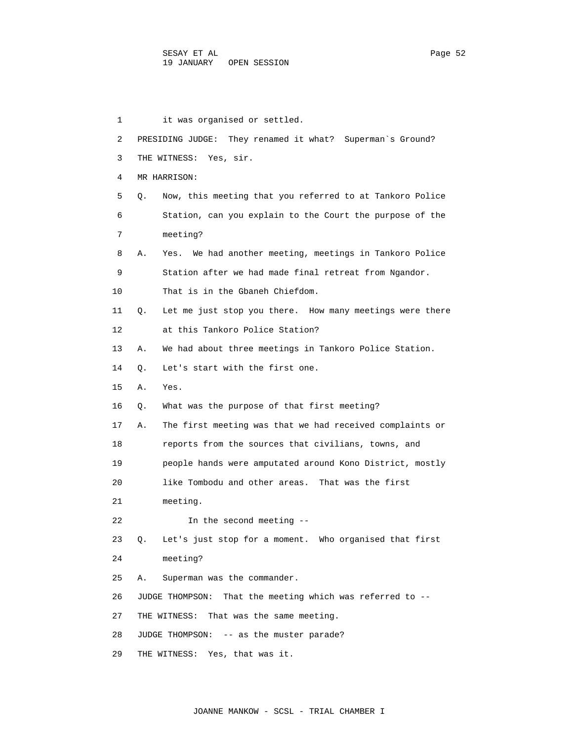1 it was organised or settled. 2 PRESIDING JUDGE: They renamed it what? Superman`s Ground? 3 THE WITNESS: Yes, sir. 4 MR HARRISON: 5 Q. Now, this meeting that you referred to at Tankoro Police 6 Station, can you explain to the Court the purpose of the 7 meeting? 8 A. Yes. We had another meeting, meetings in Tankoro Police 9 Station after we had made final retreat from Ngandor. 10 That is in the Gbaneh Chiefdom. 11 Q. Let me just stop you there. How many meetings were there 12 at this Tankoro Police Station? 13 A. We had about three meetings in Tankoro Police Station. 14 Q. Let's start with the first one. 15 A. Yes. 16 Q. What was the purpose of that first meeting? 17 A. The first meeting was that we had received complaints or 18 reports from the sources that civilians, towns, and 19 people hands were amputated around Kono District, mostly 20 like Tombodu and other areas. That was the first 21 meeting. 22 In the second meeting -- 23 Q. Let's just stop for a moment. Who organised that first 24 meeting? 25 A. Superman was the commander. 26 JUDGE THOMPSON: That the meeting which was referred to -- 27 THE WITNESS: That was the same meeting. 28 JUDGE THOMPSON: -- as the muster parade? 29 THE WITNESS: Yes, that was it.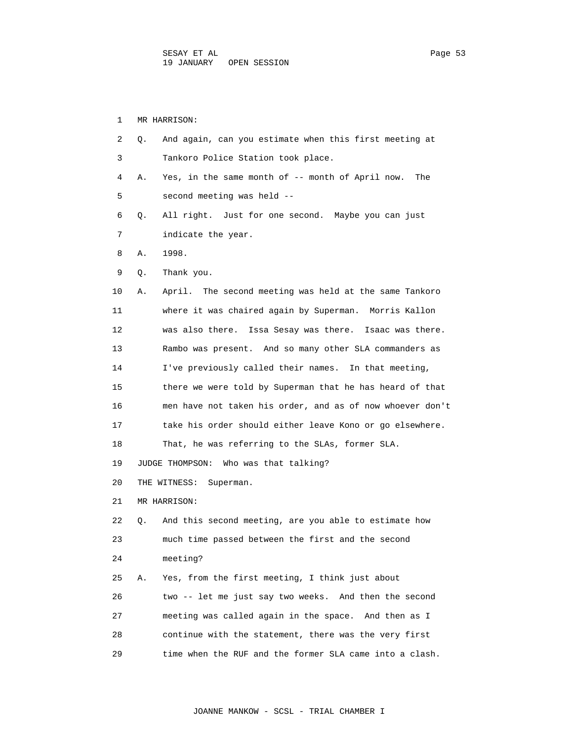1 MR HARRISON: 2 Q. And again, can you estimate when this first meeting at 3 Tankoro Police Station took place. 4 A. Yes, in the same month of -- month of April now. The 5 second meeting was held -- 6 Q. All right. Just for one second. Maybe you can just 7 indicate the year. 8 A. 1998. 9 Q. Thank you. 10 A. April. The second meeting was held at the same Tankoro 11 where it was chaired again by Superman. Morris Kallon 12 was also there. Issa Sesay was there. Isaac was there. 13 Rambo was present. And so many other SLA commanders as 14 I've previously called their names. In that meeting, 15 there we were told by Superman that he has heard of that 16 men have not taken his order, and as of now whoever don't 17 take his order should either leave Kono or go elsewhere. 18 That, he was referring to the SLAs, former SLA. 19 JUDGE THOMPSON: Who was that talking? 20 THE WITNESS: Superman. 21 MR HARRISON: 22 Q. And this second meeting, are you able to estimate how 23 much time passed between the first and the second 24 meeting? 25 A. Yes, from the first meeting, I think just about 26 two -- let me just say two weeks. And then the second 27 meeting was called again in the space. And then as I 28 continue with the statement, there was the very first

29 time when the RUF and the former SLA came into a clash.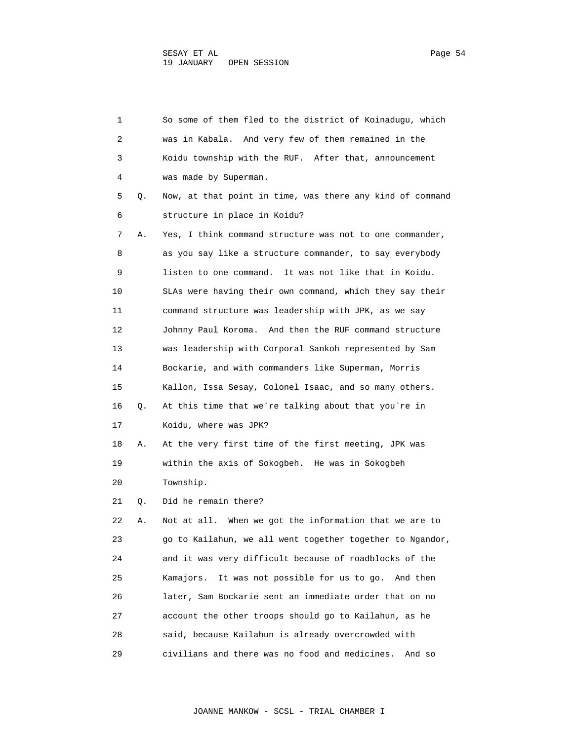| 1  |    | So some of them fled to the district of Koinaduqu, which   |
|----|----|------------------------------------------------------------|
| 2  |    | was in Kabala. And very few of them remained in the        |
| 3  |    | Koidu township with the RUF. After that, announcement      |
| 4  |    | was made by Superman.                                      |
| 5  | Q. | Now, at that point in time, was there any kind of command  |
| 6  |    | structure in place in Koidu?                               |
| 7  | Α. | Yes, I think command structure was not to one commander,   |
| 8  |    | as you say like a structure commander, to say everybody    |
| 9  |    | listen to one command. It was not like that in Koidu.      |
| 10 |    | SLAs were having their own command, which they say their   |
| 11 |    | command structure was leadership with JPK, as we say       |
| 12 |    | Johnny Paul Koroma. And then the RUF command structure     |
| 13 |    | was leadership with Corporal Sankoh represented by Sam     |
| 14 |    | Bockarie, and with commanders like Superman, Morris        |
| 15 |    | Kallon, Issa Sesay, Colonel Isaac, and so many others.     |
| 16 | Q. | At this time that we're talking about that you're in       |
| 17 |    | Koidu, where was JPK?                                      |
| 18 | Α. | At the very first time of the first meeting, JPK was       |
| 19 |    | within the axis of Sokogbeh. He was in Sokogbeh            |
| 20 |    | Township.                                                  |
| 21 | Q. | Did he remain there?                                       |
| 22 | Α. | Not at all. When we got the information that we are to     |
| 23 |    | go to Kailahun, we all went together together to Ngandor,  |
| 24 |    | and it was very difficult because of roadblocks of the     |
| 25 |    | It was not possible for us to go.<br>Kamajors.<br>And then |
| 26 |    | later, Sam Bockarie sent an immediate order that on no     |
| 27 |    | account the other troops should go to Kailahun, as he      |
| 28 |    | said, because Kailahun is already overcrowded with         |
| 29 |    | civilians and there was no food and medicines.<br>And so   |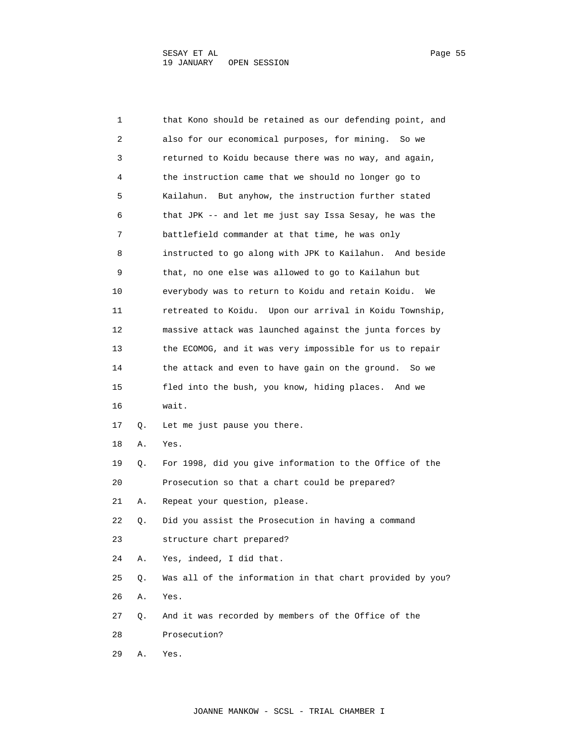| 1  |    | that Kono should be retained as our defending point, and  |
|----|----|-----------------------------------------------------------|
| 2  |    | also for our economical purposes, for mining.<br>So we    |
| 3  |    | returned to Koidu because there was no way, and again,    |
| 4  |    | the instruction came that we should no longer go to       |
| 5  |    | But anyhow, the instruction further stated<br>Kailahun.   |
| 6  |    | that JPK -- and let me just say Issa Sesay, he was the    |
| 7  |    | battlefield commander at that time, he was only           |
| 8  |    | instructed to go along with JPK to Kailahun. And beside   |
| 9  |    | that, no one else was allowed to go to Kailahun but       |
| 10 |    | everybody was to return to Koidu and retain Koidu.<br>We  |
| 11 |    | retreated to Koidu. Upon our arrival in Koidu Township,   |
| 12 |    | massive attack was launched against the junta forces by   |
| 13 |    | the ECOMOG, and it was very impossible for us to repair   |
| 14 |    | the attack and even to have gain on the ground.<br>So we  |
| 15 |    | fled into the bush, you know, hiding places. And we       |
| 16 |    | wait.                                                     |
| 17 | Q. | Let me just pause you there.                              |
| 18 | Α. | Yes.                                                      |
| 19 | Q. | For 1998, did you give information to the Office of the   |
| 20 |    | Prosecution so that a chart could be prepared?            |
| 21 | Α. | Repeat your question, please.                             |
| 22 | Q. | Did you assist the Prosecution in having a command        |
| 23 |    | structure chart prepared?                                 |
| 24 | Α. | Yes, indeed, I did that.                                  |
| 25 | Q. | Was all of the information in that chart provided by you? |
| 26 | Α. | Yes.                                                      |
| 27 | Q. | And it was recorded by members of the Office of the       |
| 28 |    | Prosecution?                                              |
| 29 | Α. | Yes.                                                      |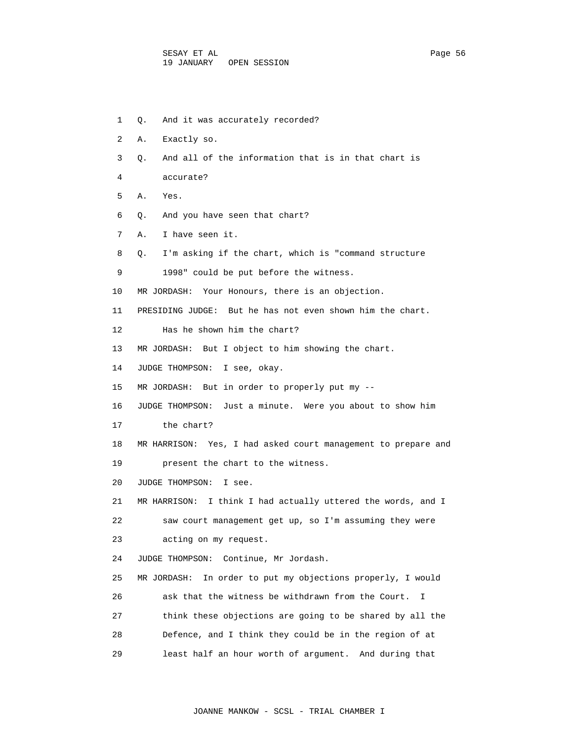- 1 Q. And it was accurately recorded?
- 2 A. Exactly so.
- 3 Q. And all of the information that is in that chart is
- 4 accurate?
- 5 A. Yes.
- 6 Q. And you have seen that chart?
- 7 A. I have seen it.
- 8 Q. I'm asking if the chart, which is "command structure
- 9 1998" could be put before the witness.
- 10 MR JORDASH: Your Honours, there is an objection.
- 11 PRESIDING JUDGE: But he has not even shown him the chart.
- 12 Has he shown him the chart?
- 13 MR JORDASH: But I object to him showing the chart.
- 14 JUDGE THOMPSON: I see, okay.
- 15 MR JORDASH: But in order to properly put my --
- 16 JUDGE THOMPSON: Just a minute. Were you about to show him
- 17 the chart?
- 18 MR HARRISON: Yes, I had asked court management to prepare and
- 19 present the chart to the witness.
- 20 JUDGE THOMPSON: I see.
- 21 MR HARRISON: I think I had actually uttered the words, and I
- 22 saw court management get up, so I'm assuming they were
- 23 acting on my request.
- 24 JUDGE THOMPSON: Continue, Mr Jordash.
- 25 MR JORDASH: In order to put my objections properly, I would 26 ask that the witness be withdrawn from the Court. I
- 27 think these objections are going to be shared by all the
- 28 Defence, and I think they could be in the region of at
- 29 least half an hour worth of argument. And during that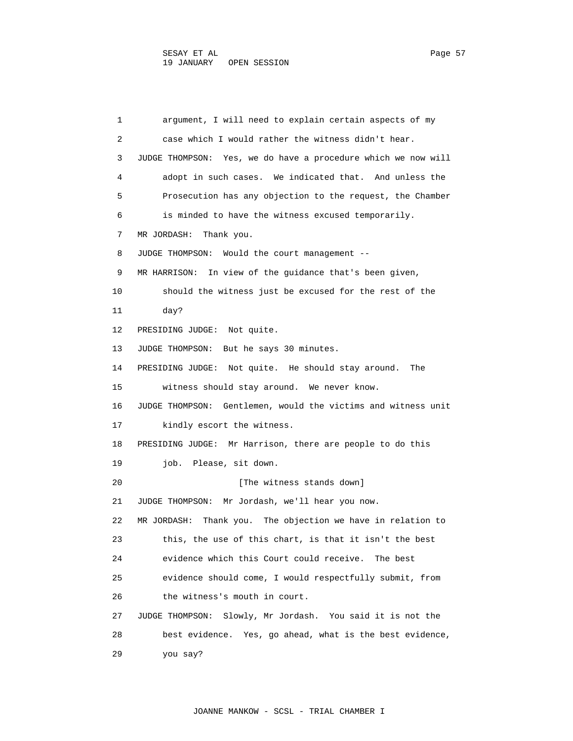1 argument, I will need to explain certain aspects of my 2 case which I would rather the witness didn't hear. 3 JUDGE THOMPSON: Yes, we do have a procedure which we now will 4 adopt in such cases. We indicated that. And unless the 5 Prosecution has any objection to the request, the Chamber 6 is minded to have the witness excused temporarily. 7 MR JORDASH: Thank you. 8 JUDGE THOMPSON: Would the court management -- 9 MR HARRISON: In view of the guidance that's been given, 10 should the witness just be excused for the rest of the 11 day? 12 PRESIDING JUDGE: Not quite. 13 JUDGE THOMPSON: But he says 30 minutes. 14 PRESIDING JUDGE: Not quite. He should stay around. The 15 witness should stay around. We never know. 16 JUDGE THOMPSON: Gentlemen, would the victims and witness unit 17 kindly escort the witness. 18 PRESIDING JUDGE: Mr Harrison, there are people to do this 19 job. Please, sit down. 20 **I** [The witness stands down] 21 JUDGE THOMPSON: Mr Jordash, we'll hear you now. 22 MR JORDASH: Thank you. The objection we have in relation to 23 this, the use of this chart, is that it isn't the best 24 evidence which this Court could receive. The best 25 evidence should come, I would respectfully submit, from 26 the witness's mouth in court. 27 JUDGE THOMPSON: Slowly, Mr Jordash. You said it is not the 28 best evidence. Yes, go ahead, what is the best evidence, 29 you say?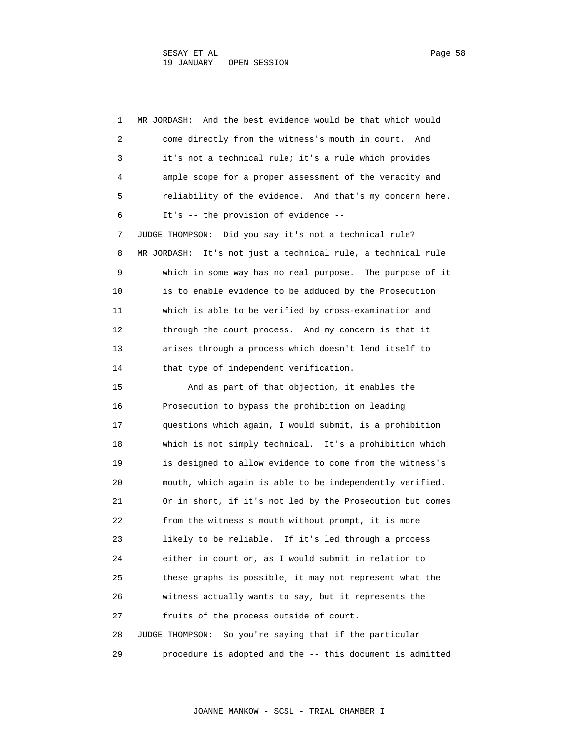| 1  | And the best evidence would be that which would<br>MR JORDASH:  |
|----|-----------------------------------------------------------------|
| 2  | come directly from the witness's mouth in court.<br>And         |
| 3  | it's not a technical rule; it's a rule which provides           |
| 4  | ample scope for a proper assessment of the veracity and         |
| 5  | reliability of the evidence. And that's my concern here.        |
| 6  | It's -- the provision of evidence --                            |
| 7  | JUDGE THOMPSON: Did you say it's not a technical rule?          |
| 8  | It's not just a technical rule, a technical rule<br>MR JORDASH: |
| 9  | which in some way has no real purpose. The purpose of it        |
| 10 | is to enable evidence to be adduced by the Prosecution          |
| 11 | which is able to be verified by cross-examination and           |
| 12 | through the court process. And my concern is that it            |
| 13 | arises through a process which doesn't lend itself to           |
| 14 | that type of independent verification.                          |
| 15 | And as part of that objection, it enables the                   |
| 16 | Prosecution to bypass the prohibition on leading                |
| 17 | questions which again, I would submit, is a prohibition         |
| 18 | which is not simply technical. It's a prohibition which         |
| 19 | is designed to allow evidence to come from the witness's        |
| 20 | mouth, which again is able to be independently verified.        |
| 21 | Or in short, if it's not led by the Prosecution but comes       |
| 22 | from the witness's mouth without prompt, it is more             |
| 23 | likely to be reliable. If it's led through a process            |
| 24 | either in court or, as I would submit in relation to            |
| 25 | these graphs is possible, it may not represent what the         |
| 26 | witness actually wants to say, but it represents the            |
| 27 | fruits of the process outside of court.                         |
| 28 | JUDGE THOMPSON:<br>So you're saying that if the particular      |
| 29 | procedure is adopted and the -- this document is admitted       |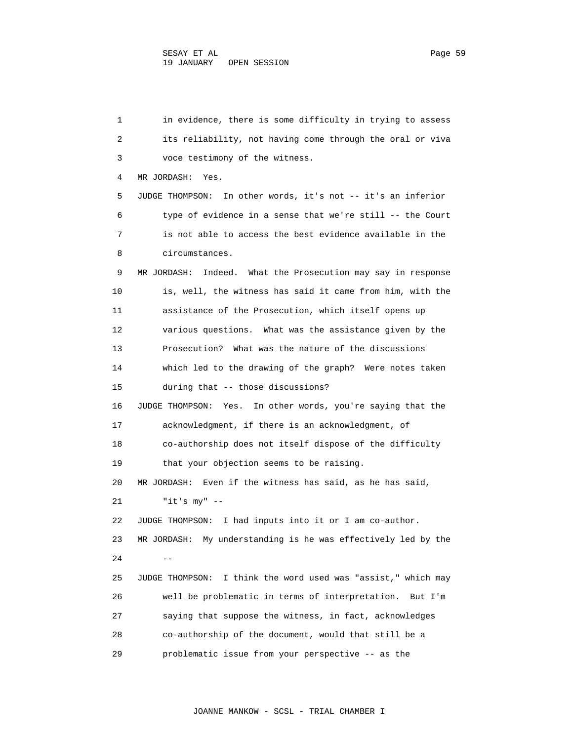1 in evidence, there is some difficulty in trying to assess 2 its reliability, not having come through the oral or viva 3 voce testimony of the witness. 4 MR JORDASH: Yes. 5 JUDGE THOMPSON: In other words, it's not -- it's an inferior 6 type of evidence in a sense that we're still -- the Court 7 is not able to access the best evidence available in the 8 circumstances. 9 MR JORDASH: Indeed. What the Prosecution may say in response 10 is, well, the witness has said it came from him, with the 11 assistance of the Prosecution, which itself opens up 12 various questions. What was the assistance given by the 13 Prosecution? What was the nature of the discussions 14 which led to the drawing of the graph? Were notes taken 15 during that -- those discussions? 16 JUDGE THOMPSON: Yes. In other words, you're saying that the 17 acknowledgment, if there is an acknowledgment, of 18 co-authorship does not itself dispose of the difficulty 19 that your objection seems to be raising. 20 MR JORDASH: Even if the witness has said, as he has said, 21 "it's my" -- 22 JUDGE THOMPSON: I had inputs into it or I am co-author. 23 MR JORDASH: My understanding is he was effectively led by the  $24$  -- 25 JUDGE THOMPSON: I think the word used was "assist," which may 26 well be problematic in terms of interpretation. But I'm 27 saying that suppose the witness, in fact, acknowledges 28 co-authorship of the document, would that still be a 29 problematic issue from your perspective -- as the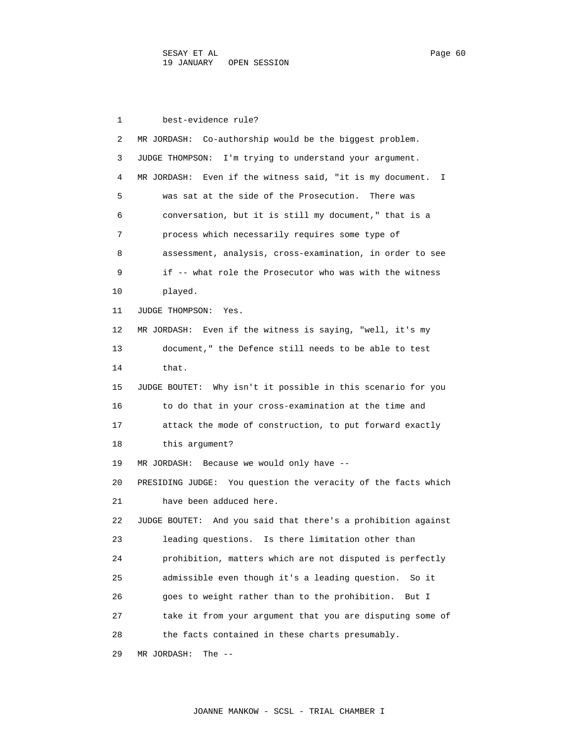1 best-evidence rule? 2 MR JORDASH: Co-authorship would be the biggest problem. 3 JUDGE THOMPSON: I'm trying to understand your argument. 4 MR JORDASH: Even if the witness said, "it is my document. I 5 was sat at the side of the Prosecution. There was 6 conversation, but it is still my document," that is a 7 process which necessarily requires some type of 8 assessment, analysis, cross-examination, in order to see 9 if -- what role the Prosecutor who was with the witness 10 played. 11 JUDGE THOMPSON: Yes. 12 MR JORDASH: Even if the witness is saying, "well, it's my 13 document," the Defence still needs to be able to test 14 that. 15 JUDGE BOUTET: Why isn't it possible in this scenario for you 16 to do that in your cross-examination at the time and 17 attack the mode of construction, to put forward exactly 18 this argument? 19 MR JORDASH: Because we would only have -- 20 PRESIDING JUDGE: You question the veracity of the facts which 21 have been adduced here. 22 JUDGE BOUTET: And you said that there's a prohibition against 23 leading questions. Is there limitation other than 24 prohibition, matters which are not disputed is perfectly 25 admissible even though it's a leading question. So it 26 goes to weight rather than to the prohibition. But I 27 take it from your argument that you are disputing some of 28 the facts contained in these charts presumably. 29 MR JORDASH: The --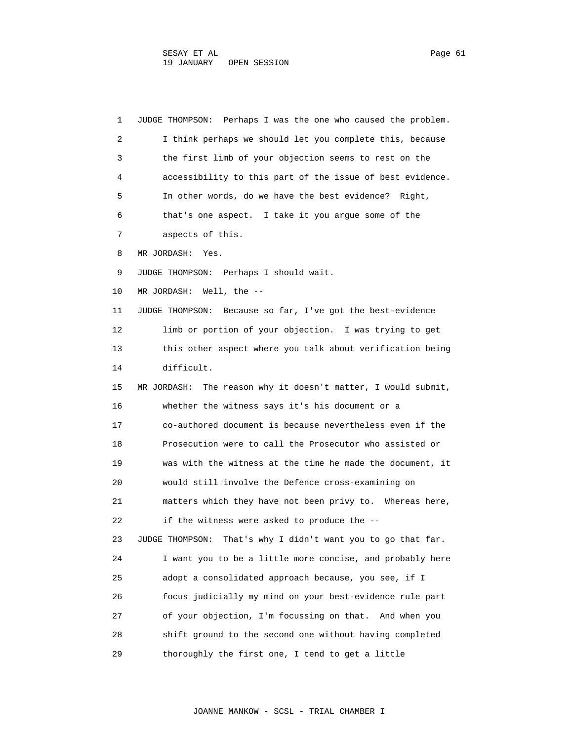1 JUDGE THOMPSON: Perhaps I was the one who caused the problem. 2 I think perhaps we should let you complete this, because 3 the first limb of your objection seems to rest on the 4 accessibility to this part of the issue of best evidence. 5 In other words, do we have the best evidence? Right, 6 that's one aspect. I take it you argue some of the 7 aspects of this. 8 MR JORDASH: Yes. 9 JUDGE THOMPSON: Perhaps I should wait. 10 MR JORDASH: Well, the -- 11 JUDGE THOMPSON: Because so far, I've got the best-evidence 12 limb or portion of your objection. I was trying to get 13 this other aspect where you talk about verification being 14 difficult. 15 MR JORDASH: The reason why it doesn't matter, I would submit, 16 whether the witness says it's his document or a 17 co-authored document is because nevertheless even if the 18 Prosecution were to call the Prosecutor who assisted or 19 was with the witness at the time he made the document, it 20 would still involve the Defence cross-examining on 21 matters which they have not been privy to. Whereas here, 22 if the witness were asked to produce the -- 23 JUDGE THOMPSON: That's why I didn't want you to go that far. 24 I want you to be a little more concise, and probably here 25 adopt a consolidated approach because, you see, if I 26 focus judicially my mind on your best-evidence rule part 27 of your objection, I'm focussing on that. And when you 28 shift ground to the second one without having completed 29 thoroughly the first one, I tend to get a little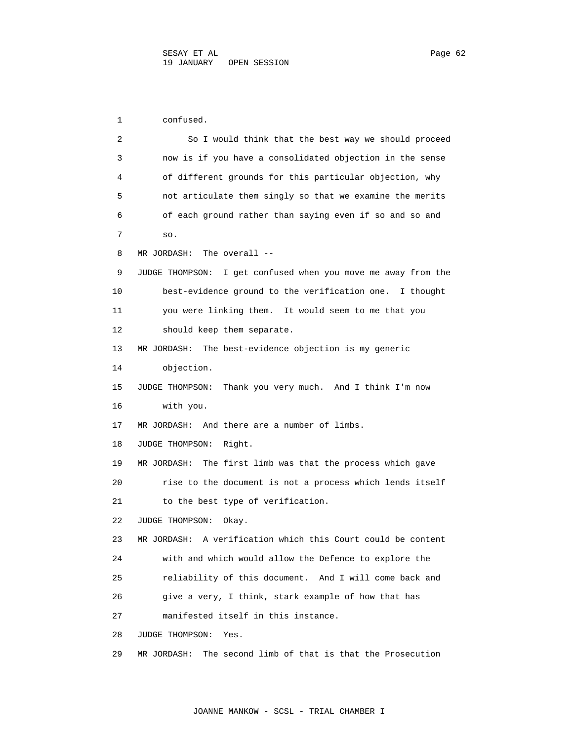1 confused. 2 So I would think that the best way we should proceed 3 now is if you have a consolidated objection in the sense 4 of different grounds for this particular objection, why 5 not articulate them singly so that we examine the merits 6 of each ground rather than saying even if so and so and 7 so. 8 MR JORDASH: The overall -- 9 JUDGE THOMPSON: I get confused when you move me away from the 10 best-evidence ground to the verification one. I thought 11 you were linking them. It would seem to me that you 12 should keep them separate. 13 MR JORDASH: The best-evidence objection is my generic 14 objection. 15 JUDGE THOMPSON: Thank you very much. And I think I'm now 16 with you. 17 MR JORDASH: And there are a number of limbs. 18 JUDGE THOMPSON: Right. 19 MR JORDASH: The first limb was that the process which gave 20 rise to the document is not a process which lends itself 21 to the best type of verification. 22 JUDGE THOMPSON: Okay. 23 MR JORDASH: A verification which this Court could be content 24 with and which would allow the Defence to explore the 25 reliability of this document. And I will come back and 26 give a very, I think, stark example of how that has 27 manifested itself in this instance. 28 JUDGE THOMPSON: Yes. 29 MR JORDASH: The second limb of that is that the Prosecution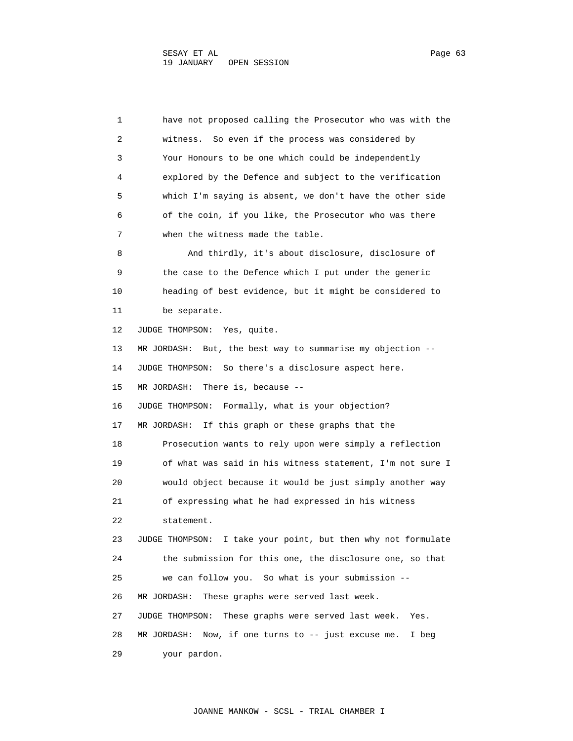1 have not proposed calling the Prosecutor who was with the 2 witness. So even if the process was considered by 3 Your Honours to be one which could be independently 4 explored by the Defence and subject to the verification 5 which I'm saying is absent, we don't have the other side 6 of the coin, if you like, the Prosecutor who was there 7 when the witness made the table. 8 And thirdly, it's about disclosure, disclosure of 9 the case to the Defence which I put under the generic 10 heading of best evidence, but it might be considered to 11 be separate. 12 JUDGE THOMPSON: Yes, quite. 13 MR JORDASH: But, the best way to summarise my objection -- 14 JUDGE THOMPSON: So there's a disclosure aspect here. 15 MR JORDASH: There is, because -- 16 JUDGE THOMPSON: Formally, what is your objection? 17 MR JORDASH: If this graph or these graphs that the 18 Prosecution wants to rely upon were simply a reflection 19 of what was said in his witness statement, I'm not sure I 20 would object because it would be just simply another way 21 of expressing what he had expressed in his witness 22 statement. 23 JUDGE THOMPSON: I take your point, but then why not formulate 24 the submission for this one, the disclosure one, so that 25 we can follow you. So what is your submission -- 26 MR JORDASH: These graphs were served last week. 27 JUDGE THOMPSON: These graphs were served last week. Yes. 28 MR JORDASH: Now, if one turns to -- just excuse me. I beg 29 your pardon.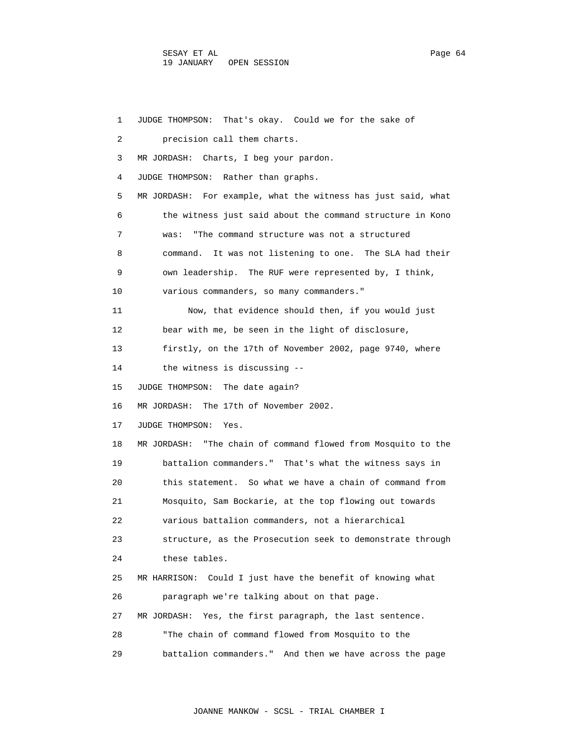| 1  | That's okay. Could we for the sake of<br>JUDGE THOMPSON:      |
|----|---------------------------------------------------------------|
| 2  | precision call them charts.                                   |
| 3  | MR JORDASH: Charts, I beg your pardon.                        |
| 4  | JUDGE THOMPSON: Rather than graphs.                           |
| 5  | MR JORDASH: For example, what the witness has just said, what |
| 6  | the witness just said about the command structure in Kono     |
| 7  | "The command structure was not a structured<br>was:           |
| 8  | command. It was not listening to one. The SLA had their       |
| 9  | own leadership. The RUF were represented by, I think,         |
| 10 | various commanders, so many commanders."                      |
| 11 | Now, that evidence should then, if you would just             |
| 12 | bear with me, be seen in the light of disclosure,             |
| 13 | firstly, on the 17th of November 2002, page 9740, where       |
| 14 | the witness is discussing --                                  |
| 15 | JUDGE THOMPSON: The date again?                               |
| 16 | MR JORDASH: The 17th of November 2002.                        |
| 17 | JUDGE THOMPSON: Yes.                                          |
| 18 | MR JORDASH: "The chain of command flowed from Mosquito to the |
| 19 | battalion commanders." That's what the witness says in        |
| 20 | this statement. So what we have a chain of command from       |
| 21 | Mosquito, Sam Bockarie, at the top flowing out towards        |
| 22 | various battalion commanders, not a hierarchical              |
| 23 | structure, as the Prosecution seek to demonstrate through     |
| 24 | these tables.                                                 |
| 25 | Could I just have the benefit of knowing what<br>MR HARRISON: |
| 26 | paragraph we're talking about on that page.                   |
| 27 | MR JORDASH:<br>Yes, the first paragraph, the last sentence.   |
| 28 | "The chain of command flowed from Mosquito to the             |
| 29 | battalion commanders." And then we have across the page       |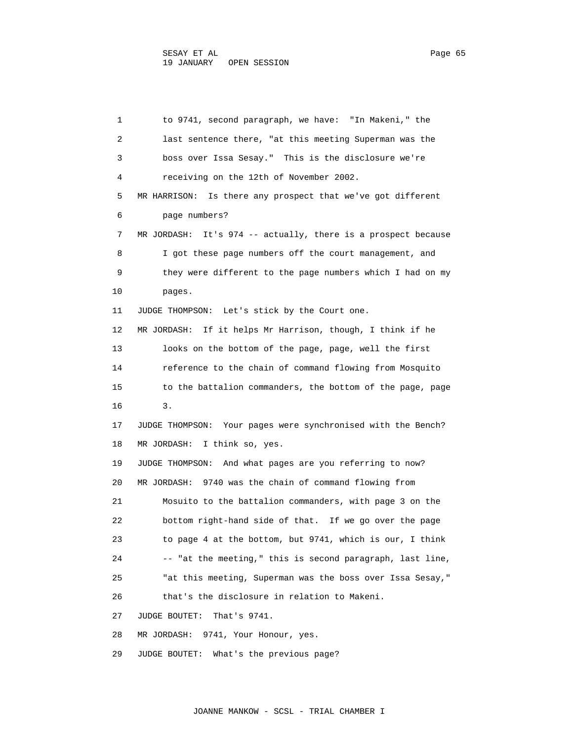1 to 9741, second paragraph, we have: "In Makeni," the 2 last sentence there, "at this meeting Superman was the 3 boss over Issa Sesay." This is the disclosure we're 4 receiving on the 12th of November 2002. 5 MR HARRISON: Is there any prospect that we've got different 6 page numbers? 7 MR JORDASH: It's 974 -- actually, there is a prospect because 8 I got these page numbers off the court management, and 9 they were different to the page numbers which I had on my 10 pages. 11 JUDGE THOMPSON: Let's stick by the Court one. 12 MR JORDASH: If it helps Mr Harrison, though, I think if he 13 looks on the bottom of the page, page, well the first 14 reference to the chain of command flowing from Mosquito 15 to the battalion commanders, the bottom of the page, page 16 3. 17 JUDGE THOMPSON: Your pages were synchronised with the Bench? 18 MR JORDASH: I think so, yes. 19 JUDGE THOMPSON: And what pages are you referring to now? 20 MR JORDASH: 9740 was the chain of command flowing from 21 Mosuito to the battalion commanders, with page 3 on the 22 bottom right-hand side of that. If we go over the page 23 to page 4 at the bottom, but 9741, which is our, I think 24 -- "at the meeting," this is second paragraph, last line, 25 "at this meeting, Superman was the boss over Issa Sesay," 26 that's the disclosure in relation to Makeni. 27 JUDGE BOUTET: That's 9741. 28 MR JORDASH: 9741, Your Honour, yes.

29 JUDGE BOUTET: What's the previous page?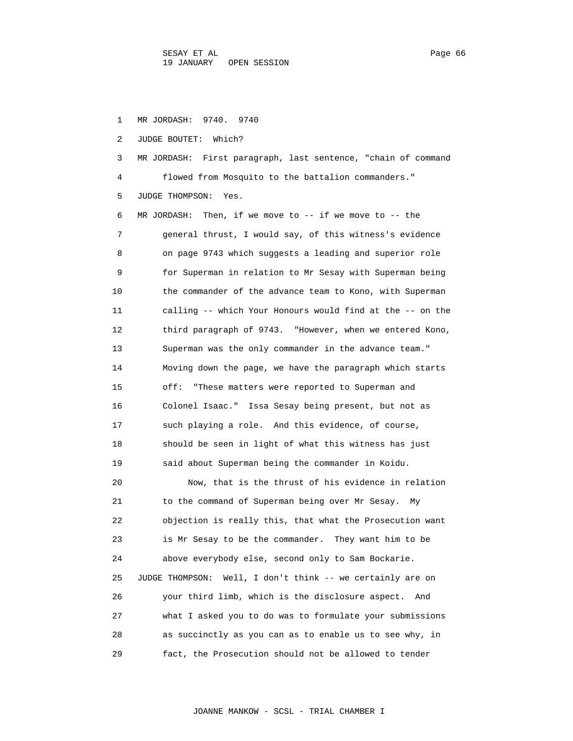1 MR JORDASH: 9740. 9740 2 JUDGE BOUTET: Which? 3 MR JORDASH: First paragraph, last sentence, "chain of command 4 flowed from Mosquito to the battalion commanders." 5 JUDGE THOMPSON: Yes. 6 MR JORDASH: Then, if we move to -- if we move to -- the 7 general thrust, I would say, of this witness's evidence 8 on page 9743 which suggests a leading and superior role 9 for Superman in relation to Mr Sesay with Superman being 10 the commander of the advance team to Kono, with Superman 11 calling -- which Your Honours would find at the -- on the 12 third paragraph of 9743. "However, when we entered Kono, 13 Superman was the only commander in the advance team." 14 Moving down the page, we have the paragraph which starts 15 off: "These matters were reported to Superman and 16 Colonel Isaac." Issa Sesay being present, but not as 17 such playing a role. And this evidence, of course, 18 should be seen in light of what this witness has just 19 said about Superman being the commander in Koidu. 20 Now, that is the thrust of his evidence in relation 21 to the command of Superman being over Mr Sesay. My 22 objection is really this, that what the Prosecution want 23 is Mr Sesay to be the commander. They want him to be 24 above everybody else, second only to Sam Bockarie.

 25 JUDGE THOMPSON: Well, I don't think -- we certainly are on 26 your third limb, which is the disclosure aspect. And 27 what I asked you to do was to formulate your submissions 28 as succinctly as you can as to enable us to see why, in 29 fact, the Prosecution should not be allowed to tender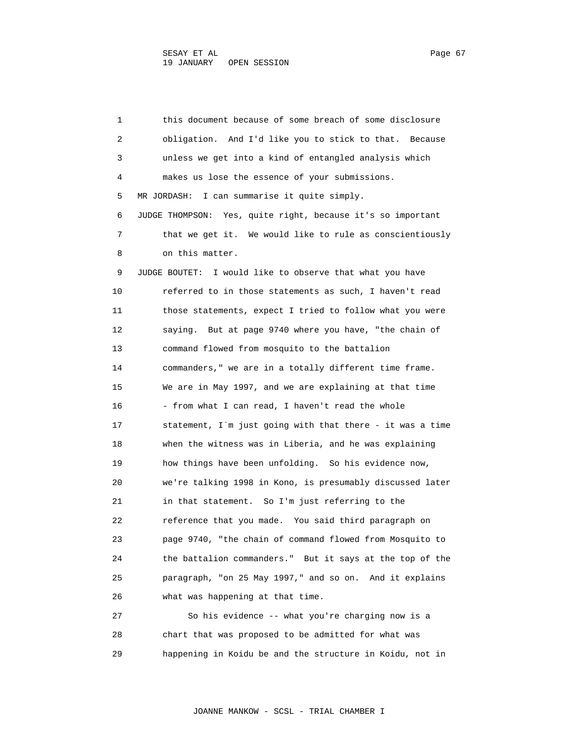1 this document because of some breach of some disclosure 2 obligation. And I'd like you to stick to that. Because 3 unless we get into a kind of entangled analysis which 4 makes us lose the essence of your submissions. 5 MR JORDASH: I can summarise it quite simply. 6 JUDGE THOMPSON: Yes, quite right, because it's so important 7 that we get it. We would like to rule as conscientiously 8 on this matter. 9 JUDGE BOUTET: I would like to observe that what you have 10 referred to in those statements as such, I haven't read 11 those statements, expect I tried to follow what you were 12 saying. But at page 9740 where you have, "the chain of 13 command flowed from mosquito to the battalion 14 commanders," we are in a totally different time frame. 15 We are in May 1997, and we are explaining at that time 16 - from what I can read, I haven't read the whole 17 statement, I`m just going with that there - it was a time 18 when the witness was in Liberia, and he was explaining 19 how things have been unfolding. So his evidence now, 20 we're talking 1998 in Kono, is presumably discussed later 21 in that statement. So I'm just referring to the 22 reference that you made. You said third paragraph on 23 page 9740, "the chain of command flowed from Mosquito to 24 the battalion commanders." But it says at the top of the 25 paragraph, "on 25 May 1997," and so on. And it explains 26 what was happening at that time. 27 So his evidence -- what you're charging now is a 28 chart that was proposed to be admitted for what was

29 happening in Koidu be and the structure in Koidu, not in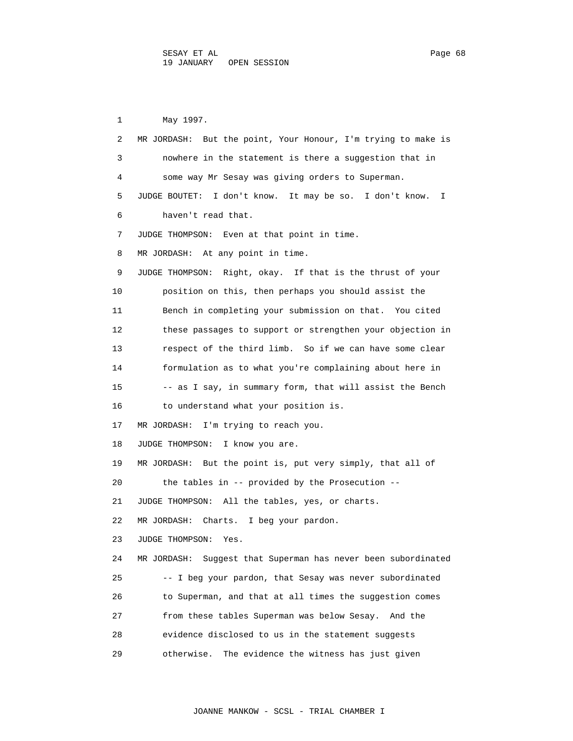1 May 1997. 2 MR JORDASH: But the point, Your Honour, I'm trying to make is 3 nowhere in the statement is there a suggestion that in 4 some way Mr Sesay was giving orders to Superman. 5 JUDGE BOUTET: I don't know. It may be so. I don't know. I 6 haven't read that. 7 JUDGE THOMPSON: Even at that point in time. 8 MR JORDASH: At any point in time. 9 JUDGE THOMPSON: Right, okay. If that is the thrust of your 10 position on this, then perhaps you should assist the 11 Bench in completing your submission on that. You cited 12 these passages to support or strengthen your objection in 13 respect of the third limb. So if we can have some clear 14 formulation as to what you're complaining about here in 15 -- as I say, in summary form, that will assist the Bench 16 to understand what your position is. 17 MR JORDASH: I'm trying to reach you. 18 JUDGE THOMPSON: I know you are. 19 MR JORDASH: But the point is, put very simply, that all of 20 the tables in -- provided by the Prosecution -- 21 JUDGE THOMPSON: All the tables, yes, or charts. 22 MR JORDASH: Charts. I beg your pardon. 23 JUDGE THOMPSON: Yes. 24 MR JORDASH: Suggest that Superman has never been subordinated 25 -- I beg your pardon, that Sesay was never subordinated 26 to Superman, and that at all times the suggestion comes 27 from these tables Superman was below Sesay. And the 28 evidence disclosed to us in the statement suggests 29 otherwise. The evidence the witness has just given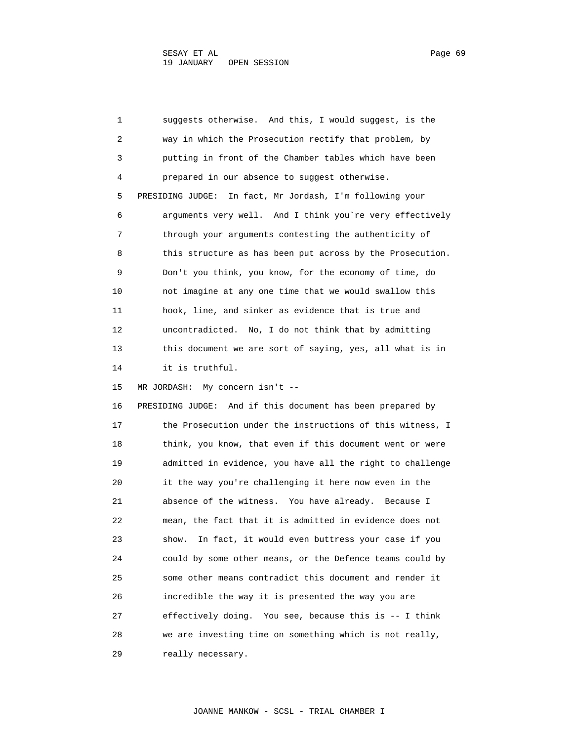1 suggests otherwise. And this, I would suggest, is the 2 way in which the Prosecution rectify that problem, by 3 putting in front of the Chamber tables which have been 4 prepared in our absence to suggest otherwise. 5 PRESIDING JUDGE: In fact, Mr Jordash, I'm following your 6 arguments very well. And I think you`re very effectively 7 through your arguments contesting the authenticity of 8 this structure as has been put across by the Prosecution. 9 Don't you think, you know, for the economy of time, do 10 not imagine at any one time that we would swallow this 11 hook, line, and sinker as evidence that is true and 12 uncontradicted. No, I do not think that by admitting 13 this document we are sort of saying, yes, all what is in 14 it is truthful. 15 MR JORDASH: My concern isn't -- 16 PRESIDING JUDGE: And if this document has been prepared by 17 the Prosecution under the instructions of this witness, I 18 think, you know, that even if this document went or were 19 admitted in evidence, you have all the right to challenge 20 it the way you're challenging it here now even in the 21 absence of the witness. You have already. Because I 22 mean, the fact that it is admitted in evidence does not 23 show. In fact, it would even buttress your case if you 24 could by some other means, or the Defence teams could by 25 some other means contradict this document and render it 26 incredible the way it is presented the way you are 27 effectively doing. You see, because this is -- I think 28 we are investing time on something which is not really, 29 really necessary.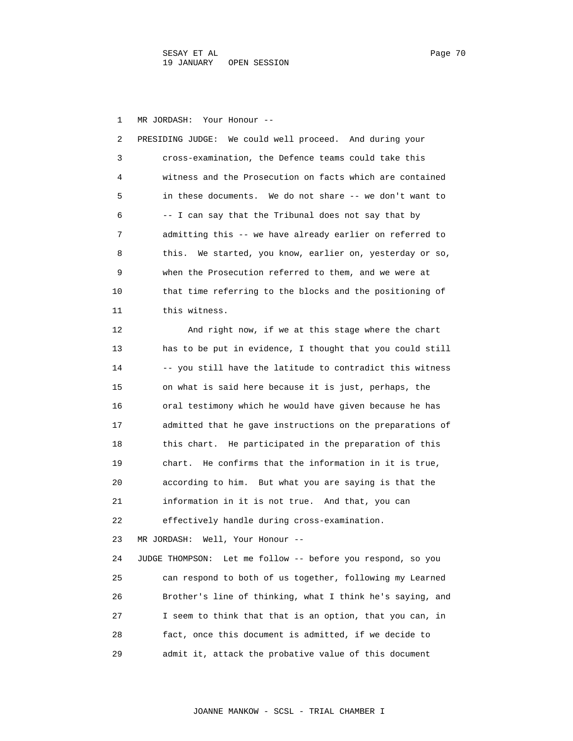1 MR JORDASH: Your Honour --

 2 PRESIDING JUDGE: We could well proceed. And during your 3 cross-examination, the Defence teams could take this 4 witness and the Prosecution on facts which are contained 5 in these documents. We do not share -- we don't want to 6 -- I can say that the Tribunal does not say that by 7 admitting this -- we have already earlier on referred to 8 this. We started, you know, earlier on, yesterday or so, 9 when the Prosecution referred to them, and we were at 10 that time referring to the blocks and the positioning of 11 this witness.

 12 And right now, if we at this stage where the chart 13 has to be put in evidence, I thought that you could still 14 -- you still have the latitude to contradict this witness 15 on what is said here because it is just, perhaps, the 16 oral testimony which he would have given because he has 17 admitted that he gave instructions on the preparations of 18 this chart. He participated in the preparation of this 19 chart. He confirms that the information in it is true, 20 according to him. But what you are saying is that the 21 information in it is not true. And that, you can 22 effectively handle during cross-examination. 23 MR JORDASH: Well, Your Honour -- 24 JUDGE THOMPSON: Let me follow -- before you respond, so you 25 can respond to both of us together, following my Learned 26 Brother's line of thinking, what I think he's saying, and 27 I seem to think that that is an option, that you can, in 28 fact, once this document is admitted, if we decide to

29 admit it, attack the probative value of this document

JOANNE MANKOW - SCSL - TRIAL CHAMBER I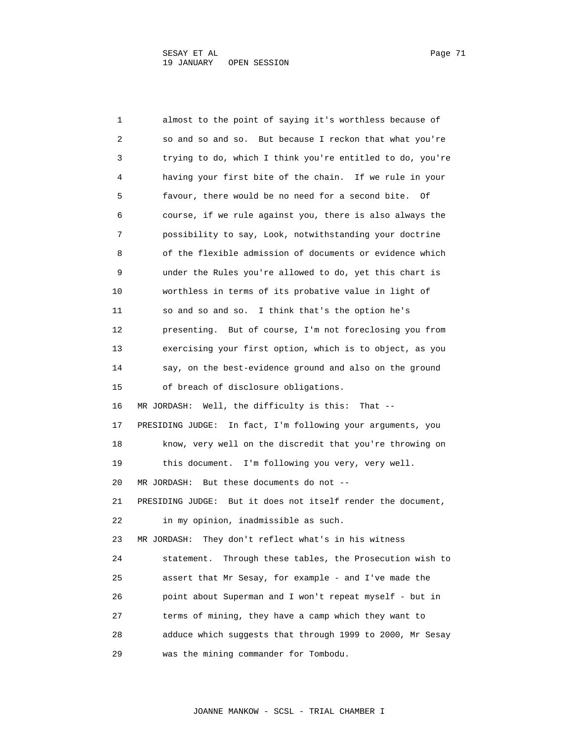1 almost to the point of saying it's worthless because of 2 so and so and so. But because I reckon that what you're 3 trying to do, which I think you're entitled to do, you're 4 having your first bite of the chain. If we rule in your 5 favour, there would be no need for a second bite. Of 6 course, if we rule against you, there is also always the 7 possibility to say, Look, notwithstanding your doctrine 8 of the flexible admission of documents or evidence which 9 under the Rules you're allowed to do, yet this chart is 10 worthless in terms of its probative value in light of 11 so and so and so. I think that's the option he's 12 presenting. But of course, I'm not foreclosing you from 13 exercising your first option, which is to object, as you 14 say, on the best-evidence ground and also on the ground 15 of breach of disclosure obligations. 16 MR JORDASH: Well, the difficulty is this: That -- 17 PRESIDING JUDGE: In fact, I'm following your arguments, you 18 know, very well on the discredit that you're throwing on 19 this document. I'm following you very, very well. 20 MR JORDASH: But these documents do not -- 21 PRESIDING JUDGE: But it does not itself render the document, 22 in my opinion, inadmissible as such. 23 MR JORDASH: They don't reflect what's in his witness 24 statement. Through these tables, the Prosecution wish to 25 assert that Mr Sesay, for example - and I've made the 26 point about Superman and I won't repeat myself - but in 27 terms of mining, they have a camp which they want to 28 adduce which suggests that through 1999 to 2000, Mr Sesay 29 was the mining commander for Tombodu.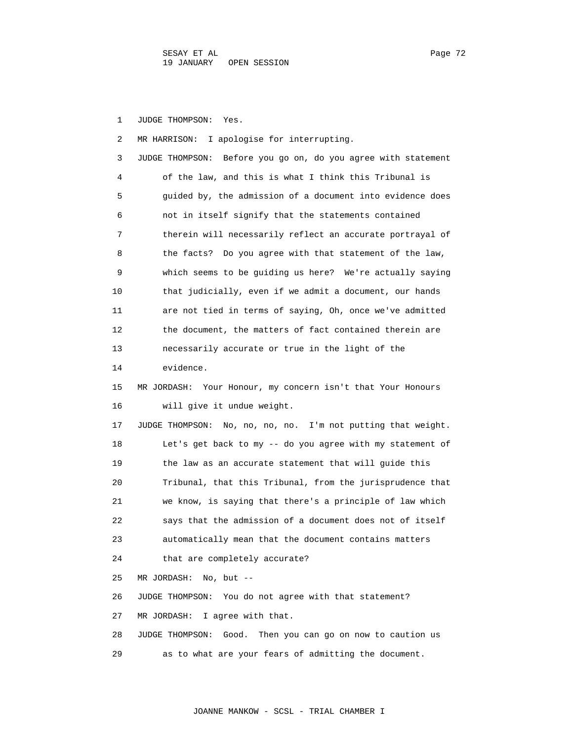1 JUDGE THOMPSON: Yes.

 2 MR HARRISON: I apologise for interrupting. 3 JUDGE THOMPSON: Before you go on, do you agree with statement 4 of the law, and this is what I think this Tribunal is 5 guided by, the admission of a document into evidence does 6 not in itself signify that the statements contained 7 therein will necessarily reflect an accurate portrayal of 8 the facts? Do you agree with that statement of the law, 9 which seems to be guiding us here? We're actually saying 10 that judicially, even if we admit a document, our hands 11 are not tied in terms of saying, Oh, once we've admitted 12 the document, the matters of fact contained therein are 13 necessarily accurate or true in the light of the 14 evidence. 15 MR JORDASH: Your Honour, my concern isn't that Your Honours 16 will give it undue weight. 17 JUDGE THOMPSON: No, no, no, no. I'm not putting that weight. 18 Let's get back to my -- do you agree with my statement of 19 the law as an accurate statement that will guide this 20 Tribunal, that this Tribunal, from the jurisprudence that 21 we know, is saying that there's a principle of law which 22 says that the admission of a document does not of itself 23 automatically mean that the document contains matters 24 that are completely accurate? 25 MR JORDASH: No, but -- 26 JUDGE THOMPSON: You do not agree with that statement? 27 MR JORDASH: I agree with that. 28 JUDGE THOMPSON: Good. Then you can go on now to caution us 29 as to what are your fears of admitting the document.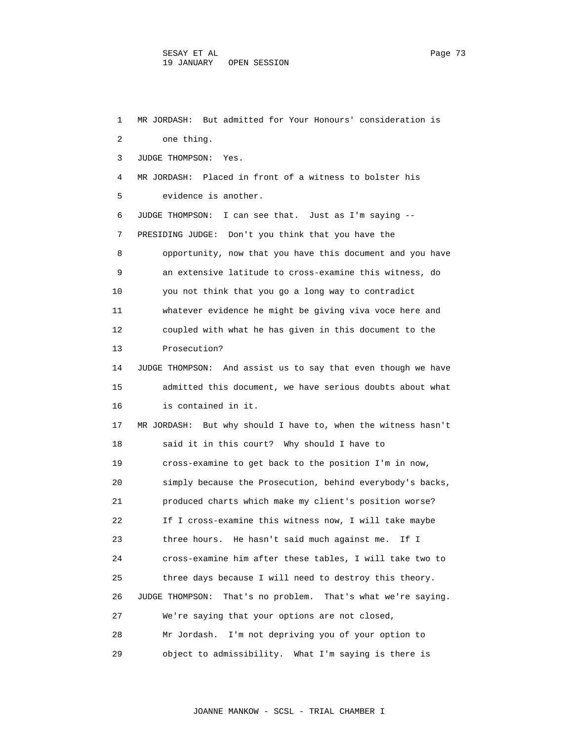1 MR JORDASH: But admitted for Your Honours' consideration is 2 one thing. 3 JUDGE THOMPSON: Yes. 4 MR JORDASH: Placed in front of a witness to bolster his 5 evidence is another. 6 JUDGE THOMPSON: I can see that. Just as I'm saying -- 7 PRESIDING JUDGE: Don't you think that you have the 8 opportunity, now that you have this document and you have 9 an extensive latitude to cross-examine this witness, do 10 you not think that you go a long way to contradict 11 whatever evidence he might be giving viva voce here and 12 coupled with what he has given in this document to the 13 Prosecution? 14 JUDGE THOMPSON: And assist us to say that even though we have 15 admitted this document, we have serious doubts about what 16 is contained in it. 17 MR JORDASH: But why should I have to, when the witness hasn't 18 said it in this court? Why should I have to 19 cross-examine to get back to the position I'm in now, 20 simply because the Prosecution, behind everybody's backs, 21 produced charts which make my client's position worse? 22 If I cross-examine this witness now, I will take maybe 23 three hours. He hasn't said much against me. If I 24 cross-examine him after these tables, I will take two to 25 three days because I will need to destroy this theory. 26 JUDGE THOMPSON: That's no problem. That's what we're saying. 27 We're saying that your options are not closed, 28 Mr Jordash. I'm not depriving you of your option to 29 object to admissibility. What I'm saying is there is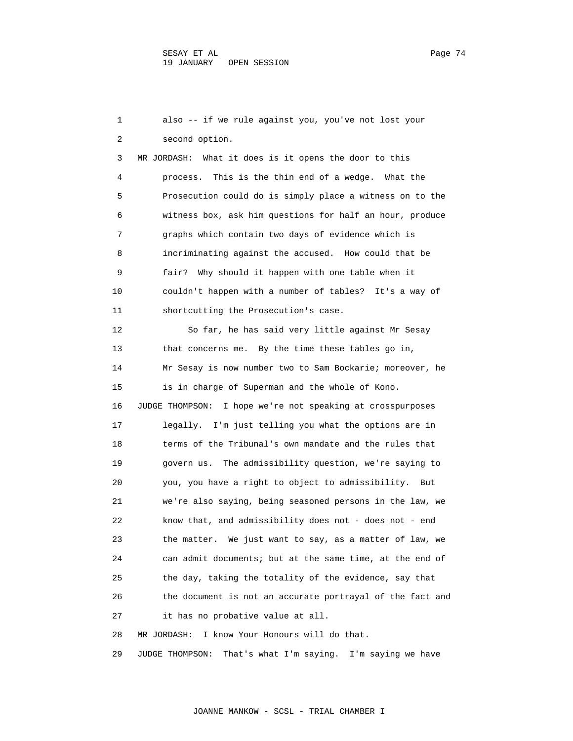1 also -- if we rule against you, you've not lost your 2 second option. 3 MR JORDASH: What it does is it opens the door to this 4 process. This is the thin end of a wedge. What the 5 Prosecution could do is simply place a witness on to the 6 witness box, ask him questions for half an hour, produce 7 graphs which contain two days of evidence which is 8 incriminating against the accused. How could that be 9 fair? Why should it happen with one table when it 10 couldn't happen with a number of tables? It's a way of 11 shortcutting the Prosecution's case. 12 So far, he has said very little against Mr Sesay 13 that concerns me. By the time these tables go in, 14 Mr Sesay is now number two to Sam Bockarie; moreover, he 15 is in charge of Superman and the whole of Kono. 16 JUDGE THOMPSON: I hope we're not speaking at crosspurposes 17 legally. I'm just telling you what the options are in 18 terms of the Tribunal's own mandate and the rules that 19 govern us. The admissibility question, we're saying to 20 you, you have a right to object to admissibility. But 21 we're also saying, being seasoned persons in the law, we 22 know that, and admissibility does not - does not - end 23 the matter. We just want to say, as a matter of law, we 24 can admit documents; but at the same time, at the end of 25 the day, taking the totality of the evidence, say that 26 the document is not an accurate portrayal of the fact and 27 it has no probative value at all. 28 MR JORDASH: I know Your Honours will do that.

29 JUDGE THOMPSON: That's what I'm saying. I'm saying we have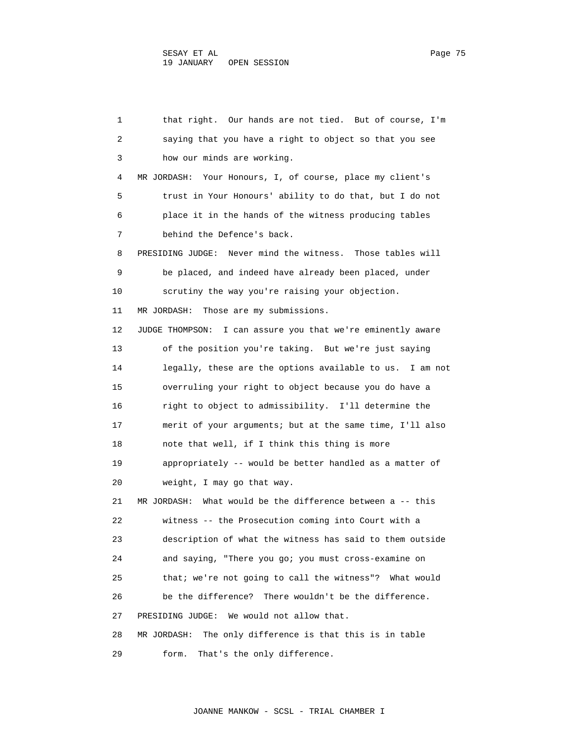1 that right. Our hands are not tied. But of course, I'm 2 saying that you have a right to object so that you see 3 how our minds are working. 4 MR JORDASH: Your Honours, I, of course, place my client's 5 trust in Your Honours' ability to do that, but I do not 6 place it in the hands of the witness producing tables 7 behind the Defence's back. 8 PRESIDING JUDGE: Never mind the witness. Those tables will 9 be placed, and indeed have already been placed, under 10 scrutiny the way you're raising your objection. 11 MR JORDASH: Those are my submissions. 12 JUDGE THOMPSON: I can assure you that we're eminently aware 13 of the position you're taking. But we're just saying 14 legally, these are the options available to us. I am not 15 overruling your right to object because you do have a 16 right to object to admissibility. I'll determine the 17 merit of your arguments; but at the same time, I'll also 18 note that well, if I think this thing is more 19 appropriately -- would be better handled as a matter of 20 weight, I may go that way. 21 MR JORDASH: What would be the difference between a -- this 22 witness -- the Prosecution coming into Court with a 23 description of what the witness has said to them outside 24 and saying, "There you go; you must cross-examine on 25 that; we're not going to call the witness"? What would 26 be the difference? There wouldn't be the difference. 27 PRESIDING JUDGE: We would not allow that. 28 MR JORDASH: The only difference is that this is in table 29 form. That's the only difference.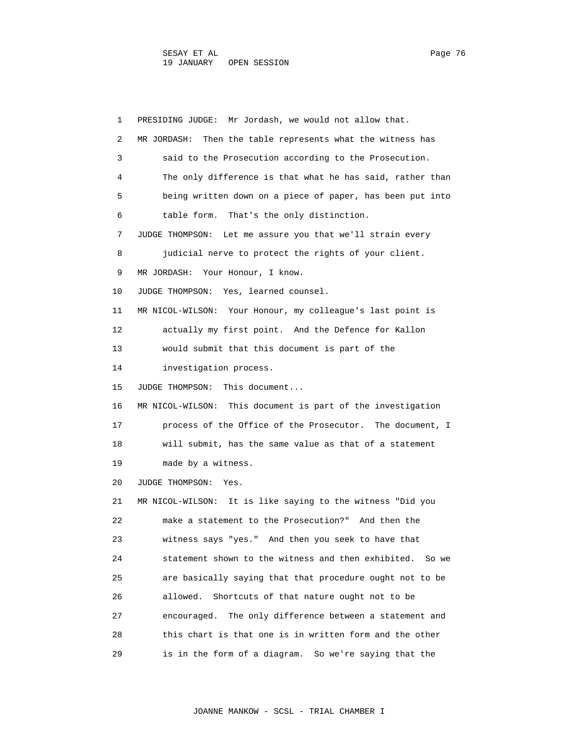1 PRESIDING JUDGE: Mr Jordash, we would not allow that. 2 MR JORDASH: Then the table represents what the witness has 3 said to the Prosecution according to the Prosecution. 4 The only difference is that what he has said, rather than 5 being written down on a piece of paper, has been put into 6 table form. That's the only distinction. 7 JUDGE THOMPSON: Let me assure you that we'll strain every 8 judicial nerve to protect the rights of your client. 9 MR JORDASH: Your Honour, I know. 10 JUDGE THOMPSON: Yes, learned counsel. 11 MR NICOL-WILSON: Your Honour, my colleague's last point is 12 actually my first point. And the Defence for Kallon 13 would submit that this document is part of the 14 investigation process. 15 JUDGE THOMPSON: This document... 16 MR NICOL-WILSON: This document is part of the investigation 17 process of the Office of the Prosecutor. The document, I 18 will submit, has the same value as that of a statement 19 made by a witness. 20 JUDGE THOMPSON: Yes. 21 MR NICOL-WILSON: It is like saying to the witness "Did you 22 make a statement to the Prosecution?" And then the 23 witness says "yes." And then you seek to have that 24 statement shown to the witness and then exhibited. So we 25 are basically saying that that procedure ought not to be 26 allowed. Shortcuts of that nature ought not to be 27 encouraged. The only difference between a statement and 28 this chart is that one is in written form and the other 29 is in the form of a diagram. So we're saying that the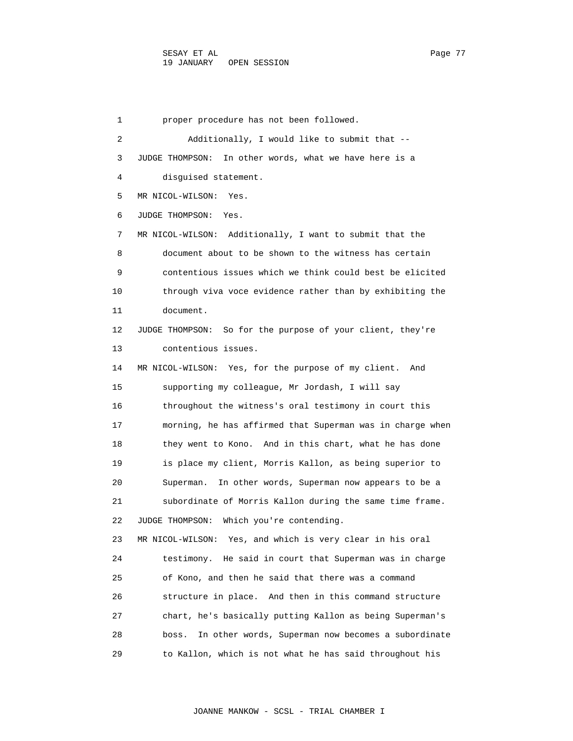1 proper procedure has not been followed. 2 Additionally, I would like to submit that -- 3 JUDGE THOMPSON: In other words, what we have here is a 4 disguised statement. 5 MR NICOL-WILSON: Yes. 6 JUDGE THOMPSON: Yes. 7 MR NICOL-WILSON: Additionally, I want to submit that the 8 document about to be shown to the witness has certain 9 contentious issues which we think could best be elicited 10 through viva voce evidence rather than by exhibiting the 11 document. 12 JUDGE THOMPSON: So for the purpose of your client, they're 13 contentious issues. 14 MR NICOL-WILSON: Yes, for the purpose of my client. And 15 supporting my colleague, Mr Jordash, I will say 16 throughout the witness's oral testimony in court this 17 morning, he has affirmed that Superman was in charge when 18 they went to Kono. And in this chart, what he has done 19 is place my client, Morris Kallon, as being superior to 20 Superman. In other words, Superman now appears to be a 21 subordinate of Morris Kallon during the same time frame. 22 JUDGE THOMPSON: Which you're contending. 23 MR NICOL-WILSON: Yes, and which is very clear in his oral 24 testimony. He said in court that Superman was in charge 25 of Kono, and then he said that there was a command 26 structure in place. And then in this command structure 27 chart, he's basically putting Kallon as being Superman's 28 boss. In other words, Superman now becomes a subordinate 29 to Kallon, which is not what he has said throughout his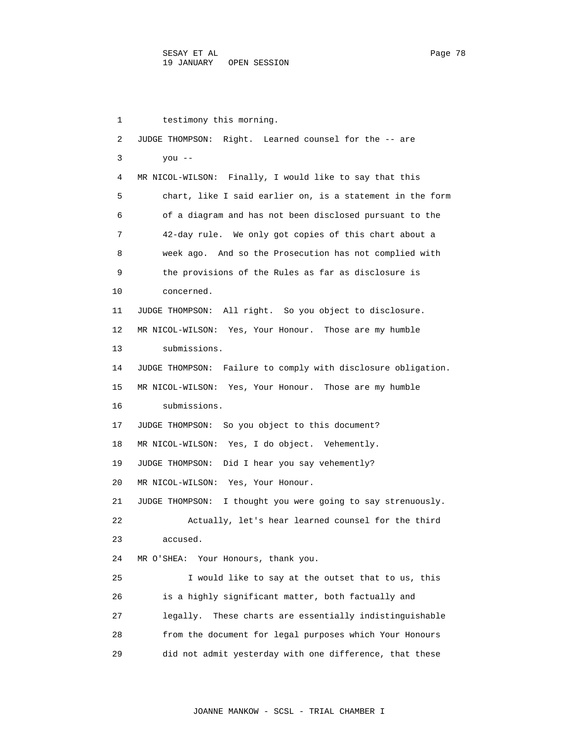1 testimony this morning. 2 JUDGE THOMPSON: Right. Learned counsel for the -- are 3 you -- 4 MR NICOL-WILSON: Finally, I would like to say that this 5 chart, like I said earlier on, is a statement in the form 6 of a diagram and has not been disclosed pursuant to the 7 42-day rule. We only got copies of this chart about a 8 week ago. And so the Prosecution has not complied with 9 the provisions of the Rules as far as disclosure is 10 concerned. 11 JUDGE THOMPSON: All right. So you object to disclosure. 12 MR NICOL-WILSON: Yes, Your Honour. Those are my humble 13 submissions. 14 JUDGE THOMPSON: Failure to comply with disclosure obligation. 15 MR NICOL-WILSON: Yes, Your Honour. Those are my humble 16 submissions. 17 JUDGE THOMPSON: So you object to this document? 18 MR NICOL-WILSON: Yes, I do object. Vehemently. 19 JUDGE THOMPSON: Did I hear you say vehemently? 20 MR NICOL-WILSON: Yes, Your Honour. 21 JUDGE THOMPSON: I thought you were going to say strenuously. 22 Actually, let's hear learned counsel for the third 23 accused. 24 MR O'SHEA: Your Honours, thank you. 25 I would like to say at the outset that to us, this 26 is a highly significant matter, both factually and 27 legally. These charts are essentially indistinguishable 28 from the document for legal purposes which Your Honours 29 did not admit yesterday with one difference, that these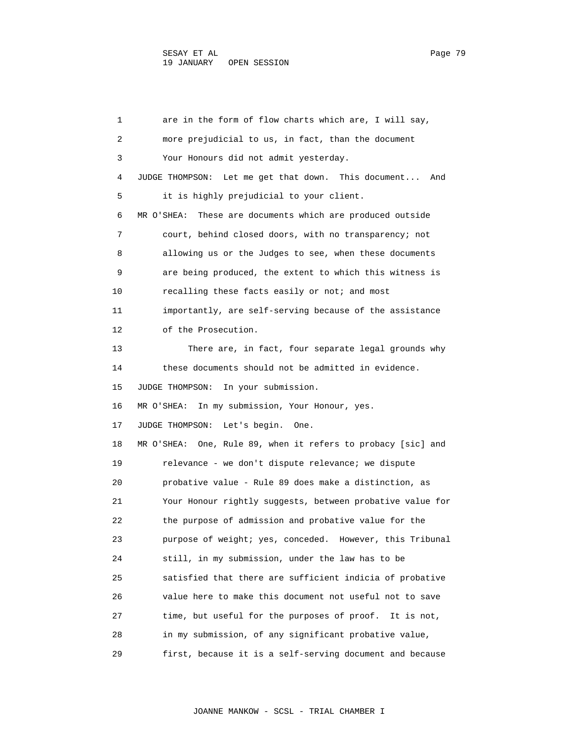1 are in the form of flow charts which are, I will say, 2 more prejudicial to us, in fact, than the document 3 Your Honours did not admit yesterday. 4 JUDGE THOMPSON: Let me get that down. This document... And 5 it is highly prejudicial to your client. 6 MR O'SHEA: These are documents which are produced outside 7 court, behind closed doors, with no transparency; not 8 allowing us or the Judges to see, when these documents 9 are being produced, the extent to which this witness is 10 recalling these facts easily or not; and most 11 importantly, are self-serving because of the assistance 12 of the Prosecution. 13 There are, in fact, four separate legal grounds why 14 these documents should not be admitted in evidence. 15 JUDGE THOMPSON: In your submission. 16 MR O'SHEA: In my submission, Your Honour, yes. 17 JUDGE THOMPSON: Let's begin. One. 18 MR O'SHEA: One, Rule 89, when it refers to probacy [sic] and 19 relevance - we don't dispute relevance; we dispute 20 probative value - Rule 89 does make a distinction, as 21 Your Honour rightly suggests, between probative value for 22 the purpose of admission and probative value for the 23 purpose of weight; yes, conceded. However, this Tribunal 24 still, in my submission, under the law has to be 25 satisfied that there are sufficient indicia of probative 26 value here to make this document not useful not to save 27 time, but useful for the purposes of proof. It is not, 28 in my submission, of any significant probative value, 29 first, because it is a self-serving document and because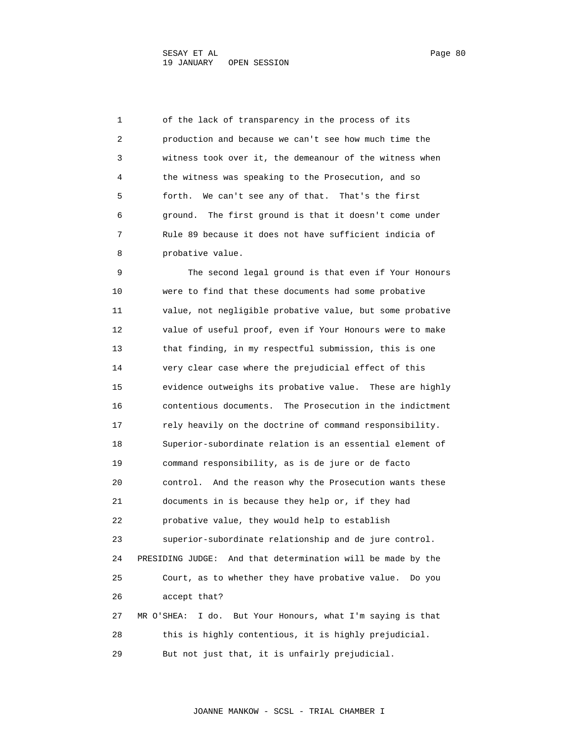1 of the lack of transparency in the process of its 2 production and because we can't see how much time the 3 witness took over it, the demeanour of the witness when 4 the witness was speaking to the Prosecution, and so 5 forth. We can't see any of that. That's the first 6 ground. The first ground is that it doesn't come under 7 Rule 89 because it does not have sufficient indicia of 8 probative value.

 9 The second legal ground is that even if Your Honours 10 were to find that these documents had some probative 11 value, not negligible probative value, but some probative 12 value of useful proof, even if Your Honours were to make 13 that finding, in my respectful submission, this is one 14 very clear case where the prejudicial effect of this 15 evidence outweighs its probative value. These are highly 16 contentious documents. The Prosecution in the indictment 17 rely heavily on the doctrine of command responsibility. 18 Superior-subordinate relation is an essential element of 19 command responsibility, as is de jure or de facto 20 control. And the reason why the Prosecution wants these 21 documents in is because they help or, if they had 22 probative value, they would help to establish 23 superior-subordinate relationship and de jure control. 24 PRESIDING JUDGE: And that determination will be made by the 25 Court, as to whether they have probative value. Do you 26 accept that? 27 MR O'SHEA: I do. But Your Honours, what I'm saying is that 28 this is highly contentious, it is highly prejudicial. 29 But not just that, it is unfairly prejudicial.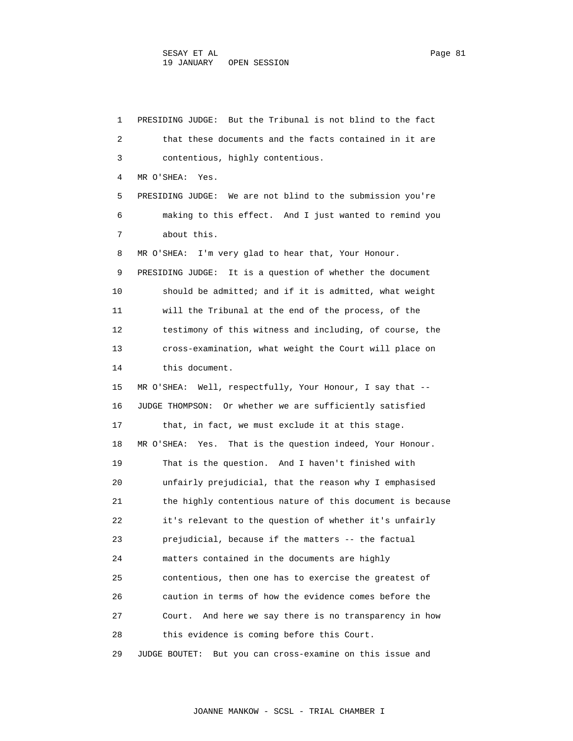1 PRESIDING JUDGE: But the Tribunal is not blind to the fact 2 that these documents and the facts contained in it are 3 contentious, highly contentious. 4 MR O'SHEA: Yes. 5 PRESIDING JUDGE: We are not blind to the submission you're 6 making to this effect. And I just wanted to remind you 7 about this. 8 MR O'SHEA: I'm very glad to hear that, Your Honour. 9 PRESIDING JUDGE: It is a question of whether the document 10 should be admitted; and if it is admitted, what weight 11 will the Tribunal at the end of the process, of the 12 testimony of this witness and including, of course, the 13 cross-examination, what weight the Court will place on 14 this document. 15 MR O'SHEA: Well, respectfully, Your Honour, I say that -- 16 JUDGE THOMPSON: Or whether we are sufficiently satisfied 17 that, in fact, we must exclude it at this stage. 18 MR O'SHEA: Yes. That is the question indeed, Your Honour. 19 That is the question. And I haven't finished with 20 unfairly prejudicial, that the reason why I emphasised 21 the highly contentious nature of this document is because 22 it's relevant to the question of whether it's unfairly 23 prejudicial, because if the matters -- the factual 24 matters contained in the documents are highly 25 contentious, then one has to exercise the greatest of 26 caution in terms of how the evidence comes before the 27 Court. And here we say there is no transparency in how 28 this evidence is coming before this Court. 29 JUDGE BOUTET: But you can cross-examine on this issue and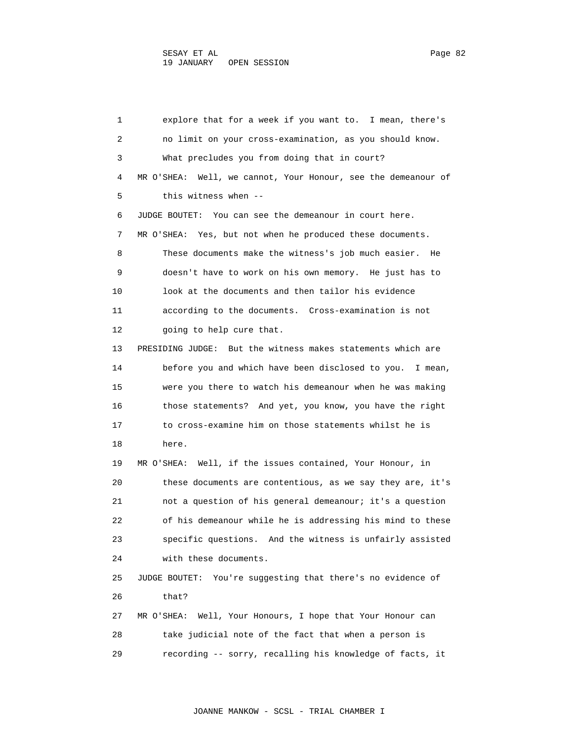1 explore that for a week if you want to. I mean, there's 2 no limit on your cross-examination, as you should know. 3 What precludes you from doing that in court? 4 MR O'SHEA: Well, we cannot, Your Honour, see the demeanour of 5 this witness when -- 6 JUDGE BOUTET: You can see the demeanour in court here. 7 MR O'SHEA: Yes, but not when he produced these documents. 8 These documents make the witness's job much easier. He 9 doesn't have to work on his own memory. He just has to 10 look at the documents and then tailor his evidence 11 according to the documents. Cross-examination is not 12 going to help cure that. 13 PRESIDING JUDGE: But the witness makes statements which are 14 before you and which have been disclosed to you. I mean, 15 were you there to watch his demeanour when he was making 16 those statements? And yet, you know, you have the right 17 to cross-examine him on those statements whilst he is 18 here. 19 MR O'SHEA: Well, if the issues contained, Your Honour, in 20 these documents are contentious, as we say they are, it's 21 not a question of his general demeanour; it's a question 22 of his demeanour while he is addressing his mind to these 23 specific questions. And the witness is unfairly assisted 24 with these documents. 25 JUDGE BOUTET: You're suggesting that there's no evidence of 26 that? 27 MR O'SHEA: Well, Your Honours, I hope that Your Honour can 28 take judicial note of the fact that when a person is 29 recording -- sorry, recalling his knowledge of facts, it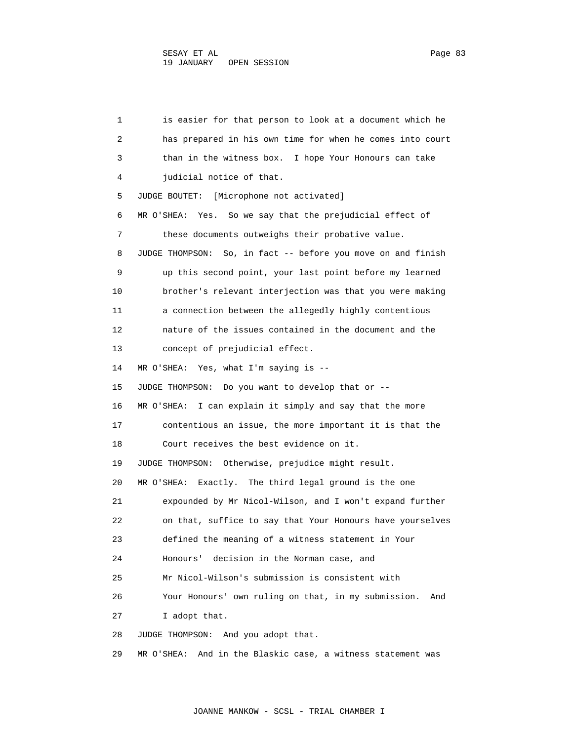1 is easier for that person to look at a document which he 2 has prepared in his own time for when he comes into court 3 than in the witness box. I hope Your Honours can take 4 judicial notice of that. 5 JUDGE BOUTET: [Microphone not activated] 6 MR O'SHEA: Yes. So we say that the prejudicial effect of 7 these documents outweighs their probative value. 8 JUDGE THOMPSON: So, in fact -- before you move on and finish 9 up this second point, your last point before my learned 10 brother's relevant interjection was that you were making 11 a connection between the allegedly highly contentious 12 nature of the issues contained in the document and the 13 concept of prejudicial effect. 14 MR O'SHEA: Yes, what I'm saying is -- 15 JUDGE THOMPSON: Do you want to develop that or -- 16 MR O'SHEA: I can explain it simply and say that the more 17 contentious an issue, the more important it is that the 18 Court receives the best evidence on it. 19 JUDGE THOMPSON: Otherwise, prejudice might result. 20 MR O'SHEA: Exactly. The third legal ground is the one 21 expounded by Mr Nicol-Wilson, and I won't expand further 22 on that, suffice to say that Your Honours have yourselves 23 defined the meaning of a witness statement in Your 24 Honours' decision in the Norman case, and 25 Mr Nicol-Wilson's submission is consistent with 26 Your Honours' own ruling on that, in my submission. And 27 I adopt that. 28 JUDGE THOMPSON: And you adopt that. 29 MR O'SHEA: And in the Blaskic case, a witness statement was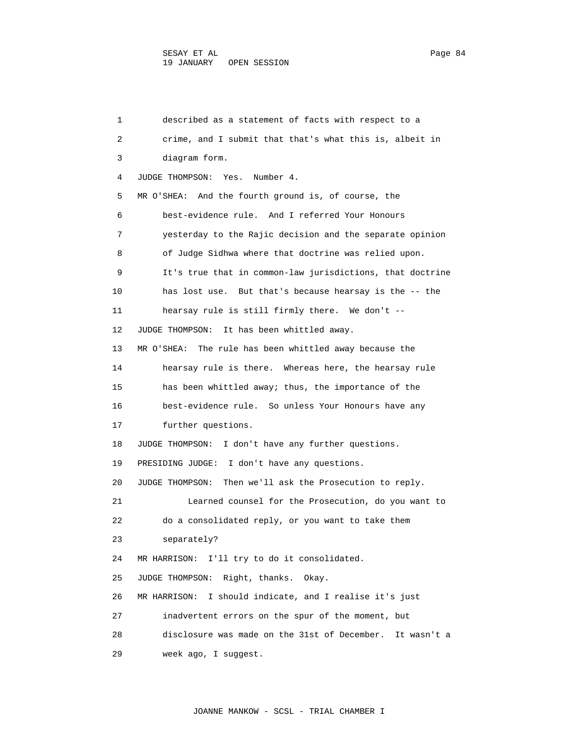1 described as a statement of facts with respect to a 2 crime, and I submit that that's what this is, albeit in 3 diagram form. 4 JUDGE THOMPSON: Yes. Number 4. 5 MR O'SHEA: And the fourth ground is, of course, the 6 best-evidence rule. And I referred Your Honours 7 yesterday to the Rajic decision and the separate opinion 8 of Judge Sidhwa where that doctrine was relied upon. 9 It's true that in common-law jurisdictions, that doctrine 10 has lost use. But that's because hearsay is the -- the 11 hearsay rule is still firmly there. We don't -- 12 JUDGE THOMPSON: It has been whittled away. 13 MR O'SHEA: The rule has been whittled away because the 14 hearsay rule is there. Whereas here, the hearsay rule 15 has been whittled away; thus, the importance of the 16 best-evidence rule. So unless Your Honours have any 17 further questions. 18 JUDGE THOMPSON: I don't have any further questions. 19 PRESIDING JUDGE: I don't have any questions. 20 JUDGE THOMPSON: Then we'll ask the Prosecution to reply. 21 Learned counsel for the Prosecution, do you want to 22 do a consolidated reply, or you want to take them 23 separately? 24 MR HARRISON: I'll try to do it consolidated. 25 JUDGE THOMPSON: Right, thanks. Okay. 26 MR HARRISON: I should indicate, and I realise it's just 27 inadvertent errors on the spur of the moment, but 28 disclosure was made on the 31st of December. It wasn't a 29 week ago, I suggest.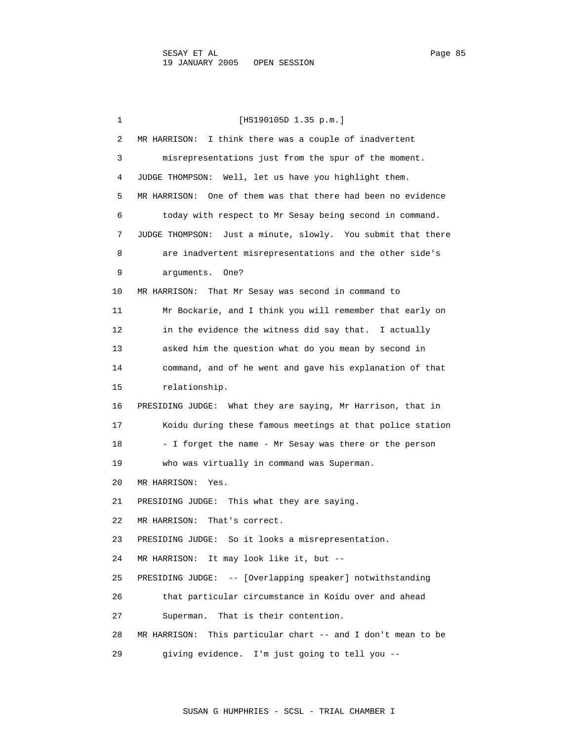1 [HS190105D 1.35 p.m.] 2 MR HARRISON: I think there was a couple of inadvertent 3 misrepresentations just from the spur of the moment. 4 JUDGE THOMPSON: Well, let us have you highlight them. 5 MR HARRISON: One of them was that there had been no evidence 6 today with respect to Mr Sesay being second in command. 7 JUDGE THOMPSON: Just a minute, slowly. You submit that there 8 are inadvertent misrepresentations and the other side's 9 arguments. One? 10 MR HARRISON: That Mr Sesay was second in command to 11 Mr Bockarie, and I think you will remember that early on 12 in the evidence the witness did say that. I actually 13 asked him the question what do you mean by second in 14 command, and of he went and gave his explanation of that 15 relationship. 16 PRESIDING JUDGE: What they are saying, Mr Harrison, that in 17 Koidu during these famous meetings at that police station 18 - I forget the name - Mr Sesay was there or the person 19 who was virtually in command was Superman. 20 MR HARRISON: Yes. 21 PRESIDING JUDGE: This what they are saying. 22 MR HARRISON: That's correct. 23 PRESIDING JUDGE: So it looks a misrepresentation. 24 MR HARRISON: It may look like it, but -- 25 PRESIDING JUDGE: -- [Overlapping speaker] notwithstanding 26 that particular circumstance in Koidu over and ahead 27 Superman. That is their contention. 28 MR HARRISON: This particular chart -- and I don't mean to be 29 giving evidence. I'm just going to tell you --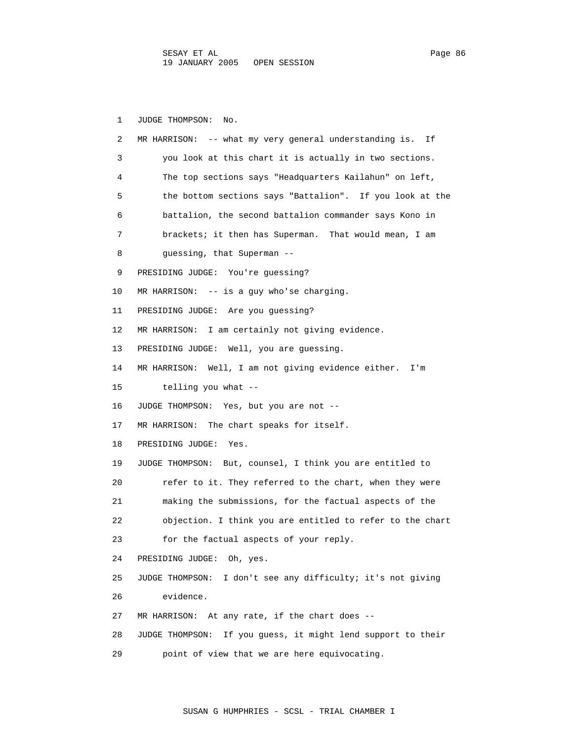1 JUDGE THOMPSON: No. 2 MR HARRISON: -- what my very general understanding is. If 3 you look at this chart it is actually in two sections. 4 The top sections says "Headquarters Kailahun" on left, 5 the bottom sections says "Battalion". If you look at the 6 battalion, the second battalion commander says Kono in 7 brackets; it then has Superman. That would mean, I am 8 guessing, that Superman -- 9 PRESIDING JUDGE: You're guessing? 10 MR HARRISON: -- is a guy who'se charging. 11 PRESIDING JUDGE: Are you guessing? 12 MR HARRISON: I am certainly not giving evidence. 13 PRESIDING JUDGE: Well, you are guessing. 14 MR HARRISON: Well, I am not giving evidence either. I'm 15 telling you what -- 16 JUDGE THOMPSON: Yes, but you are not -- 17 MR HARRISON: The chart speaks for itself. 18 PRESIDING JUDGE: Yes. 19 JUDGE THOMPSON: But, counsel, I think you are entitled to 20 refer to it. They referred to the chart, when they were 21 making the submissions, for the factual aspects of the 22 objection. I think you are entitled to refer to the chart 23 for the factual aspects of your reply. 24 PRESIDING JUDGE: Oh, yes. 25 JUDGE THOMPSON: I don't see any difficulty; it's not giving 26 evidence. 27 MR HARRISON: At any rate, if the chart does -- 28 JUDGE THOMPSON: If you guess, it might lend support to their 29 point of view that we are here equivocating.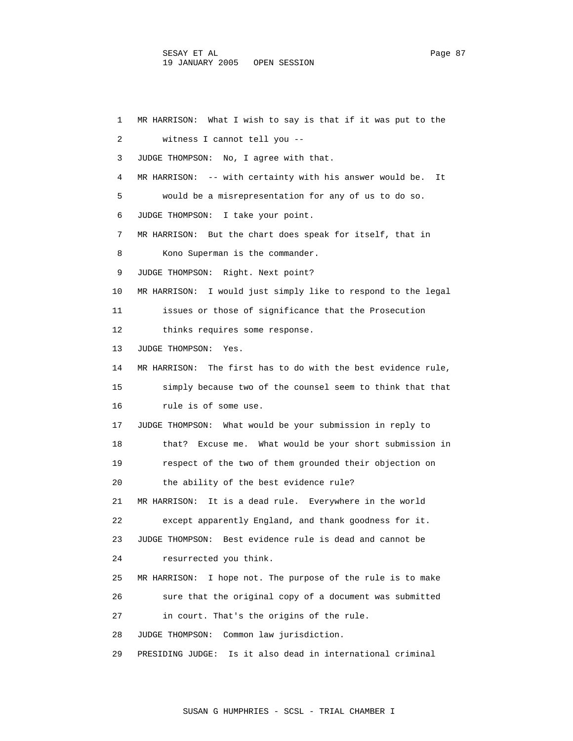1 MR HARRISON: What I wish to say is that if it was put to the 2 witness I cannot tell you -- 3 JUDGE THOMPSON: No, I agree with that. 4 MR HARRISON: -- with certainty with his answer would be. It 5 would be a misrepresentation for any of us to do so. 6 JUDGE THOMPSON: I take your point. 7 MR HARRISON: But the chart does speak for itself, that in 8 Kono Superman is the commander. 9 JUDGE THOMPSON: Right. Next point? 10 MR HARRISON: I would just simply like to respond to the legal 11 issues or those of significance that the Prosecution 12 thinks requires some response. 13 JUDGE THOMPSON: Yes. 14 MR HARRISON: The first has to do with the best evidence rule, 15 simply because two of the counsel seem to think that that 16 rule is of some use. 17 JUDGE THOMPSON: What would be your submission in reply to 18 that? Excuse me. What would be your short submission in 19 respect of the two of them grounded their objection on 20 the ability of the best evidence rule? 21 MR HARRISON: It is a dead rule. Everywhere in the world 22 except apparently England, and thank goodness for it. 23 JUDGE THOMPSON: Best evidence rule is dead and cannot be 24 resurrected you think. 25 MR HARRISON: I hope not. The purpose of the rule is to make 26 sure that the original copy of a document was submitted 27 in court. That's the origins of the rule. 28 JUDGE THOMPSON: Common law jurisdiction. 29 PRESIDING JUDGE: Is it also dead in international criminal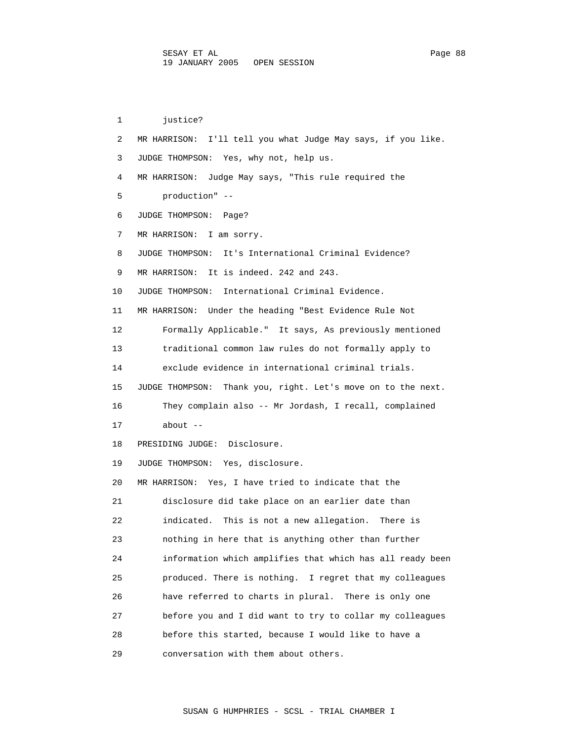1 justice? 2 MR HARRISON: I'll tell you what Judge May says, if you like. 3 JUDGE THOMPSON: Yes, why not, help us. 4 MR HARRISON: Judge May says, "This rule required the 5 production" -- 6 JUDGE THOMPSON: Page? 7 MR HARRISON: I am sorry. 8 JUDGE THOMPSON: It's International Criminal Evidence? 9 MR HARRISON: It is indeed. 242 and 243. 10 JUDGE THOMPSON: International Criminal Evidence. 11 MR HARRISON: Under the heading "Best Evidence Rule Not 12 Formally Applicable." It says, As previously mentioned 13 traditional common law rules do not formally apply to 14 exclude evidence in international criminal trials. 15 JUDGE THOMPSON: Thank you, right. Let's move on to the next. 16 They complain also -- Mr Jordash, I recall, complained 17 about -- 18 PRESIDING JUDGE: Disclosure. 19 JUDGE THOMPSON: Yes, disclosure. 20 MR HARRISON: Yes, I have tried to indicate that the 21 disclosure did take place on an earlier date than 22 indicated. This is not a new allegation. There is 23 nothing in here that is anything other than further 24 information which amplifies that which has all ready been 25 produced. There is nothing. I regret that my colleagues 26 have referred to charts in plural. There is only one 27 before you and I did want to try to collar my colleagues 28 before this started, because I would like to have a 29 conversation with them about others.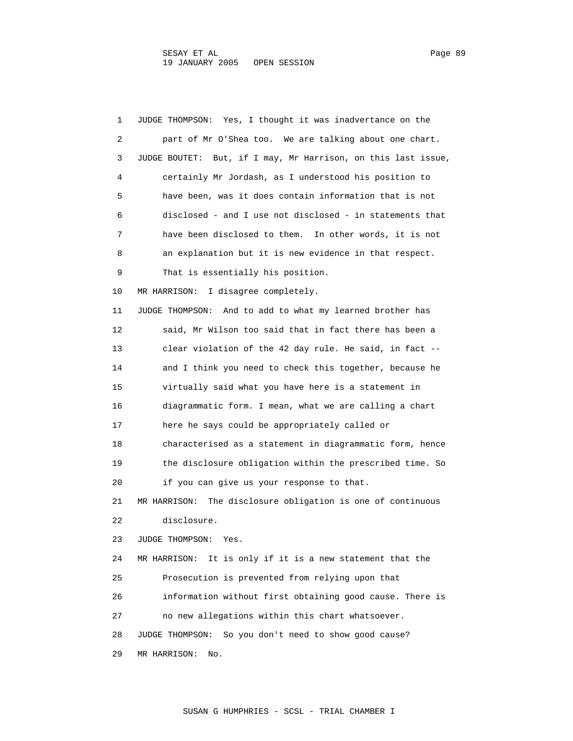1 JUDGE THOMPSON: Yes, I thought it was inadvertance on the 2 part of Mr O'Shea too. We are talking about one chart. 3 JUDGE BOUTET: But, if I may, Mr Harrison, on this last issue, 4 certainly Mr Jordash, as I understood his position to 5 have been, was it does contain information that is not 6 disclosed - and I use not disclosed - in statements that 7 have been disclosed to them. In other words, it is not 8 an explanation but it is new evidence in that respect. 9 That is essentially his position. 10 MR HARRISON: I disagree completely. 11 JUDGE THOMPSON: And to add to what my learned brother has 12 said, Mr Wilson too said that in fact there has been a 13 clear violation of the 42 day rule. He said, in fact -- 14 and I think you need to check this together, because he 15 virtually said what you have here is a statement in 16 diagrammatic form. I mean, what we are calling a chart 17 here he says could be appropriately called or 18 characterised as a statement in diagrammatic form, hence 19 the disclosure obligation within the prescribed time. So 20 if you can give us your response to that. 21 MR HARRISON: The disclosure obligation is one of continuous 22 disclosure. 23 JUDGE THOMPSON: Yes. 24 MR HARRISON: It is only if it is a new statement that the 25 Prosecution is prevented from relying upon that 26 information without first obtaining good cause. There is 27 no new allegations within this chart whatsoever. 28 JUDGE THOMPSON: So you don't need to show good cause? 29 MR HARRISON: No.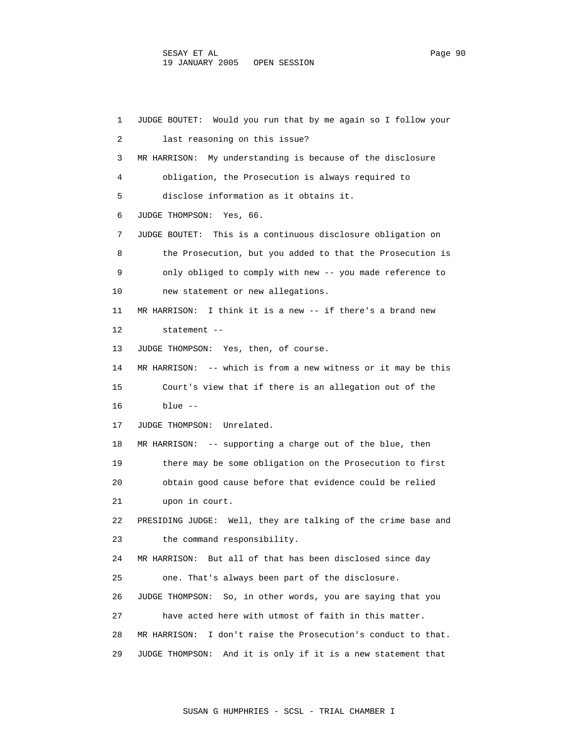1 JUDGE BOUTET: Would you run that by me again so I follow your 2 last reasoning on this issue? 3 MR HARRISON: My understanding is because of the disclosure 4 obligation, the Prosecution is always required to 5 disclose information as it obtains it. 6 JUDGE THOMPSON: Yes, 66. 7 JUDGE BOUTET: This is a continuous disclosure obligation on 8 the Prosecution, but you added to that the Prosecution is 9 only obliged to comply with new -- you made reference to 10 new statement or new allegations. 11 MR HARRISON: I think it is a new -- if there's a brand new 12 statement -- 13 JUDGE THOMPSON: Yes, then, of course. 14 MR HARRISON: -- which is from a new witness or it may be this 15 Court's view that if there is an allegation out of the 16 blue -- 17 JUDGE THOMPSON: Unrelated. 18 MR HARRISON: -- supporting a charge out of the blue, then 19 there may be some obligation on the Prosecution to first 20 obtain good cause before that evidence could be relied 21 upon in court. 22 PRESIDING JUDGE: Well, they are talking of the crime base and 23 the command responsibility. 24 MR HARRISON: But all of that has been disclosed since day 25 one. That's always been part of the disclosure. 26 JUDGE THOMPSON: So, in other words, you are saying that you 27 have acted here with utmost of faith in this matter. 28 MR HARRISON: I don't raise the Prosecution's conduct to that. 29 JUDGE THOMPSON: And it is only if it is a new statement that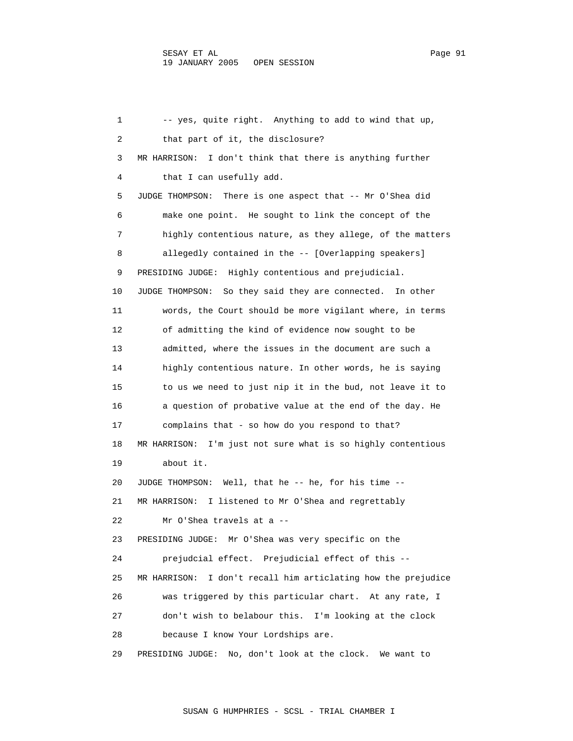1 -- yes, quite right. Anything to add to wind that up, 2 that part of it, the disclosure? 3 MR HARRISON: I don't think that there is anything further 4 that I can usefully add. 5 JUDGE THOMPSON: There is one aspect that -- Mr O'Shea did 6 make one point. He sought to link the concept of the 7 highly contentious nature, as they allege, of the matters 8 allegedly contained in the -- [Overlapping speakers] 9 PRESIDING JUDGE: Highly contentious and prejudicial. 10 JUDGE THOMPSON: So they said they are connected. In other 11 words, the Court should be more vigilant where, in terms 12 of admitting the kind of evidence now sought to be 13 admitted, where the issues in the document are such a 14 highly contentious nature. In other words, he is saying 15 to us we need to just nip it in the bud, not leave it to 16 a question of probative value at the end of the day. He 17 complains that - so how do you respond to that? 18 MR HARRISON: I'm just not sure what is so highly contentious 19 about it. 20 JUDGE THOMPSON: Well, that he -- he, for his time -- 21 MR HARRISON: I listened to Mr O'Shea and regrettably 22 Mr O'Shea travels at a -- 23 PRESIDING JUDGE: Mr O'Shea was very specific on the 24 prejudcial effect. Prejudicial effect of this -- 25 MR HARRISON: I don't recall him articlating how the prejudice 26 was triggered by this particular chart. At any rate, I 27 don't wish to belabour this. I'm looking at the clock 28 because I know Your Lordships are. 29 PRESIDING JUDGE: No, don't look at the clock. We want to

SUSAN G HUMPHRIES - SCSL - TRIAL CHAMBER I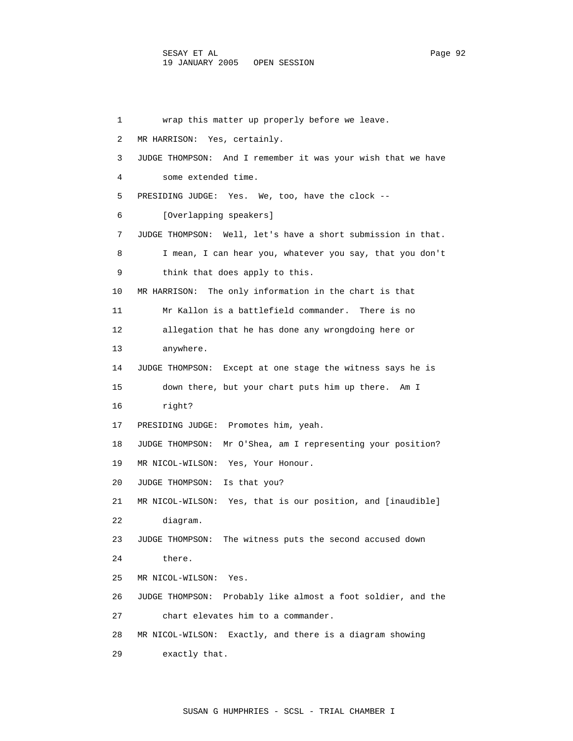1 wrap this matter up properly before we leave. 2 MR HARRISON: Yes, certainly. 3 JUDGE THOMPSON: And I remember it was your wish that we have 4 some extended time. 5 PRESIDING JUDGE: Yes. We, too, have the clock -- 6 [Overlapping speakers] 7 JUDGE THOMPSON: Well, let's have a short submission in that. 8 I mean, I can hear you, whatever you say, that you don't 9 think that does apply to this. 10 MR HARRISON: The only information in the chart is that 11 Mr Kallon is a battlefield commander. There is no 12 allegation that he has done any wrongdoing here or 13 anywhere. 14 JUDGE THOMPSON: Except at one stage the witness says he is 15 down there, but your chart puts him up there. Am I 16 right? 17 PRESIDING JUDGE: Promotes him, yeah. 18 JUDGE THOMPSON: Mr O'Shea, am I representing your position? 19 MR NICOL-WILSON: Yes, Your Honour. 20 JUDGE THOMPSON: Is that you? 21 MR NICOL-WILSON: Yes, that is our position, and [inaudible] 22 diagram. 23 JUDGE THOMPSON: The witness puts the second accused down 24 there. 25 MR NICOL-WILSON: Yes. 26 JUDGE THOMPSON: Probably like almost a foot soldier, and the 27 chart elevates him to a commander. 28 MR NICOL-WILSON: Exactly, and there is a diagram showing 29 exactly that.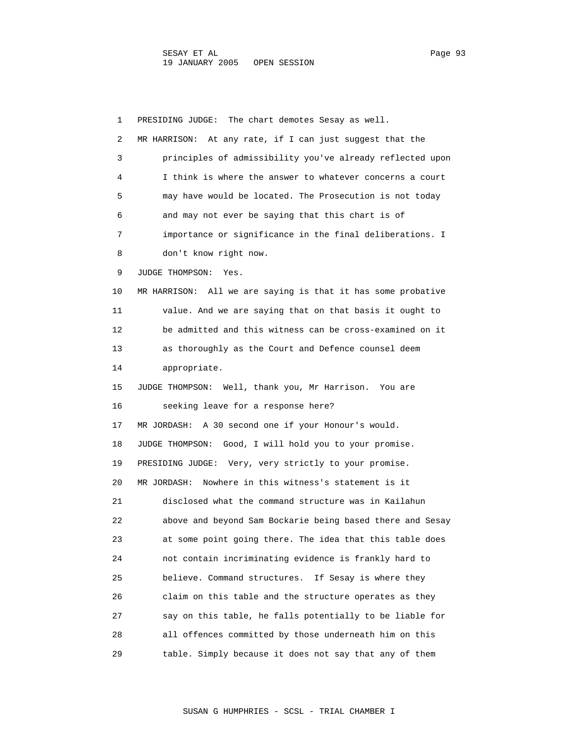1 PRESIDING JUDGE: The chart demotes Sesay as well. 2 MR HARRISON: At any rate, if I can just suggest that the 3 principles of admissibility you've already reflected upon 4 I think is where the answer to whatever concerns a court 5 may have would be located. The Prosecution is not today 6 and may not ever be saying that this chart is of 7 importance or significance in the final deliberations. I 8 don't know right now. 9 JUDGE THOMPSON: Yes. 10 MR HARRISON: All we are saying is that it has some probative 11 value. And we are saying that on that basis it ought to 12 be admitted and this witness can be cross-examined on it 13 as thoroughly as the Court and Defence counsel deem 14 appropriate. 15 JUDGE THOMPSON: Well, thank you, Mr Harrison. You are 16 seeking leave for a response here? 17 MR JORDASH: A 30 second one if your Honour's would. 18 JUDGE THOMPSON: Good, I will hold you to your promise. 19 PRESIDING JUDGE: Very, very strictly to your promise. 20 MR JORDASH: Nowhere in this witness's statement is it 21 disclosed what the command structure was in Kailahun 22 above and beyond Sam Bockarie being based there and Sesay 23 at some point going there. The idea that this table does 24 not contain incriminating evidence is frankly hard to 25 believe. Command structures. If Sesay is where they 26 claim on this table and the structure operates as they 27 say on this table, he falls potentially to be liable for 28 all offences committed by those underneath him on this 29 table. Simply because it does not say that any of them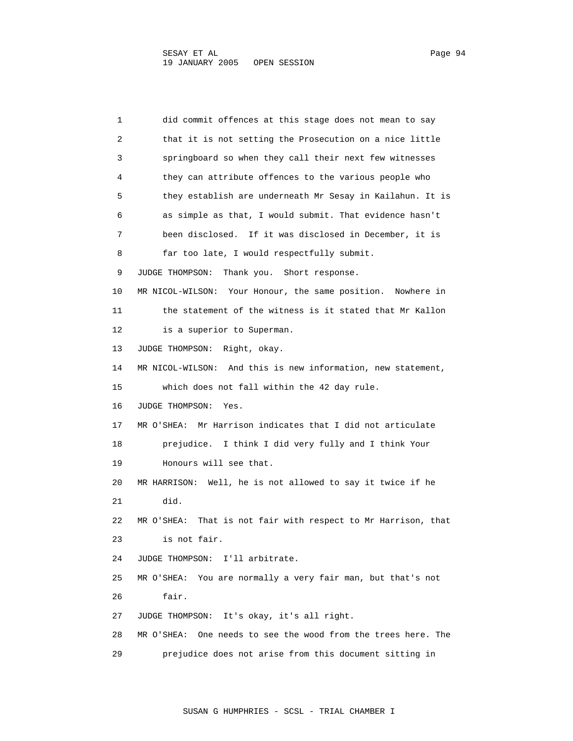1 did commit offences at this stage does not mean to say 2 that it is not setting the Prosecution on a nice little 3 springboard so when they call their next few witnesses 4 they can attribute offences to the various people who 5 they establish are underneath Mr Sesay in Kailahun. It is 6 as simple as that, I would submit. That evidence hasn't 7 been disclosed. If it was disclosed in December, it is 8 far too late, I would respectfully submit. 9 JUDGE THOMPSON: Thank you. Short response. 10 MR NICOL-WILSON: Your Honour, the same position. Nowhere in 11 the statement of the witness is it stated that Mr Kallon 12 is a superior to Superman. 13 JUDGE THOMPSON: Right, okay. 14 MR NICOL-WILSON: And this is new information, new statement, 15 which does not fall within the 42 day rule. 16 JUDGE THOMPSON: Yes. 17 MR O'SHEA: Mr Harrison indicates that I did not articulate 18 prejudice. I think I did very fully and I think Your 19 Honours will see that. 20 MR HARRISON: Well, he is not allowed to say it twice if he 21 did. 22 MR O'SHEA: That is not fair with respect to Mr Harrison, that 23 is not fair. 24 JUDGE THOMPSON: I'll arbitrate. 25 MR O'SHEA: You are normally a very fair man, but that's not 26 fair. 27 JUDGE THOMPSON: It's okay, it's all right. 28 MR O'SHEA: One needs to see the wood from the trees here. The 29 prejudice does not arise from this document sitting in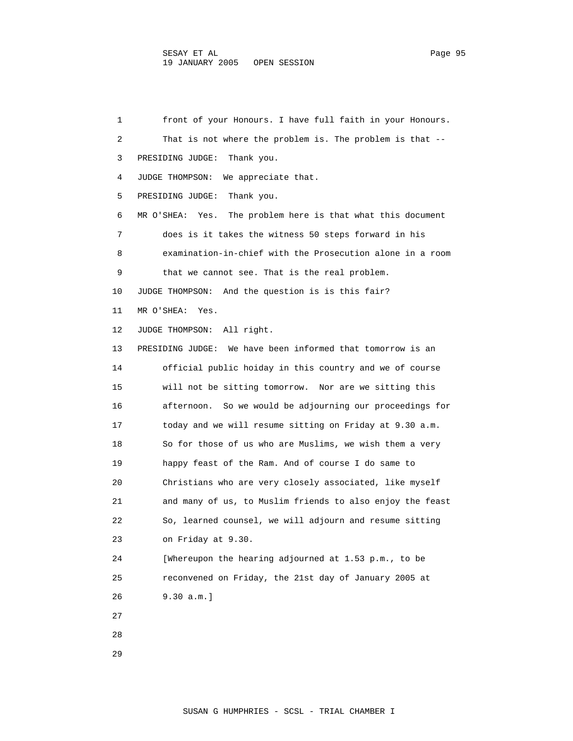1 front of your Honours. I have full faith in your Honours. 2 That is not where the problem is. The problem is that -- 3 PRESIDING JUDGE: Thank you. 4 JUDGE THOMPSON: We appreciate that. 5 PRESIDING JUDGE: Thank you. 6 MR O'SHEA: Yes. The problem here is that what this document 7 does is it takes the witness 50 steps forward in his 8 examination-in-chief with the Prosecution alone in a room 9 that we cannot see. That is the real problem. 10 JUDGE THOMPSON: And the question is is this fair? 11 MR O'SHEA: Yes. 12 JUDGE THOMPSON: All right. 13 PRESIDING JUDGE: We have been informed that tomorrow is an 14 official public hoiday in this country and we of course 15 will not be sitting tomorrow. Nor are we sitting this 16 afternoon. So we would be adjourning our proceedings for 17 today and we will resume sitting on Friday at 9.30 a.m. 18 So for those of us who are Muslims, we wish them a very 19 happy feast of the Ram. And of course I do same to 20 Christians who are very closely associated, like myself 21 and many of us, to Muslim friends to also enjoy the feast 22 So, learned counsel, we will adjourn and resume sitting 23 on Friday at 9.30. 24 [Whereupon the hearing adjourned at 1.53 p.m., to be 25 reconvened on Friday, the 21st day of January 2005 at 26 9.30 a.m.] 27 28

29